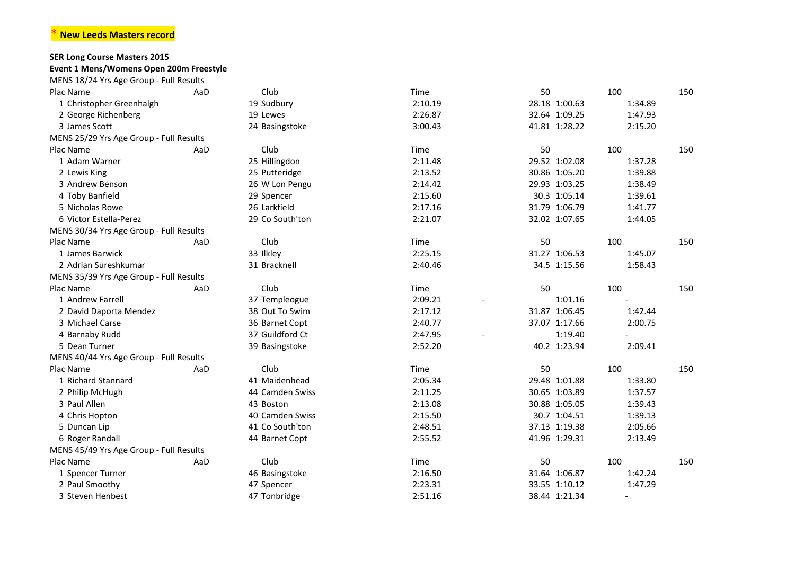## \* **New Leeds Masters record**

## **SER Long Course Masters 2015**

## **Event 1 Mens/Womens Open 200m Freestyle**

| MENS 18/24 Yrs Age Group - Full Results |     |                 |         |               |                          |     |
|-----------------------------------------|-----|-----------------|---------|---------------|--------------------------|-----|
| Plac Name                               | AaD | Club            | Time    | 50            | 100                      | 150 |
| 1 Christopher Greenhalgh                |     | 19 Sudbury      | 2:10.19 | 28.18 1:00.63 | 1:34.89                  |     |
| 2 George Richenberg                     |     | 19 Lewes        | 2:26.87 | 32.64 1:09.25 | 1:47.93                  |     |
| 3 James Scott                           |     | 24 Basingstoke  | 3:00.43 | 41.81 1:28.22 | 2:15.20                  |     |
| MENS 25/29 Yrs Age Group - Full Results |     |                 |         |               |                          |     |
| Plac Name                               | AaD | Club            | Time    | 50            | 100                      | 150 |
| 1 Adam Warner                           |     | 25 Hillingdon   | 2:11.48 | 29.52 1:02.08 | 1:37.28                  |     |
| 2 Lewis King                            |     | 25 Putteridge   | 2:13.52 | 30.86 1:05.20 | 1:39.88                  |     |
| 3 Andrew Benson                         |     | 26 W Lon Pengu  | 2:14.42 | 29.93 1:03.25 | 1:38.49                  |     |
| 4 Toby Banfield                         |     | 29 Spencer      | 2:15.60 | 30.3 1:05.14  | 1:39.61                  |     |
| 5 Nicholas Rowe                         |     | 26 Larkfield    | 2:17.16 | 31.79 1:06.79 | 1:41.77                  |     |
| 6 Victor Estella-Perez                  |     | 29 Co South'ton | 2:21.07 | 32.02 1:07.65 | 1:44.05                  |     |
| MENS 30/34 Yrs Age Group - Full Results |     |                 |         |               |                          |     |
| Plac Name                               | AaD | Club            | Time    | 50            | 100                      | 150 |
| 1 James Barwick                         |     | 33 Ilkley       | 2:25.15 | 31.27 1:06.53 | 1:45.07                  |     |
| 2 Adrian Sureshkumar                    |     | 31 Bracknell    | 2:40.46 | 34.5 1:15.56  | 1:58.43                  |     |
| MENS 35/39 Yrs Age Group - Full Results |     |                 |         |               |                          |     |
| Plac Name                               | AaD | Club            | Time    | 50            | 100                      | 150 |
| 1 Andrew Farrell                        |     | 37 Templeogue   | 2:09.21 | 1:01.16       |                          |     |
| 2 David Daporta Mendez                  |     | 38 Out To Swim  | 2:17.12 | 31.87 1:06.45 | 1:42.44                  |     |
| 3 Michael Carse                         |     | 36 Barnet Copt  | 2:40.77 | 37.07 1:17.66 | 2:00.75                  |     |
| 4 Barnaby Rudd                          |     | 37 Guildford Ct | 2:47.95 | 1:19.40       | $\overline{\phantom{0}}$ |     |
| 5 Dean Turner                           |     | 39 Basingstoke  | 2:52.20 | 40.2 1:23.94  | 2:09.41                  |     |
| MENS 40/44 Yrs Age Group - Full Results |     |                 |         |               |                          |     |
| Plac Name                               | AaD | Club            | Time    | 50            | 100                      | 150 |
| 1 Richard Stannard                      |     | 41 Maidenhead   | 2:05.34 | 29.48 1:01.88 | 1:33.80                  |     |
| 2 Philip McHugh                         |     | 44 Camden Swiss | 2:11.25 | 30.65 1:03.89 | 1:37.57                  |     |
| 3 Paul Allen                            |     | 43 Boston       | 2:13.08 | 30.88 1:05.05 | 1:39.43                  |     |
| 4 Chris Hopton                          |     | 40 Camden Swiss | 2:15.50 | 30.7 1:04.51  | 1:39.13                  |     |
| 5 Duncan Lip                            |     | 41 Co South'ton | 2:48.51 | 37.13 1:19.38 | 2:05.66                  |     |
| 6 Roger Randall                         |     | 44 Barnet Copt  | 2:55.52 | 41.96 1:29.31 | 2:13.49                  |     |
| MENS 45/49 Yrs Age Group - Full Results |     |                 |         |               |                          |     |
| Plac Name                               | AaD | Club            | Time    | 50            | 100                      | 150 |
| 1 Spencer Turner                        |     | 46 Basingstoke  | 2:16.50 | 31.64 1:06.87 | 1:42.24                  |     |
| 2 Paul Smoothy                          |     | 47 Spencer      | 2:23.31 | 33.55 1:10.12 | 1:47.29                  |     |
| 3 Steven Henbest                        |     | 47 Tonbridge    | 2:51.16 | 38.44 1:21.34 |                          |     |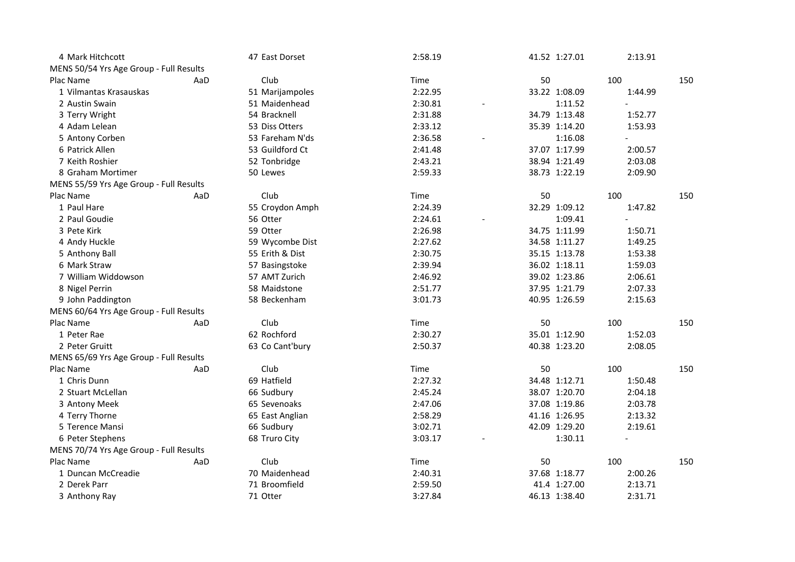| 4 Mark Hitchcott                        |     | 47 East Dorset  | 2:58.19 | 41.52 1:27.01 | 2:13.91                  |     |
|-----------------------------------------|-----|-----------------|---------|---------------|--------------------------|-----|
| MENS 50/54 Yrs Age Group - Full Results |     |                 |         |               |                          |     |
| Plac Name                               | AaD | Club            | Time    | 50            | 100                      | 150 |
| 1 Vilmantas Krasauskas                  |     | 51 Marijampoles | 2:22.95 | 33.22 1:08.09 | 1:44.99                  |     |
| 2 Austin Swain                          |     | 51 Maidenhead   | 2:30.81 | 1:11.52       | $\overline{a}$           |     |
| 3 Terry Wright                          |     | 54 Bracknell    | 2:31.88 | 34.79 1:13.48 | 1:52.77                  |     |
| 4 Adam Lelean                           |     | 53 Diss Otters  | 2:33.12 | 35.39 1:14.20 | 1:53.93                  |     |
| 5 Antony Corben                         |     | 53 Fareham N'ds | 2:36.58 | 1:16.08       | $\overline{\phantom{0}}$ |     |
| 6 Patrick Allen                         |     | 53 Guildford Ct | 2:41.48 | 37.07 1:17.99 | 2:00.57                  |     |
| 7 Keith Roshier                         |     | 52 Tonbridge    | 2:43.21 | 38.94 1:21.49 | 2:03.08                  |     |
| 8 Graham Mortimer                       |     | 50 Lewes        | 2:59.33 | 38.73 1:22.19 | 2:09.90                  |     |
| MENS 55/59 Yrs Age Group - Full Results |     |                 |         |               |                          |     |
| Plac Name                               | AaD | Club            | Time    | 50            | 100                      | 150 |
| 1 Paul Hare                             |     | 55 Croydon Amph | 2:24.39 | 32.29 1:09.12 | 1:47.82                  |     |
| 2 Paul Goudie                           |     | 56 Otter        | 2:24.61 | 1:09.41       |                          |     |
| 3 Pete Kirk                             |     | 59 Otter        | 2:26.98 | 34.75 1:11.99 | 1:50.71                  |     |
| 4 Andy Huckle                           |     | 59 Wycombe Dist | 2:27.62 | 34.58 1:11.27 | 1:49.25                  |     |
| 5 Anthony Ball                          |     | 55 Erith & Dist | 2:30.75 | 35.15 1:13.78 | 1:53.38                  |     |
| 6 Mark Straw                            |     | 57 Basingstoke  | 2:39.94 | 36.02 1:18.11 | 1:59.03                  |     |
| 7 William Widdowson                     |     | 57 AMT Zurich   | 2:46.92 | 39.02 1:23.86 | 2:06.61                  |     |
| 8 Nigel Perrin                          |     | 58 Maidstone    | 2:51.77 | 37.95 1:21.79 | 2:07.33                  |     |
| 9 John Paddington                       |     | 58 Beckenham    | 3:01.73 | 40.95 1:26.59 | 2:15.63                  |     |
| MENS 60/64 Yrs Age Group - Full Results |     |                 |         |               |                          |     |
| Plac Name                               | AaD | Club            | Time    | 50            | 100                      | 150 |
| 1 Peter Rae                             |     | 62 Rochford     | 2:30.27 | 35.01 1:12.90 | 1:52.03                  |     |
| 2 Peter Gruitt                          |     | 63 Co Cant'bury | 2:50.37 | 40.38 1:23.20 | 2:08.05                  |     |
| MENS 65/69 Yrs Age Group - Full Results |     |                 |         |               |                          |     |
| Plac Name                               | AaD | Club            | Time    | 50            | 100                      | 150 |
| 1 Chris Dunn                            |     | 69 Hatfield     | 2:27.32 | 34.48 1:12.71 | 1:50.48                  |     |
| 2 Stuart McLellan                       |     | 66 Sudbury      | 2:45.24 | 38.07 1:20.70 | 2:04.18                  |     |
| 3 Antony Meek                           |     | 65 Sevenoaks    | 2:47.06 | 37.08 1:19.86 | 2:03.78                  |     |
| 4 Terry Thorne                          |     | 65 East Anglian | 2:58.29 | 41.16 1:26.95 | 2:13.32                  |     |
| 5 Terence Mansi                         |     | 66 Sudbury      | 3:02.71 | 42.09 1:29.20 | 2:19.61                  |     |
| 6 Peter Stephens                        |     | 68 Truro City   | 3:03.17 | 1:30.11       |                          |     |
| MENS 70/74 Yrs Age Group - Full Results |     |                 |         |               |                          |     |
| Plac Name                               | AaD | Club            | Time    | 50            | 100                      | 150 |
| 1 Duncan McCreadie                      |     | 70 Maidenhead   | 2:40.31 | 37.68 1:18.77 | 2:00.26                  |     |
| 2 Derek Parr                            |     | 71 Broomfield   | 2:59.50 | 41.4 1:27.00  | 2:13.71                  |     |
| 3 Anthony Ray                           |     | 71 Otter        | 3:27.84 | 46.13 1:38.40 | 2:31.71                  |     |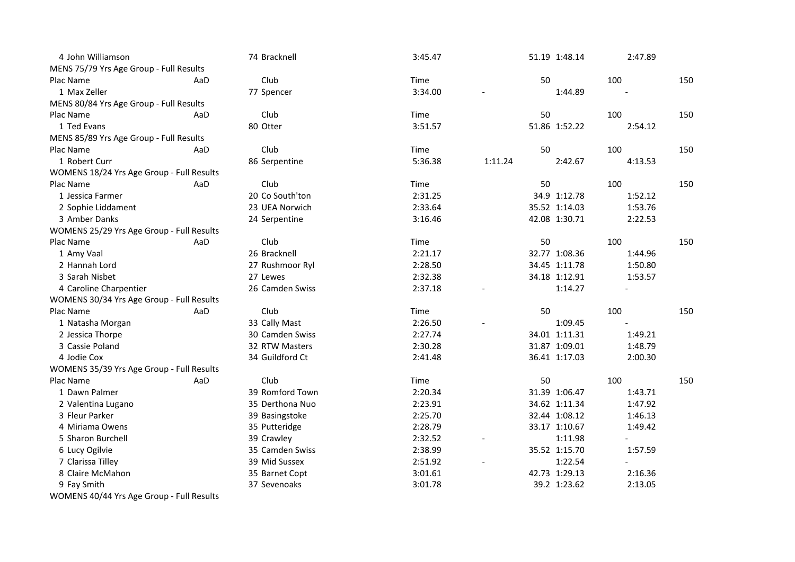| 4 John Williamson                         |     | 74 Bracknell    | 3:45.47 |                       |    | 51.19 1:48.14 | 2:47.89                  |     |
|-------------------------------------------|-----|-----------------|---------|-----------------------|----|---------------|--------------------------|-----|
| MENS 75/79 Yrs Age Group - Full Results   |     |                 |         |                       |    |               |                          |     |
| Plac Name                                 | AaD | Club            | Time    |                       | 50 |               | 100                      | 150 |
| 1 Max Zeller                              |     | 77 Spencer      | 3:34.00 |                       |    | 1:44.89       |                          |     |
| MENS 80/84 Yrs Age Group - Full Results   |     |                 |         |                       |    |               |                          |     |
| Plac Name                                 | AaD | Club            | Time    |                       | 50 |               | 100                      | 150 |
| 1 Ted Evans                               |     | 80 Otter        | 3:51.57 |                       |    | 51.86 1:52.22 | 2:54.12                  |     |
| MENS 85/89 Yrs Age Group - Full Results   |     |                 |         |                       |    |               |                          |     |
| Plac Name                                 | AaD | Club            | Time    |                       | 50 |               | 100                      | 150 |
| 1 Robert Curr                             |     | 86 Serpentine   | 5:36.38 | 1:11.24               |    | 2:42.67       | 4:13.53                  |     |
| WOMENS 18/24 Yrs Age Group - Full Results |     |                 |         |                       |    |               |                          |     |
| Plac Name                                 | AaD | Club            | Time    |                       | 50 |               | 100                      | 150 |
| 1 Jessica Farmer                          |     | 20 Co South'ton | 2:31.25 |                       |    | 34.9 1:12.78  | 1:52.12                  |     |
| 2 Sophie Liddament                        |     | 23 UEA Norwich  | 2:33.64 |                       |    | 35.52 1:14.03 | 1:53.76                  |     |
| 3 Amber Danks                             |     | 24 Serpentine   | 3:16.46 |                       |    | 42.08 1:30.71 | 2:22.53                  |     |
| WOMENS 25/29 Yrs Age Group - Full Results |     |                 |         |                       |    |               |                          |     |
| Plac Name                                 | AaD | Club            | Time    |                       | 50 |               | 100                      | 150 |
| 1 Amy Vaal                                |     | 26 Bracknell    | 2:21.17 |                       |    | 32.77 1:08.36 | 1:44.96                  |     |
| 2 Hannah Lord                             |     | 27 Rushmoor Ryl | 2:28.50 |                       |    | 34.45 1:11.78 | 1:50.80                  |     |
| 3 Sarah Nisbet                            |     | 27 Lewes        | 2:32.38 |                       |    | 34.18 1:12.91 | 1:53.57                  |     |
| 4 Caroline Charpentier                    |     | 26 Camden Swiss | 2:37.18 |                       |    | 1:14.27       | $\mathbf{r}$             |     |
| WOMENS 30/34 Yrs Age Group - Full Results |     |                 |         |                       |    |               |                          |     |
| Plac Name                                 | AaD | Club            | Time    |                       | 50 |               | 100                      | 150 |
| 1 Natasha Morgan                          |     | 33 Cally Mast   | 2:26.50 |                       |    | 1:09.45       |                          |     |
| 2 Jessica Thorpe                          |     | 30 Camden Swiss | 2:27.74 |                       |    | 34.01 1:11.31 | 1:49.21                  |     |
| 3 Cassie Poland                           |     | 32 RTW Masters  | 2:30.28 |                       |    | 31.87 1:09.01 | 1:48.79                  |     |
| 4 Jodie Cox                               |     | 34 Guildford Ct | 2:41.48 |                       |    | 36.41 1:17.03 | 2:00.30                  |     |
| WOMENS 35/39 Yrs Age Group - Full Results |     |                 |         |                       |    |               |                          |     |
| Plac Name                                 | AaD | Club            | Time    |                       | 50 |               | 100                      | 150 |
| 1 Dawn Palmer                             |     | 39 Romford Town | 2:20.34 |                       |    | 31.39 1:06.47 | 1:43.71                  |     |
| 2 Valentina Lugano                        |     | 35 Derthona Nuo | 2:23.91 |                       |    | 34.62 1:11.34 | 1:47.92                  |     |
| 3 Fleur Parker                            |     | 39 Basingstoke  | 2:25.70 |                       |    | 32.44 1:08.12 | 1:46.13                  |     |
| 4 Miriama Owens                           |     | 35 Putteridge   | 2:28.79 |                       |    | 33.17 1:10.67 | 1:49.42                  |     |
| 5 Sharon Burchell                         |     | 39 Crawley      | 2:32.52 | $\tilde{\phantom{a}}$ |    | 1:11.98       | $\overline{\phantom{a}}$ |     |
| 6 Lucy Ogilvie                            |     | 35 Camden Swiss | 2:38.99 |                       |    | 35.52 1:15.70 | 1:57.59                  |     |
| 7 Clarissa Tilley                         |     | 39 Mid Sussex   | 2:51.92 |                       |    | 1:22.54       |                          |     |
| 8 Claire McMahon                          |     | 35 Barnet Copt  | 3:01.61 |                       |    | 42.73 1:29.13 | 2:16.36                  |     |
| 9 Fay Smith                               |     | 37 Sevenoaks    | 3:01.78 |                       |    | 39.2 1:23.62  | 2:13.05                  |     |
| WOMENS 40/44 Yrs Age Group - Full Results |     |                 |         |                       |    |               |                          |     |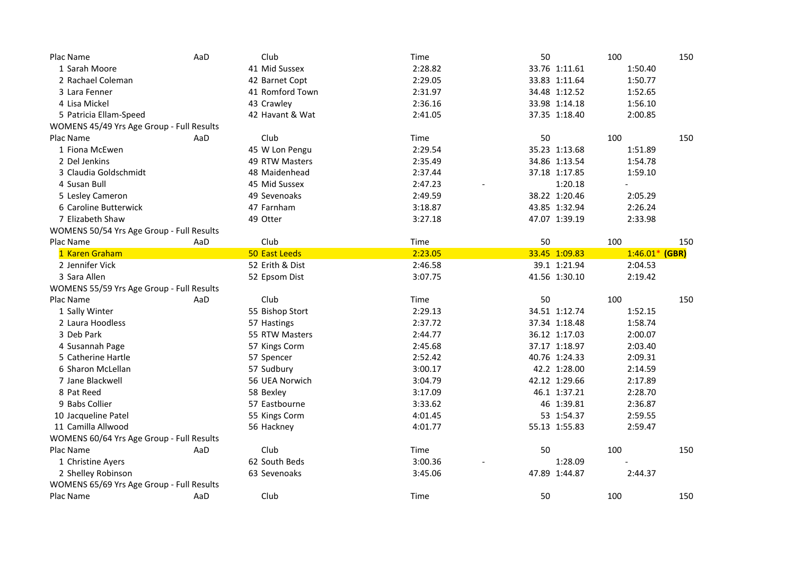| Plac Name                                 | AaD | Club            | Time    | 50 |               | 100              | 150 |
|-------------------------------------------|-----|-----------------|---------|----|---------------|------------------|-----|
| 1 Sarah Moore                             |     | 41 Mid Sussex   | 2:28.82 |    | 33.76 1:11.61 | 1:50.40          |     |
| 2 Rachael Coleman                         |     | 42 Barnet Copt  | 2:29.05 |    | 33.83 1:11.64 | 1:50.77          |     |
| 3 Lara Fenner                             |     | 41 Romford Town | 2:31.97 |    | 34.48 1:12.52 | 1:52.65          |     |
| 4 Lisa Mickel                             |     | 43 Crawley      | 2:36.16 |    | 33.98 1:14.18 | 1:56.10          |     |
| 5 Patricia Ellam-Speed                    |     | 42 Havant & Wat | 2:41.05 |    | 37.35 1:18.40 | 2:00.85          |     |
| WOMENS 45/49 Yrs Age Group - Full Results |     |                 |         |    |               |                  |     |
| Plac Name                                 | AaD | Club            | Time    | 50 |               | 100              | 150 |
| 1 Fiona McEwen                            |     | 45 W Lon Pengu  | 2:29.54 |    | 35.23 1:13.68 | 1:51.89          |     |
| 2 Del Jenkins                             |     | 49 RTW Masters  | 2:35.49 |    | 34.86 1:13.54 | 1:54.78          |     |
| 3 Claudia Goldschmidt                     |     | 48 Maidenhead   | 2:37.44 |    | 37.18 1:17.85 | 1:59.10          |     |
| 4 Susan Bull                              |     | 45 Mid Sussex   | 2:47.23 |    | 1:20.18       |                  |     |
| 5 Lesley Cameron                          |     | 49 Sevenoaks    | 2:49.59 |    | 38.22 1:20.46 | 2:05.29          |     |
| 6 Caroline Butterwick                     |     | 47 Farnham      | 3:18.87 |    | 43.85 1:32.94 | 2:26.24          |     |
| 7 Elizabeth Shaw                          |     | 49 Otter        | 3:27.18 |    | 47.07 1:39.19 | 2:33.98          |     |
| WOMENS 50/54 Yrs Age Group - Full Results |     |                 |         |    |               |                  |     |
| Plac Name                                 | AaD | Club            | Time    | 50 |               | 100              | 150 |
| 1 Karen Graham                            |     | 50 East Leeds   | 2:23.05 |    | 33.45 1:09.83 | $1:46.01*$ (GBR) |     |
| 2 Jennifer Vick                           |     | 52 Erith & Dist | 2:46.58 |    | 39.1 1:21.94  | 2:04.53          |     |
| 3 Sara Allen                              |     | 52 Epsom Dist   | 3:07.75 |    | 41.56 1:30.10 | 2:19.42          |     |
| WOMENS 55/59 Yrs Age Group - Full Results |     |                 |         |    |               |                  |     |
| Plac Name                                 | AaD | Club            | Time    | 50 |               | 100              | 150 |
| 1 Sally Winter                            |     | 55 Bishop Stort | 2:29.13 |    | 34.51 1:12.74 | 1:52.15          |     |
| 2 Laura Hoodless                          |     | 57 Hastings     | 2:37.72 |    | 37.34 1:18.48 | 1:58.74          |     |
| 3 Deb Park                                |     | 55 RTW Masters  | 2:44.77 |    | 36.12 1:17.03 | 2:00.07          |     |
| 4 Susannah Page                           |     | 57 Kings Corm   | 2:45.68 |    | 37.17 1:18.97 | 2:03.40          |     |
| 5 Catherine Hartle                        |     | 57 Spencer      | 2:52.42 |    | 40.76 1:24.33 | 2:09.31          |     |
| 6 Sharon McLellan                         |     | 57 Sudbury      | 3:00.17 |    | 42.2 1:28.00  | 2:14.59          |     |
| 7 Jane Blackwell                          |     | 56 UEA Norwich  | 3:04.79 |    | 42.12 1:29.66 | 2:17.89          |     |
| 8 Pat Reed                                |     | 58 Bexley       | 3:17.09 |    | 46.1 1:37.21  | 2:28.70          |     |
| 9 Babs Collier                            |     | 57 Eastbourne   | 3:33.62 |    | 46 1:39.81    | 2:36.87          |     |
| 10 Jacqueline Patel                       |     | 55 Kings Corm   | 4:01.45 |    | 53 1:54.37    | 2:59.55          |     |
| 11 Camilla Allwood                        |     | 56 Hackney      | 4:01.77 |    | 55.13 1:55.83 | 2:59.47          |     |
| WOMENS 60/64 Yrs Age Group - Full Results |     |                 |         |    |               |                  |     |
| Plac Name                                 | AaD | Club            | Time    | 50 |               | 100              | 150 |
| 1 Christine Ayers                         |     | 62 South Beds   | 3:00.36 |    | 1:28.09       |                  |     |
| 2 Shelley Robinson                        |     | 63 Sevenoaks    | 3:45.06 |    | 47.89 1:44.87 | 2:44.37          |     |
| WOMENS 65/69 Yrs Age Group - Full Results |     |                 |         |    |               |                  |     |
| Plac Name                                 | AaD | Club            | Time    | 50 |               | 100              | 150 |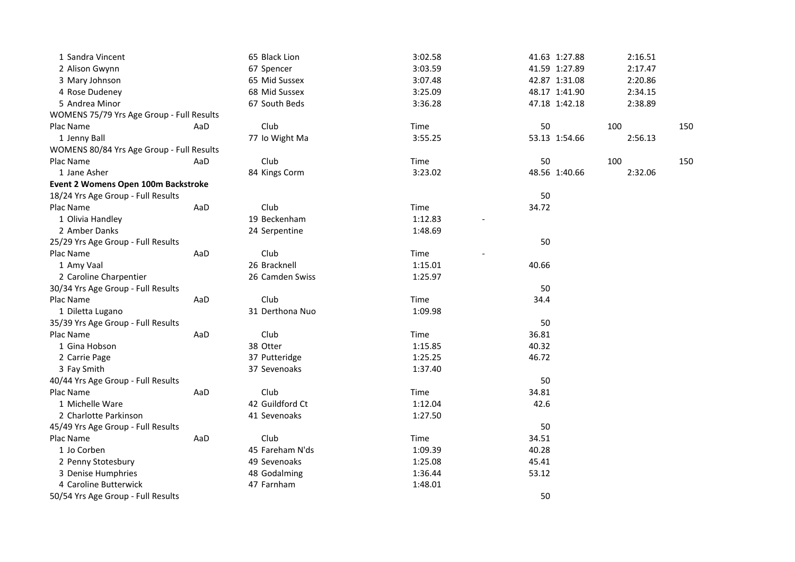| 1 Sandra Vincent                          |     | 65 Black Lion   | 3:02.58 | 41.63 1:27.88 | 2:16.51 |     |
|-------------------------------------------|-----|-----------------|---------|---------------|---------|-----|
| 2 Alison Gwynn                            |     | 67 Spencer      | 3:03.59 | 41.59 1:27.89 | 2:17.47 |     |
| 3 Mary Johnson                            |     | 65 Mid Sussex   | 3:07.48 | 42.87 1:31.08 | 2:20.86 |     |
| 4 Rose Dudeney                            |     | 68 Mid Sussex   | 3:25.09 | 48.17 1:41.90 | 2:34.15 |     |
| 5 Andrea Minor                            |     | 67 South Beds   | 3:36.28 | 47.18 1:42.18 | 2:38.89 |     |
| WOMENS 75/79 Yrs Age Group - Full Results |     |                 |         |               |         |     |
| Plac Name                                 | AaD | Club            | Time    | 50            | 100     | 150 |
| 1 Jenny Ball                              |     | 77 Io Wight Ma  | 3:55.25 | 53.13 1:54.66 | 2:56.13 |     |
| WOMENS 80/84 Yrs Age Group - Full Results |     |                 |         |               |         |     |
| Plac Name                                 | AaD | Club            | Time    | 50            | 100     | 150 |
| 1 Jane Asher                              |     | 84 Kings Corm   | 3:23.02 | 48.56 1:40.66 | 2:32.06 |     |
| Event 2 Womens Open 100m Backstroke       |     |                 |         |               |         |     |
| 18/24 Yrs Age Group - Full Results        |     |                 |         | 50            |         |     |
| Plac Name                                 | AaD | Club            | Time    | 34.72         |         |     |
| 1 Olivia Handley                          |     | 19 Beckenham    | 1:12.83 |               |         |     |
| 2 Amber Danks                             |     | 24 Serpentine   | 1:48.69 |               |         |     |
| 25/29 Yrs Age Group - Full Results        |     |                 |         | 50            |         |     |
| Plac Name                                 | AaD | Club            | Time    |               |         |     |
| 1 Amy Vaal                                |     | 26 Bracknell    | 1:15.01 | 40.66         |         |     |
| 2 Caroline Charpentier                    |     | 26 Camden Swiss | 1:25.97 |               |         |     |
| 30/34 Yrs Age Group - Full Results        |     |                 |         | 50            |         |     |
| Plac Name                                 | AaD | Club            | Time    | 34.4          |         |     |
| 1 Diletta Lugano                          |     | 31 Derthona Nuo | 1:09.98 |               |         |     |
| 35/39 Yrs Age Group - Full Results        |     |                 |         | 50            |         |     |
| Plac Name                                 | AaD | Club            | Time    | 36.81         |         |     |
| 1 Gina Hobson                             |     | 38 Otter        | 1:15.85 | 40.32         |         |     |
| 2 Carrie Page                             |     | 37 Putteridge   | 1:25.25 | 46.72         |         |     |
| 3 Fay Smith                               |     | 37 Sevenoaks    | 1:37.40 |               |         |     |
| 40/44 Yrs Age Group - Full Results        |     |                 |         | 50            |         |     |
| Plac Name                                 | AaD | Club            | Time    | 34.81         |         |     |
| 1 Michelle Ware                           |     | 42 Guildford Ct | 1:12.04 | 42.6          |         |     |
| 2 Charlotte Parkinson                     |     | 41 Sevenoaks    | 1:27.50 |               |         |     |
| 45/49 Yrs Age Group - Full Results        |     |                 |         | 50            |         |     |
| Plac Name                                 | AaD | Club            | Time    | 34.51         |         |     |
| 1 Jo Corben                               |     | 45 Fareham N'ds | 1:09.39 | 40.28         |         |     |
| 2 Penny Stotesbury                        |     | 49 Sevenoaks    | 1:25.08 | 45.41         |         |     |
| 3 Denise Humphries                        |     | 48 Godalming    | 1:36.44 | 53.12         |         |     |
| 4 Caroline Butterwick                     |     | 47 Farnham      | 1:48.01 |               |         |     |
| 50/54 Yrs Age Group - Full Results        |     |                 |         | 50            |         |     |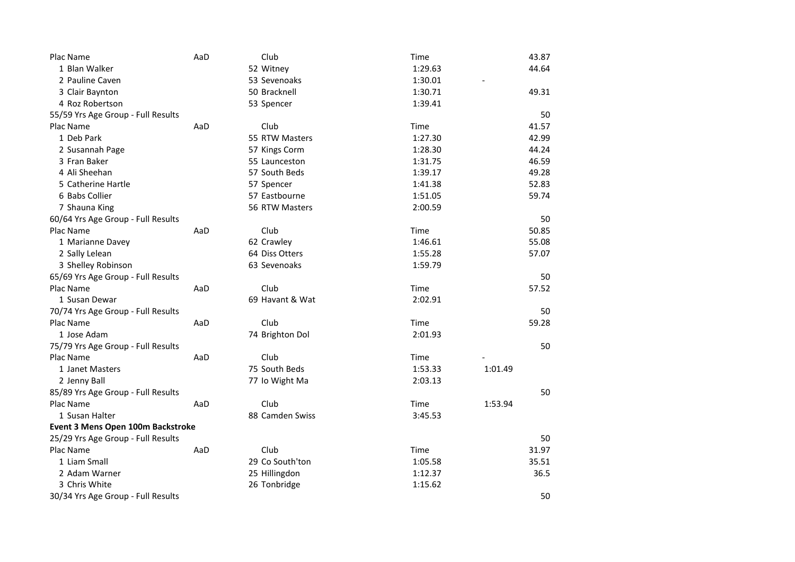| Plac Name                          | AaD | Club            | Time    | 43.87   |
|------------------------------------|-----|-----------------|---------|---------|
| 1 Blan Walker                      |     | 52 Witney       | 1:29.63 | 44.64   |
| 2 Pauline Caven                    |     | 53 Sevenoaks    | 1:30.01 |         |
| 3 Clair Baynton                    |     | 50 Bracknell    | 1:30.71 | 49.31   |
| 4 Roz Robertson                    |     | 53 Spencer      | 1:39.41 |         |
| 55/59 Yrs Age Group - Full Results |     |                 |         | 50      |
| Plac Name                          | AaD | Club            | Time    | 41.57   |
| 1 Deb Park                         |     | 55 RTW Masters  | 1:27.30 | 42.99   |
| 2 Susannah Page                    |     | 57 Kings Corm   | 1:28.30 | 44.24   |
| 3 Fran Baker                       |     | 55 Launceston   | 1:31.75 | 46.59   |
| 4 Ali Sheehan                      |     | 57 South Beds   | 1:39.17 | 49.28   |
| 5 Catherine Hartle                 |     | 57 Spencer      | 1:41.38 | 52.83   |
| 6 Babs Collier                     |     | 57 Eastbourne   | 1:51.05 | 59.74   |
| 7 Shauna King                      |     | 56 RTW Masters  | 2:00.59 |         |
| 60/64 Yrs Age Group - Full Results |     |                 |         | 50      |
| Plac Name                          | AaD | Club            | Time    | 50.85   |
| 1 Marianne Davey                   |     | 62 Crawley      | 1:46.61 | 55.08   |
| 2 Sally Lelean                     |     | 64 Diss Otters  | 1:55.28 | 57.07   |
| 3 Shelley Robinson                 |     | 63 Sevenoaks    | 1:59.79 |         |
| 65/69 Yrs Age Group - Full Results |     |                 |         | 50      |
| Plac Name                          | AaD | Club            | Time    | 57.52   |
| 1 Susan Dewar                      |     | 69 Havant & Wat | 2:02.91 |         |
| 70/74 Yrs Age Group - Full Results |     |                 |         | 50      |
| Plac Name                          | AaD | Club            | Time    | 59.28   |
| 1 Jose Adam                        |     | 74 Brighton Dol | 2:01.93 |         |
| 75/79 Yrs Age Group - Full Results |     |                 |         | 50      |
| Plac Name                          | AaD | Club            | Time    |         |
| 1 Janet Masters                    |     | 75 South Beds   | 1:53.33 | 1:01.49 |
| 2 Jenny Ball                       |     | 77 Io Wight Ma  | 2:03.13 |         |
| 85/89 Yrs Age Group - Full Results |     |                 |         | 50      |
| Plac Name                          | AaD | Club            | Time    | 1:53.94 |
| 1 Susan Halter                     |     | 88 Camden Swiss | 3:45.53 |         |
| Event 3 Mens Open 100m Backstroke  |     |                 |         |         |
| 25/29 Yrs Age Group - Full Results |     |                 |         | 50      |
| Plac Name                          | AaD | Club            | Time    | 31.97   |
| 1 Liam Small                       |     | 29 Co South'ton | 1:05.58 | 35.51   |
| 2 Adam Warner                      |     | 25 Hillingdon   | 1:12.37 | 36.5    |
| 3 Chris White                      |     | 26 Tonbridge    | 1:15.62 |         |
| 30/34 Yrs Age Group - Full Results |     |                 |         | 50      |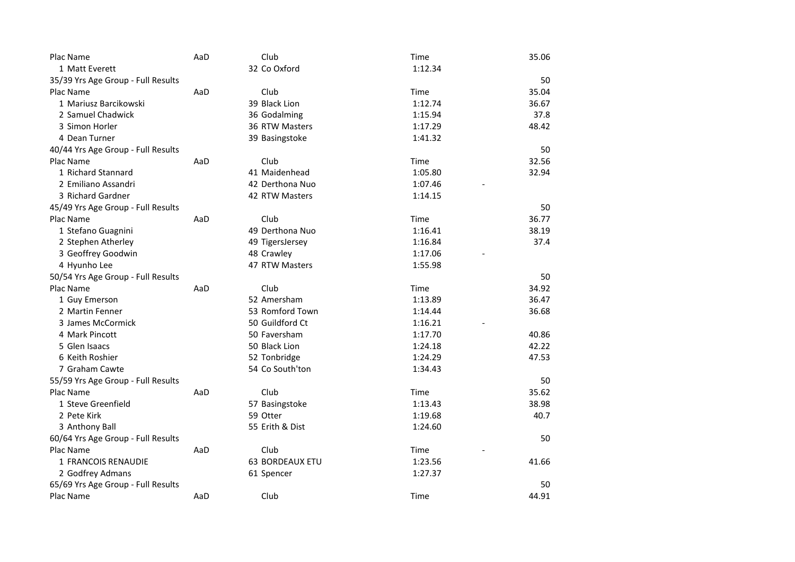| Plac Name                          | AaD | Club            | Time    | 35.06 |
|------------------------------------|-----|-----------------|---------|-------|
| 1 Matt Everett                     |     | 32 Co Oxford    | 1:12.34 |       |
| 35/39 Yrs Age Group - Full Results |     |                 |         | 50    |
| Plac Name                          | AaD | Club            | Time    | 35.04 |
| 1 Mariusz Barcikowski              |     | 39 Black Lion   | 1:12.74 | 36.67 |
| 2 Samuel Chadwick                  |     | 36 Godalming    | 1:15.94 | 37.8  |
| 3 Simon Horler                     |     | 36 RTW Masters  | 1:17.29 | 48.42 |
| 4 Dean Turner                      |     | 39 Basingstoke  | 1:41.32 |       |
| 40/44 Yrs Age Group - Full Results |     |                 |         | 50    |
| Plac Name                          | AaD | Club            | Time    | 32.56 |
| 1 Richard Stannard                 |     | 41 Maidenhead   | 1:05.80 | 32.94 |
| 2 Emiliano Assandri                |     | 42 Derthona Nuo | 1:07.46 |       |
| 3 Richard Gardner                  |     | 42 RTW Masters  | 1:14.15 |       |
| 45/49 Yrs Age Group - Full Results |     |                 |         | 50    |
| Plac Name                          | AaD | Club            | Time    | 36.77 |
| 1 Stefano Guagnini                 |     | 49 Derthona Nuo | 1:16.41 | 38.19 |
| 2 Stephen Atherley                 |     | 49 TigersJersey | 1:16.84 | 37.4  |
| 3 Geoffrey Goodwin                 |     | 48 Crawley      | 1:17.06 |       |
| 4 Hyunho Lee                       |     | 47 RTW Masters  | 1:55.98 |       |
| 50/54 Yrs Age Group - Full Results |     |                 |         | 50    |
| Plac Name                          | AaD | Club            | Time    | 34.92 |
| 1 Guy Emerson                      |     | 52 Amersham     | 1:13.89 | 36.47 |
| 2 Martin Fenner                    |     | 53 Romford Town | 1:14.44 | 36.68 |
| 3 James McCormick                  |     | 50 Guildford Ct | 1:16.21 |       |
| 4 Mark Pincott                     |     | 50 Faversham    | 1:17.70 | 40.86 |
| 5 Glen Isaacs                      |     | 50 Black Lion   | 1:24.18 | 42.22 |
| 6 Keith Roshier                    |     | 52 Tonbridge    | 1:24.29 | 47.53 |
| 7 Graham Cawte                     |     | 54 Co South'ton | 1:34.43 |       |
| 55/59 Yrs Age Group - Full Results |     |                 |         | 50    |
| Plac Name                          | AaD | Club            | Time    | 35.62 |
| 1 Steve Greenfield                 |     | 57 Basingstoke  | 1:13.43 | 38.98 |
| 2 Pete Kirk                        |     | 59 Otter        | 1:19.68 | 40.7  |
| 3 Anthony Ball                     |     | 55 Erith & Dist | 1:24.60 |       |
| 60/64 Yrs Age Group - Full Results |     |                 |         | 50    |
| Plac Name                          | AaD | Club            | Time    |       |
| 1 FRANCOIS RENAUDIE                |     | 63 BORDEAUX ETU | 1:23.56 | 41.66 |
| 2 Godfrey Admans                   |     | 61 Spencer      | 1:27.37 |       |
| 65/69 Yrs Age Group - Full Results |     |                 |         | 50    |
| Plac Name                          | AaD | Club            | Time    | 44.91 |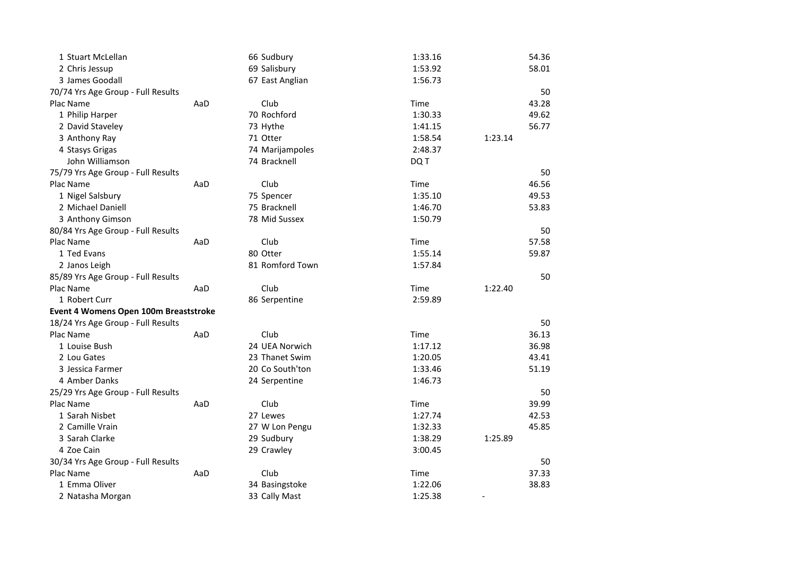| 1 Stuart McLellan                     |     | 66 Sudbury      | 1:33.16 | 54.36                    |
|---------------------------------------|-----|-----------------|---------|--------------------------|
| 2 Chris Jessup                        |     | 69 Salisbury    | 1:53.92 | 58.01                    |
| 3 James Goodall                       |     | 67 East Anglian | 1:56.73 |                          |
| 70/74 Yrs Age Group - Full Results    |     |                 |         | 50                       |
| Plac Name                             | AaD | Club            | Time    | 43.28                    |
| 1 Philip Harper                       |     | 70 Rochford     | 1:30.33 | 49.62                    |
| 2 David Staveley                      |     | 73 Hythe        | 1:41.15 | 56.77                    |
| 3 Anthony Ray                         |     | 71 Otter        | 1:58.54 | 1:23.14                  |
| 4 Stasys Grigas                       |     | 74 Marijampoles | 2:48.37 |                          |
| John Williamson                       |     | 74 Bracknell    | DQ T    |                          |
| 75/79 Yrs Age Group - Full Results    |     |                 |         | 50                       |
| Plac Name                             | AaD | Club            | Time    | 46.56                    |
| 1 Nigel Salsbury                      |     | 75 Spencer      | 1:35.10 | 49.53                    |
| 2 Michael Daniell                     |     | 75 Bracknell    | 1:46.70 | 53.83                    |
| 3 Anthony Gimson                      |     | 78 Mid Sussex   | 1:50.79 |                          |
| 80/84 Yrs Age Group - Full Results    |     |                 |         | 50                       |
| Plac Name                             | AaD | Club            | Time    | 57.58                    |
| 1 Ted Evans                           |     | 80 Otter        | 1:55.14 | 59.87                    |
| 2 Janos Leigh                         |     | 81 Romford Town | 1:57.84 |                          |
| 85/89 Yrs Age Group - Full Results    |     |                 |         | 50                       |
| Plac Name                             | AaD | Club            | Time    | 1:22.40                  |
| 1 Robert Curr                         |     | 86 Serpentine   | 2:59.89 |                          |
| Event 4 Womens Open 100m Breaststroke |     |                 |         |                          |
| 18/24 Yrs Age Group - Full Results    |     |                 |         | 50                       |
| Plac Name                             | AaD | Club            | Time    | 36.13                    |
| 1 Louise Bush                         |     | 24 UEA Norwich  | 1:17.12 | 36.98                    |
| 2 Lou Gates                           |     | 23 Thanet Swim  | 1:20.05 | 43.41                    |
| 3 Jessica Farmer                      |     | 20 Co South'ton | 1:33.46 | 51.19                    |
| 4 Amber Danks                         |     | 24 Serpentine   | 1:46.73 |                          |
| 25/29 Yrs Age Group - Full Results    |     |                 |         | 50                       |
| Plac Name                             | AaD | Club            | Time    | 39.99                    |
| 1 Sarah Nisbet                        |     | 27 Lewes        | 1:27.74 | 42.53                    |
| 2 Camille Vrain                       |     | 27 W Lon Pengu  | 1:32.33 | 45.85                    |
| 3 Sarah Clarke                        |     | 29 Sudbury      | 1:38.29 | 1:25.89                  |
| 4 Zoe Cain                            |     | 29 Crawley      | 3:00.45 |                          |
| 30/34 Yrs Age Group - Full Results    |     |                 |         | 50                       |
| Plac Name                             | AaD | Club            | Time    | 37.33                    |
| 1 Emma Oliver                         |     | 34 Basingstoke  | 1:22.06 | 38.83                    |
| 2 Natasha Morgan                      |     | 33 Cally Mast   | 1:25.38 | $\overline{\phantom{a}}$ |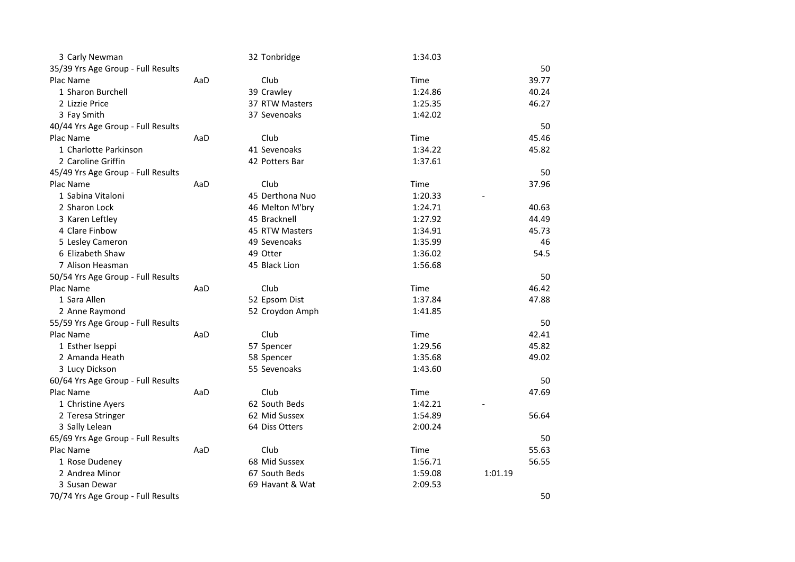| 3 Carly Newman                     |     | 32 Tonbridge    | 1:34.03 |         |
|------------------------------------|-----|-----------------|---------|---------|
| 35/39 Yrs Age Group - Full Results |     |                 |         | 50      |
| Plac Name                          | AaD | Club            | Time    | 39.77   |
| 1 Sharon Burchell                  |     | 39 Crawley      | 1:24.86 | 40.24   |
| 2 Lizzie Price                     |     | 37 RTW Masters  | 1:25.35 | 46.27   |
| 3 Fay Smith                        |     | 37 Sevenoaks    | 1:42.02 |         |
| 40/44 Yrs Age Group - Full Results |     |                 |         | 50      |
| Plac Name                          | AaD | Club            | Time    | 45.46   |
| 1 Charlotte Parkinson              |     | 41 Sevenoaks    | 1:34.22 | 45.82   |
| 2 Caroline Griffin                 |     | 42 Potters Bar  | 1:37.61 |         |
| 45/49 Yrs Age Group - Full Results |     |                 |         | 50      |
| Plac Name                          | AaD | Club            | Time    | 37.96   |
| 1 Sabina Vitaloni                  |     | 45 Derthona Nuo | 1:20.33 |         |
| 2 Sharon Lock                      |     | 46 Melton M'bry | 1:24.71 | 40.63   |
| 3 Karen Leftley                    |     | 45 Bracknell    | 1:27.92 | 44.49   |
| 4 Clare Finbow                     |     | 45 RTW Masters  | 1:34.91 | 45.73   |
| 5 Lesley Cameron                   |     | 49 Sevenoaks    | 1:35.99 | 46      |
| 6 Elizabeth Shaw                   |     | 49 Otter        | 1:36.02 | 54.5    |
| 7 Alison Heasman                   |     | 45 Black Lion   | 1:56.68 |         |
| 50/54 Yrs Age Group - Full Results |     |                 |         | 50      |
| Plac Name                          | AaD | Club            | Time    | 46.42   |
| 1 Sara Allen                       |     | 52 Epsom Dist   | 1:37.84 | 47.88   |
| 2 Anne Raymond                     |     | 52 Croydon Amph | 1:41.85 |         |
| 55/59 Yrs Age Group - Full Results |     |                 |         | 50      |
| Plac Name                          | AaD | Club            | Time    | 42.41   |
| 1 Esther Iseppi                    |     | 57 Spencer      | 1:29.56 | 45.82   |
| 2 Amanda Heath                     |     | 58 Spencer      | 1:35.68 | 49.02   |
| 3 Lucy Dickson                     |     | 55 Sevenoaks    | 1:43.60 |         |
| 60/64 Yrs Age Group - Full Results |     |                 |         | 50      |
| Plac Name                          | AaD | Club            | Time    | 47.69   |
| 1 Christine Ayers                  |     | 62 South Beds   | 1:42.21 |         |
| 2 Teresa Stringer                  |     | 62 Mid Sussex   | 1:54.89 | 56.64   |
| 3 Sally Lelean                     |     | 64 Diss Otters  | 2:00.24 |         |
| 65/69 Yrs Age Group - Full Results |     |                 |         | 50      |
| Plac Name                          | AaD | Club            | Time    | 55.63   |
| 1 Rose Dudeney                     |     | 68 Mid Sussex   | 1:56.71 | 56.55   |
| 2 Andrea Minor                     |     | 67 South Beds   | 1:59.08 | 1:01.19 |
| 3 Susan Dewar                      |     | 69 Havant & Wat | 2:09.53 |         |
| 70/74 Yrs Age Group - Full Results |     |                 |         | 50      |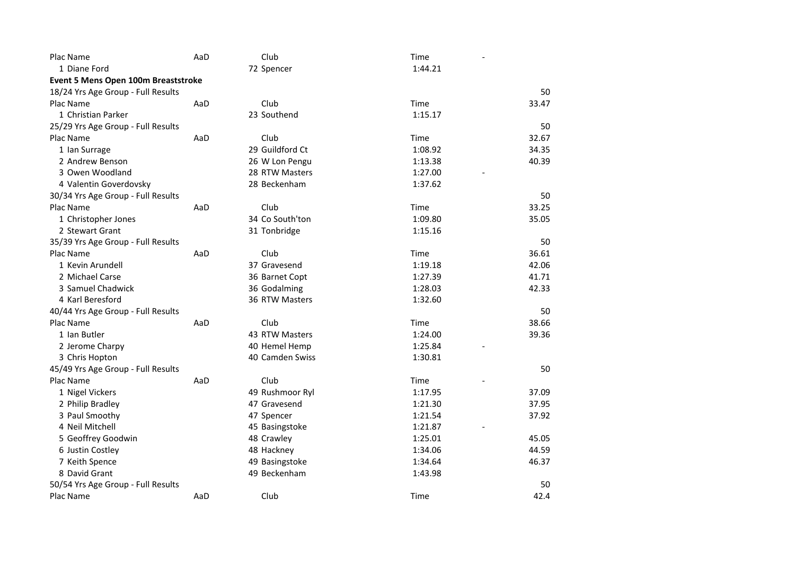| Plac Name                           | AaD | Club            | Time    |       |
|-------------------------------------|-----|-----------------|---------|-------|
| 1 Diane Ford                        |     | 72 Spencer      | 1:44.21 |       |
| Event 5 Mens Open 100m Breaststroke |     |                 |         |       |
| 18/24 Yrs Age Group - Full Results  |     |                 |         | 50    |
| Plac Name                           | AaD | Club            | Time    | 33.47 |
| 1 Christian Parker                  |     | 23 Southend     | 1:15.17 |       |
| 25/29 Yrs Age Group - Full Results  |     |                 |         | 50    |
| Plac Name                           | AaD | Club            | Time    | 32.67 |
| 1 Ian Surrage                       |     | 29 Guildford Ct | 1:08.92 | 34.35 |
| 2 Andrew Benson                     |     | 26 W Lon Pengu  | 1:13.38 | 40.39 |
| 3 Owen Woodland                     |     | 28 RTW Masters  | 1:27.00 |       |
| 4 Valentin Goverdovsky              |     | 28 Beckenham    | 1:37.62 |       |
| 30/34 Yrs Age Group - Full Results  |     |                 |         | 50    |
| Plac Name                           | AaD | Club            | Time    | 33.25 |
| 1 Christopher Jones                 |     | 34 Co South'ton | 1:09.80 | 35.05 |
| 2 Stewart Grant                     |     | 31 Tonbridge    | 1:15.16 |       |
| 35/39 Yrs Age Group - Full Results  |     |                 |         | 50    |
| Plac Name                           | AaD | Club            | Time    | 36.61 |
| 1 Kevin Arundell                    |     | 37 Gravesend    | 1:19.18 | 42.06 |
| 2 Michael Carse                     |     | 36 Barnet Copt  | 1:27.39 | 41.71 |
| 3 Samuel Chadwick                   |     | 36 Godalming    | 1:28.03 | 42.33 |
| 4 Karl Beresford                    |     | 36 RTW Masters  | 1:32.60 |       |
| 40/44 Yrs Age Group - Full Results  |     |                 |         | 50    |
| Plac Name                           | AaD | Club            | Time    | 38.66 |
| 1 Ian Butler                        |     | 43 RTW Masters  | 1:24.00 | 39.36 |
| 2 Jerome Charpy                     |     | 40 Hemel Hemp   | 1:25.84 |       |
| 3 Chris Hopton                      |     | 40 Camden Swiss | 1:30.81 |       |
| 45/49 Yrs Age Group - Full Results  |     |                 |         | 50    |
| Plac Name                           | AaD | Club            | Time    |       |
| 1 Nigel Vickers                     |     | 49 Rushmoor Ryl | 1:17.95 | 37.09 |
| 2 Philip Bradley                    |     | 47 Gravesend    | 1:21.30 | 37.95 |
| 3 Paul Smoothy                      |     | 47 Spencer      | 1:21.54 | 37.92 |
| 4 Neil Mitchell                     |     | 45 Basingstoke  | 1:21.87 |       |
| 5 Geoffrey Goodwin                  |     | 48 Crawley      | 1:25.01 | 45.05 |
| 6 Justin Costley                    |     | 48 Hackney      | 1:34.06 | 44.59 |
| 7 Keith Spence                      |     | 49 Basingstoke  | 1:34.64 | 46.37 |
| 8 David Grant                       |     | 49 Beckenham    | 1:43.98 |       |
| 50/54 Yrs Age Group - Full Results  |     |                 |         | 50    |
| Plac Name                           | AaD | Club            | Time    | 42.4  |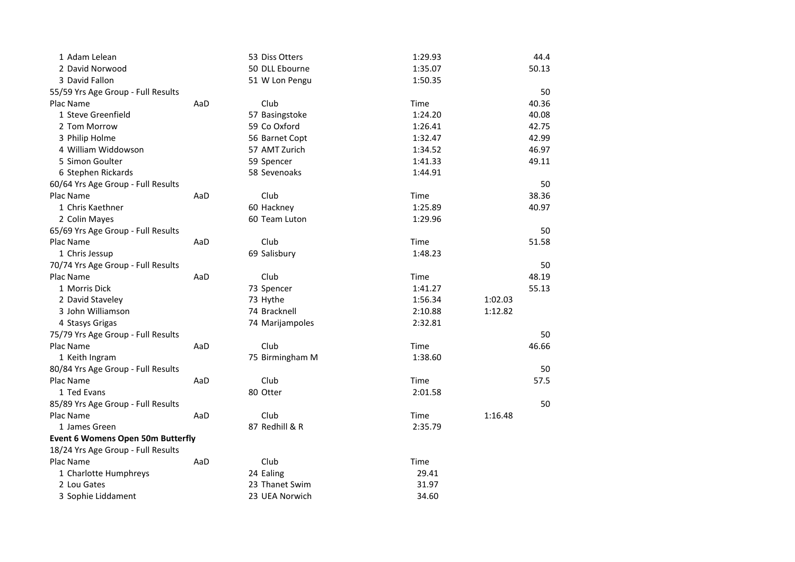| 1 Adam Lelean                            |     | 53 Diss Otters  | 1:29.93 |         | 44.4  |
|------------------------------------------|-----|-----------------|---------|---------|-------|
| 2 David Norwood                          |     | 50 DLL Ebourne  | 1:35.07 |         | 50.13 |
| 3 David Fallon                           |     | 51 W Lon Pengu  | 1:50.35 |         |       |
| 55/59 Yrs Age Group - Full Results       |     |                 |         |         | 50    |
| Plac Name                                | AaD | Club            | Time    |         | 40.36 |
| 1 Steve Greenfield                       |     | 57 Basingstoke  | 1:24.20 |         | 40.08 |
| 2 Tom Morrow                             |     | 59 Co Oxford    | 1:26.41 |         | 42.75 |
| 3 Philip Holme                           |     | 56 Barnet Copt  | 1:32.47 |         | 42.99 |
| 4 William Widdowson                      |     | 57 AMT Zurich   | 1:34.52 |         | 46.97 |
| 5 Simon Goulter                          |     | 59 Spencer      | 1:41.33 |         | 49.11 |
| 6 Stephen Rickards                       |     | 58 Sevenoaks    | 1:44.91 |         |       |
| 60/64 Yrs Age Group - Full Results       |     |                 |         |         | 50    |
| Plac Name                                | AaD | Club            | Time    |         | 38.36 |
| 1 Chris Kaethner                         |     | 60 Hackney      | 1:25.89 |         | 40.97 |
| 2 Colin Mayes                            |     | 60 Team Luton   | 1:29.96 |         |       |
| 65/69 Yrs Age Group - Full Results       |     |                 |         |         | 50    |
| Plac Name                                | AaD | Club            | Time    |         | 51.58 |
| 1 Chris Jessup                           |     | 69 Salisbury    | 1:48.23 |         |       |
| 70/74 Yrs Age Group - Full Results       |     |                 |         |         | 50    |
| Plac Name                                | AaD | Club            | Time    |         | 48.19 |
| 1 Morris Dick                            |     | 73 Spencer      | 1:41.27 |         | 55.13 |
| 2 David Staveley                         |     | 73 Hythe        | 1:56.34 | 1:02.03 |       |
| 3 John Williamson                        |     | 74 Bracknell    | 2:10.88 | 1:12.82 |       |
| 4 Stasys Grigas                          |     | 74 Marijampoles | 2:32.81 |         |       |
| 75/79 Yrs Age Group - Full Results       |     |                 |         |         | 50    |
| Plac Name                                | AaD | Club            | Time    |         | 46.66 |
| 1 Keith Ingram                           |     | 75 Birmingham M | 1:38.60 |         |       |
| 80/84 Yrs Age Group - Full Results       |     |                 |         |         | 50    |
| Plac Name                                | AaD | Club            | Time    |         | 57.5  |
| 1 Ted Evans                              |     | 80 Otter        | 2:01.58 |         |       |
| 85/89 Yrs Age Group - Full Results       |     |                 |         |         | 50    |
| Plac Name                                | AaD | Club            | Time    | 1:16.48 |       |
| 1 James Green                            |     | 87 Redhill & R  | 2:35.79 |         |       |
| <b>Event 6 Womens Open 50m Butterfly</b> |     |                 |         |         |       |
| 18/24 Yrs Age Group - Full Results       |     |                 |         |         |       |
| Plac Name                                | AaD | Club            | Time    |         |       |
| 1 Charlotte Humphreys                    |     | 24 Ealing       | 29.41   |         |       |
| 2 Lou Gates                              |     | 23 Thanet Swim  | 31.97   |         |       |
| 3 Sophie Liddament                       |     | 23 UEA Norwich  | 34.60   |         |       |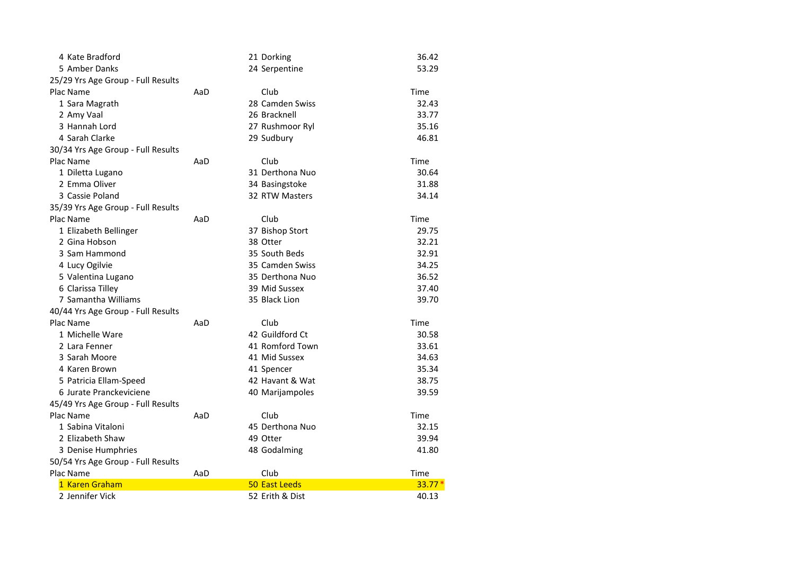| 4 Kate Bradford                    |     | 21 Dorking           | 36.42    |
|------------------------------------|-----|----------------------|----------|
| 5 Amber Danks                      |     | 24 Serpentine        | 53.29    |
| 25/29 Yrs Age Group - Full Results |     |                      |          |
| Plac Name                          | AaD | Club                 | Time     |
| 1 Sara Magrath                     |     | 28 Camden Swiss      | 32.43    |
| 2 Amy Vaal                         |     | 26 Bracknell         | 33.77    |
| 3 Hannah Lord                      |     | 27 Rushmoor Ryl      | 35.16    |
| 4 Sarah Clarke                     |     | 29 Sudbury           | 46.81    |
| 30/34 Yrs Age Group - Full Results |     |                      |          |
| Plac Name                          | AaD | Club                 | Time     |
| 1 Diletta Lugano                   |     | 31 Derthona Nuo      | 30.64    |
| 2 Emma Oliver                      |     | 34 Basingstoke       | 31.88    |
| 3 Cassie Poland                    |     | 32 RTW Masters       | 34.14    |
| 35/39 Yrs Age Group - Full Results |     |                      |          |
| Plac Name                          | AaD | Club                 | Time     |
| 1 Elizabeth Bellinger              |     | 37 Bishop Stort      | 29.75    |
| 2 Gina Hobson                      |     | 38 Otter             | 32.21    |
| 3 Sam Hammond                      |     | 35 South Beds        | 32.91    |
| 4 Lucy Ogilvie                     |     | 35 Camden Swiss      | 34.25    |
| 5 Valentina Lugano                 |     | 35 Derthona Nuo      | 36.52    |
| 6 Clarissa Tilley                  |     | 39 Mid Sussex        | 37.40    |
| 7 Samantha Williams                |     | 35 Black Lion        | 39.70    |
| 40/44 Yrs Age Group - Full Results |     |                      |          |
| Plac Name                          | AaD | Club                 | Time     |
| 1 Michelle Ware                    |     | 42 Guildford Ct      | 30.58    |
| 2 Lara Fenner                      |     | 41 Romford Town      | 33.61    |
| 3 Sarah Moore                      |     | 41 Mid Sussex        | 34.63    |
| 4 Karen Brown                      |     | 41 Spencer           | 35.34    |
| 5 Patricia Ellam-Speed             |     | 42 Havant & Wat      | 38.75    |
| 6 Jurate Pranckeviciene            |     | 40 Marijampoles      | 39.59    |
| 45/49 Yrs Age Group - Full Results |     |                      |          |
| Plac Name                          | AaD | Club                 | Time     |
| 1 Sabina Vitaloni                  |     | 45 Derthona Nuo      | 32.15    |
| 2 Elizabeth Shaw                   |     | 49 Otter             | 39.94    |
| 3 Denise Humphries                 |     | 48 Godalming         | 41.80    |
| 50/54 Yrs Age Group - Full Results |     |                      |          |
| Plac Name                          | AaD | Club                 | Time     |
| 1 Karen Graham                     |     | <b>50 East Leeds</b> | $33.77*$ |
| 2 Jennifer Vick                    |     | 52 Erith & Dist      | 40.13    |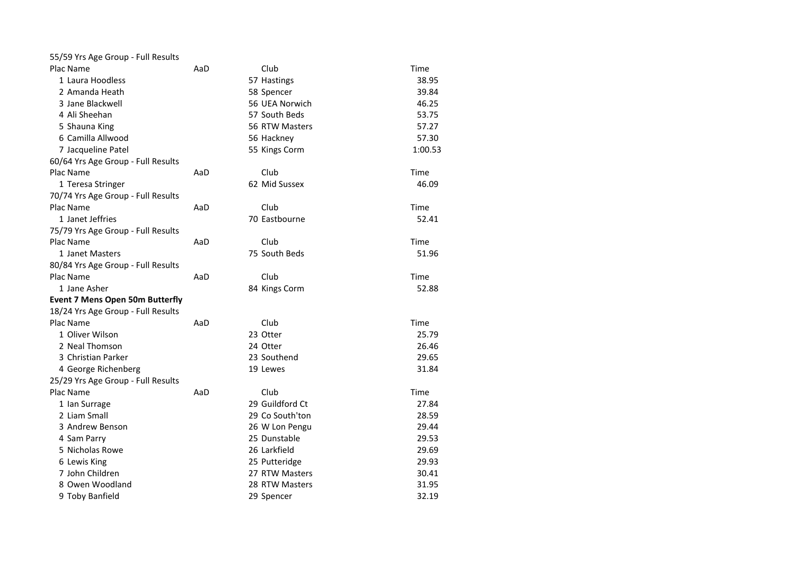| 55/59 Yrs Age Group - Full Results     |     |                 |         |
|----------------------------------------|-----|-----------------|---------|
| Plac Name                              | AaD | Club            | Time    |
| 1 Laura Hoodless                       |     | 57 Hastings     | 38.95   |
| 2 Amanda Heath                         |     | 58 Spencer      | 39.84   |
| 3 Jane Blackwell                       |     | 56 UEA Norwich  | 46.25   |
| 4 Ali Sheehan                          |     | 57 South Beds   | 53.75   |
| 5 Shauna King                          |     | 56 RTW Masters  | 57.27   |
| 6 Camilla Allwood                      |     | 56 Hackney      | 57.30   |
| 7 Jacqueline Patel                     |     | 55 Kings Corm   | 1:00.53 |
| 60/64 Yrs Age Group - Full Results     |     |                 |         |
| Plac Name                              | AaD | Club            | Time    |
| 1 Teresa Stringer                      |     | 62 Mid Sussex   | 46.09   |
| 70/74 Yrs Age Group - Full Results     |     |                 |         |
| Plac Name                              | AaD | Club            | Time    |
| 1 Janet Jeffries                       |     | 70 Eastbourne   | 52.41   |
| 75/79 Yrs Age Group - Full Results     |     |                 |         |
| Plac Name                              | AaD | Club            | Time    |
| 1 Janet Masters                        |     | 75 South Beds   | 51.96   |
| 80/84 Yrs Age Group - Full Results     |     |                 |         |
| Plac Name                              | AaD | Club            | Time    |
| 1 Jane Asher                           |     | 84 Kings Corm   | 52.88   |
| <b>Event 7 Mens Open 50m Butterfly</b> |     |                 |         |
| 18/24 Yrs Age Group - Full Results     |     |                 |         |
| Plac Name                              | AaD | Club            | Time    |
| 1 Oliver Wilson                        |     | 23 Otter        | 25.79   |
| 2 Neal Thomson                         |     | 24 Otter        | 26.46   |
| 3 Christian Parker                     |     | 23 Southend     | 29.65   |
| 4 George Richenberg                    |     | 19 Lewes        | 31.84   |
| 25/29 Yrs Age Group - Full Results     |     |                 |         |
| Plac Name                              | AaD | Club            | Time    |
| 1 Ian Surrage                          |     | 29 Guildford Ct | 27.84   |
| 2 Liam Small                           |     | 29 Co South'ton | 28.59   |
| 3 Andrew Benson                        |     | 26 W Lon Pengu  | 29.44   |
| 4 Sam Parry                            |     | 25 Dunstable    | 29.53   |
| 5 Nicholas Rowe                        |     | 26 Larkfield    | 29.69   |
| 6 Lewis King                           |     | 25 Putteridge   | 29.93   |
| 7 John Children                        |     | 27 RTW Masters  | 30.41   |
| 8 Owen Woodland                        |     | 28 RTW Masters  | 31.95   |
| 9 Toby Banfield                        |     | 29 Spencer      | 32.19   |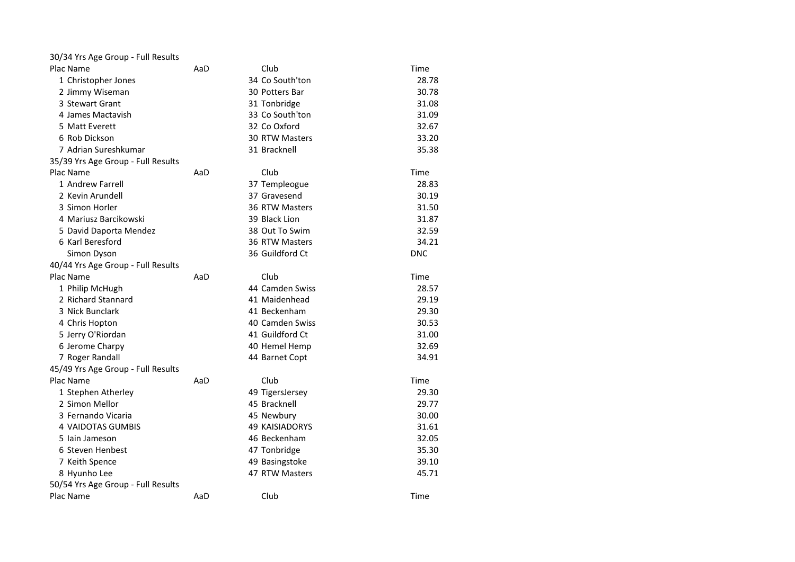| 30/34 Yrs Age Group - Full Results |     |                       |            |
|------------------------------------|-----|-----------------------|------------|
| Plac Name                          | AaD | Club                  | Time       |
| 1 Christopher Jones                |     | 34 Co South'ton       | 28.78      |
| 2 Jimmy Wiseman                    |     | 30 Potters Bar        | 30.78      |
| 3 Stewart Grant                    |     | 31 Tonbridge          | 31.08      |
| 4 James Mactavish                  |     | 33 Co South'ton       | 31.09      |
| 5 Matt Everett                     |     | 32 Co Oxford          | 32.67      |
| 6 Rob Dickson                      |     | 30 RTW Masters        | 33.20      |
| 7 Adrian Sureshkumar               |     | 31 Bracknell          | 35.38      |
| 35/39 Yrs Age Group - Full Results |     |                       |            |
| Plac Name                          | AaD | Club                  | Time       |
| 1 Andrew Farrell                   |     | 37 Templeogue         | 28.83      |
| 2 Kevin Arundell                   |     | 37 Gravesend          | 30.19      |
| 3 Simon Horler                     |     | 36 RTW Masters        | 31.50      |
| 4 Mariusz Barcikowski              |     | 39 Black Lion         | 31.87      |
| 5 David Daporta Mendez             |     | 38 Out To Swim        | 32.59      |
| 6 Karl Beresford                   |     | 36 RTW Masters        | 34.21      |
| Simon Dyson                        |     | 36 Guildford Ct       | <b>DNC</b> |
| 40/44 Yrs Age Group - Full Results |     |                       |            |
| Plac Name                          | AaD | Club                  | Time       |
| 1 Philip McHugh                    |     | 44 Camden Swiss       | 28.57      |
| 2 Richard Stannard                 |     | 41 Maidenhead         | 29.19      |
| 3 Nick Bunclark                    |     | 41 Beckenham          | 29.30      |
| 4 Chris Hopton                     |     | 40 Camden Swiss       | 30.53      |
| 5 Jerry O'Riordan                  |     | 41 Guildford Ct       | 31.00      |
| 6 Jerome Charpy                    |     | 40 Hemel Hemp         | 32.69      |
| 7 Roger Randall                    |     | 44 Barnet Copt        | 34.91      |
| 45/49 Yrs Age Group - Full Results |     |                       |            |
| Plac Name                          | AaD | Club                  | Time       |
| 1 Stephen Atherley                 |     | 49 TigersJersey       | 29.30      |
| 2 Simon Mellor                     |     | 45 Bracknell          | 29.77      |
| 3 Fernando Vicaria                 |     | 45 Newbury            | 30.00      |
| <b>4 VAIDOTAS GUMBIS</b>           |     | <b>49 KAISIADORYS</b> | 31.61      |
| 5 Iain Jameson                     |     | 46 Beckenham          | 32.05      |
| 6 Steven Henbest                   |     | 47 Tonbridge          | 35.30      |
| 7 Keith Spence                     |     | 49 Basingstoke        | 39.10      |
| 8 Hyunho Lee                       |     | 47 RTW Masters        | 45.71      |
| 50/54 Yrs Age Group - Full Results |     |                       |            |
| Plac Name                          | AaD | Club                  | Time       |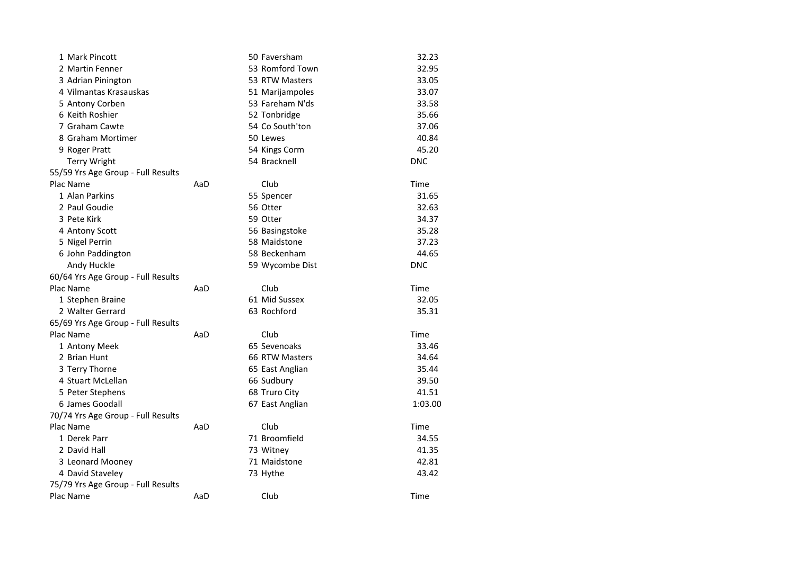| 1 Mark Pincott                     |     | 50 Faversham    | 32.23      |
|------------------------------------|-----|-----------------|------------|
| 2 Martin Fenner                    |     | 53 Romford Town | 32.95      |
| 3 Adrian Pinington                 |     | 53 RTW Masters  | 33.05      |
| 4 Vilmantas Krasauskas             |     | 51 Marijampoles | 33.07      |
| 5 Antony Corben                    |     | 53 Fareham N'ds | 33.58      |
| 6 Keith Roshier                    |     | 52 Tonbridge    | 35.66      |
| 7 Graham Cawte                     |     | 54 Co South'ton | 37.06      |
| 8 Graham Mortimer                  |     | 50 Lewes        | 40.84      |
| 9 Roger Pratt                      |     | 54 Kings Corm   | 45.20      |
| <b>Terry Wright</b>                |     | 54 Bracknell    | <b>DNC</b> |
| 55/59 Yrs Age Group - Full Results |     |                 |            |
| Plac Name                          | AaD | Club            | Time       |
| 1 Alan Parkins                     |     | 55 Spencer      | 31.65      |
| 2 Paul Goudie                      |     | 56 Otter        | 32.63      |
| 3 Pete Kirk                        |     | 59 Otter        | 34.37      |
| 4 Antony Scott                     |     | 56 Basingstoke  | 35.28      |
| 5 Nigel Perrin                     |     | 58 Maidstone    | 37.23      |
| 6 John Paddington                  |     | 58 Beckenham    | 44.65      |
| Andy Huckle                        |     | 59 Wycombe Dist | <b>DNC</b> |
| 60/64 Yrs Age Group - Full Results |     |                 |            |
| Plac Name                          | AaD | Club            | Time       |
| 1 Stephen Braine                   |     | 61 Mid Sussex   | 32.05      |
| 2 Walter Gerrard                   |     | 63 Rochford     | 35.31      |
| 65/69 Yrs Age Group - Full Results |     |                 |            |
| Plac Name                          | AaD | Club            | Time       |
| 1 Antony Meek                      |     | 65 Sevenoaks    | 33.46      |
| 2 Brian Hunt                       |     | 66 RTW Masters  | 34.64      |
| 3 Terry Thorne                     |     | 65 East Anglian | 35.44      |
| 4 Stuart McLellan                  |     | 66 Sudbury      | 39.50      |
| 5 Peter Stephens                   |     | 68 Truro City   | 41.51      |
| 6 James Goodall                    |     | 67 East Anglian | 1:03.00    |
| 70/74 Yrs Age Group - Full Results |     |                 |            |
| Plac Name                          | AaD | Club            | Time       |
| 1 Derek Parr                       |     | 71 Broomfield   | 34.55      |
| 2 David Hall                       |     | 73 Witney       | 41.35      |
| 3 Leonard Mooney                   |     | 71 Maidstone    | 42.81      |
| 4 David Staveley                   |     | 73 Hythe        | 43.42      |
| 75/79 Yrs Age Group - Full Results |     |                 |            |
| Plac Name                          | AaD | Club            | Time       |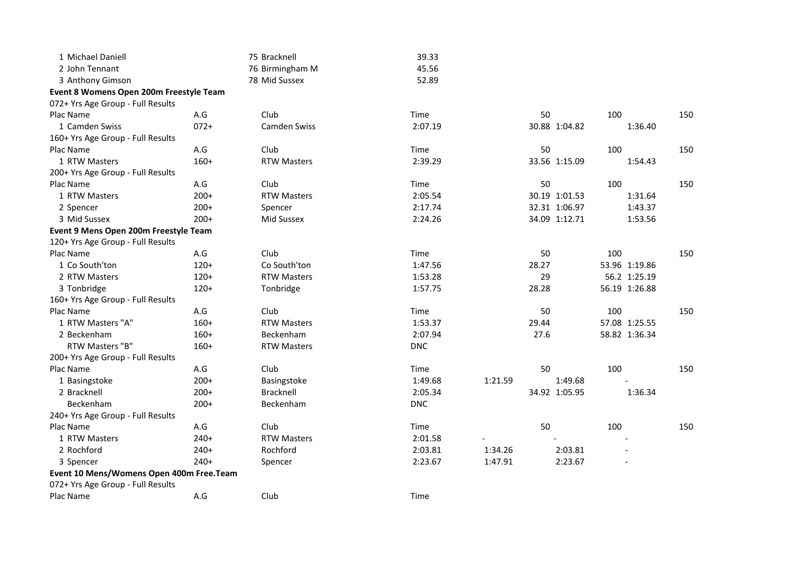| 1 Michael Daniell                        |        | 75 Bracknell        | 39.33      |         |       |               |     |               |     |
|------------------------------------------|--------|---------------------|------------|---------|-------|---------------|-----|---------------|-----|
| 2 John Tennant                           |        | 76 Birmingham M     | 45.56      |         |       |               |     |               |     |
| 3 Anthony Gimson                         |        | 78 Mid Sussex       | 52.89      |         |       |               |     |               |     |
| Event 8 Womens Open 200m Freestyle Team  |        |                     |            |         |       |               |     |               |     |
| 072+ Yrs Age Group - Full Results        |        |                     |            |         |       |               |     |               |     |
| Plac Name                                | A.G    | Club                | Time       |         | 50    |               | 100 |               | 150 |
| 1 Camden Swiss                           | $072+$ | <b>Camden Swiss</b> | 2:07.19    |         |       | 30.88 1:04.82 |     | 1:36.40       |     |
| 160+ Yrs Age Group - Full Results        |        |                     |            |         |       |               |     |               |     |
| Plac Name                                | A.G    | Club                | Time       |         | 50    |               | 100 |               | 150 |
| 1 RTW Masters                            | $160+$ | <b>RTW Masters</b>  | 2:39.29    |         |       | 33.56 1:15.09 |     | 1:54.43       |     |
| 200+ Yrs Age Group - Full Results        |        |                     |            |         |       |               |     |               |     |
| Plac Name                                | A.G    | Club                | Time       |         | 50    |               | 100 |               | 150 |
| 1 RTW Masters                            | $200+$ | <b>RTW Masters</b>  | 2:05.54    |         |       | 30.19 1:01.53 |     | 1:31.64       |     |
| 2 Spencer                                | $200+$ | Spencer             | 2:17.74    |         |       | 32.31 1:06.97 |     | 1:43.37       |     |
| 3 Mid Sussex                             | $200+$ | Mid Sussex          | 2:24.26    |         |       | 34.09 1:12.71 |     | 1:53.56       |     |
| Event 9 Mens Open 200m Freestyle Team    |        |                     |            |         |       |               |     |               |     |
| 120+ Yrs Age Group - Full Results        |        |                     |            |         |       |               |     |               |     |
| Plac Name                                | A.G    | Club                | Time       |         | 50    |               | 100 |               | 150 |
| 1 Co South'ton                           | $120+$ | Co South'ton        | 1:47.56    |         | 28.27 |               |     | 53.96 1:19.86 |     |
| 2 RTW Masters                            | $120+$ | <b>RTW Masters</b>  | 1:53.28    |         | 29    |               |     | 56.2 1:25.19  |     |
| 3 Tonbridge                              | $120+$ | Tonbridge           | 1:57.75    |         | 28.28 |               |     | 56.19 1:26.88 |     |
| 160+ Yrs Age Group - Full Results        |        |                     |            |         |       |               |     |               |     |
| Plac Name                                | A.G    | Club                | Time       |         | 50    |               | 100 |               | 150 |
| 1 RTW Masters "A"                        | $160+$ | <b>RTW Masters</b>  | 1:53.37    |         | 29.44 |               |     | 57.08 1:25.55 |     |
| 2 Beckenham                              | $160+$ | Beckenham           | 2:07.94    |         | 27.6  |               |     | 58.82 1:36.34 |     |
| RTW Masters "B"                          | $160+$ | <b>RTW Masters</b>  | <b>DNC</b> |         |       |               |     |               |     |
| 200+ Yrs Age Group - Full Results        |        |                     |            |         |       |               |     |               |     |
| Plac Name                                | A.G    | Club                | Time       |         | 50    |               | 100 |               | 150 |
| 1 Basingstoke                            | $200+$ | Basingstoke         | 1:49.68    | 1:21.59 |       | 1:49.68       |     |               |     |
| 2 Bracknell                              | $200+$ | <b>Bracknell</b>    | 2:05.34    |         |       | 34.92 1:05.95 |     | 1:36.34       |     |
| Beckenham                                | $200+$ | Beckenham           | <b>DNC</b> |         |       |               |     |               |     |
| 240+ Yrs Age Group - Full Results        |        |                     |            |         |       |               |     |               |     |
| Plac Name                                | A.G    | Club                | Time       |         | 50    |               | 100 |               | 150 |
| 1 RTW Masters                            | $240+$ | <b>RTW Masters</b>  | 2:01.58    |         |       |               |     |               |     |
| 2 Rochford                               | $240+$ | Rochford            | 2:03.81    | 1:34.26 |       | 2:03.81       |     |               |     |
| 3 Spencer                                | $240+$ | Spencer             | 2:23.67    | 1:47.91 |       | 2:23.67       |     |               |     |
| Event 10 Mens/Womens Open 400m Free.Team |        |                     |            |         |       |               |     |               |     |
| 072+ Yrs Age Group - Full Results        |        |                     |            |         |       |               |     |               |     |
| Plac Name                                | A.G    | Club                | Time       |         |       |               |     |               |     |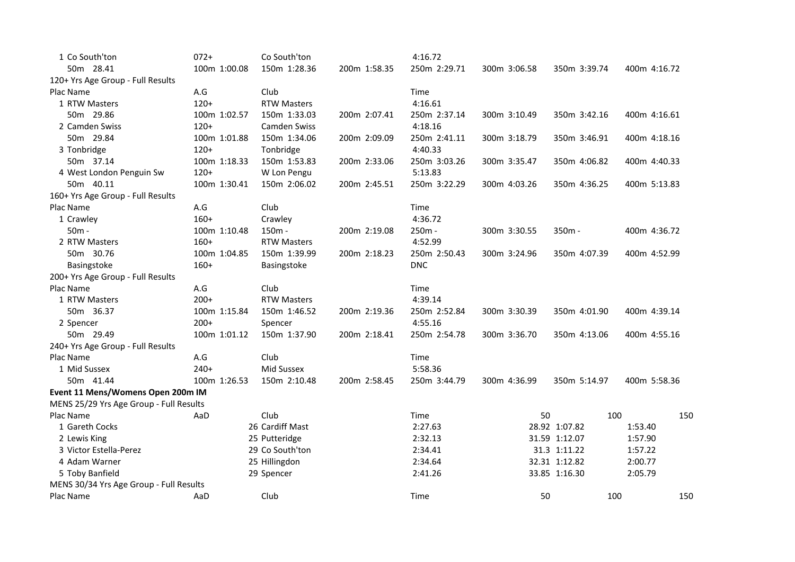| 1 Co South'ton                          | $072+$       | Co South'ton        |              | 4:16.72      |              |               |              |
|-----------------------------------------|--------------|---------------------|--------------|--------------|--------------|---------------|--------------|
| 50m 28.41                               | 100m 1:00.08 | 150m 1:28.36        | 200m 1:58.35 | 250m 2:29.71 | 300m 3:06.58 | 350m 3:39.74  | 400m 4:16.72 |
| 120+ Yrs Age Group - Full Results       |              |                     |              |              |              |               |              |
| Plac Name                               | A.G          | Club                |              | Time         |              |               |              |
| 1 RTW Masters                           | $120+$       | <b>RTW Masters</b>  |              | 4:16.61      |              |               |              |
| 50m 29.86                               | 100m 1:02.57 | 150m 1:33.03        | 200m 2:07.41 | 250m 2:37.14 | 300m 3:10.49 | 350m 3:42.16  | 400m 4:16.61 |
| 2 Camden Swiss                          | $120+$       | <b>Camden Swiss</b> |              | 4:18.16      |              |               |              |
| 50m 29.84                               | 100m 1:01.88 | 150m 1:34.06        | 200m 2:09.09 | 250m 2:41.11 | 300m 3:18.79 | 350m 3:46.91  | 400m 4:18.16 |
| 3 Tonbridge                             | $120+$       | Tonbridge           |              | 4:40.33      |              |               |              |
| 50m 37.14                               | 100m 1:18.33 | 150m 1:53.83        | 200m 2:33.06 | 250m 3:03.26 | 300m 3:35.47 | 350m 4:06.82  | 400m 4:40.33 |
| 4 West London Penguin Sw                | $120+$       | W Lon Pengu         |              | 5:13.83      |              |               |              |
| 50m 40.11                               | 100m 1:30.41 | 150m 2:06.02        | 200m 2:45.51 | 250m 3:22.29 | 300m 4:03.26 | 350m 4:36.25  | 400m 5:13.83 |
| 160+ Yrs Age Group - Full Results       |              |                     |              |              |              |               |              |
| Plac Name                               | A.G          | Club                |              | Time         |              |               |              |
| 1 Crawley                               | $160+$       | Crawley             |              | 4:36.72      |              |               |              |
| $50m -$                                 | 100m 1:10.48 | 150m -              | 200m 2:19.08 | 250m -       | 300m 3:30.55 | $350m -$      | 400m 4:36.72 |
| 2 RTW Masters                           | $160+$       | <b>RTW Masters</b>  |              | 4:52.99      |              |               |              |
| 50m 30.76                               | 100m 1:04.85 | 150m 1:39.99        | 200m 2:18.23 | 250m 2:50.43 | 300m 3:24.96 | 350m 4:07.39  | 400m 4:52.99 |
| <b>Basingstoke</b>                      | $160+$       | <b>Basingstoke</b>  |              | <b>DNC</b>   |              |               |              |
| 200+ Yrs Age Group - Full Results       |              |                     |              |              |              |               |              |
| Plac Name                               | A.G          | Club                |              | Time         |              |               |              |
| 1 RTW Masters                           | $200+$       | <b>RTW Masters</b>  |              | 4:39.14      |              |               |              |
| 50m 36.37                               | 100m 1:15.84 | 150m 1:46.52        | 200m 2:19.36 | 250m 2:52.84 | 300m 3:30.39 | 350m 4:01.90  | 400m 4:39.14 |
| 2 Spencer                               | $200+$       | Spencer             |              | 4:55.16      |              |               |              |
| 50m 29.49                               | 100m 1:01.12 | 150m 1:37.90        | 200m 2:18.41 | 250m 2:54.78 | 300m 3:36.70 | 350m 4:13.06  | 400m 4:55.16 |
| 240+ Yrs Age Group - Full Results       |              |                     |              |              |              |               |              |
| Plac Name                               | A.G          | Club                |              | Time         |              |               |              |
| 1 Mid Sussex                            | $240+$       | Mid Sussex          |              | 5:58.36      |              |               |              |
| 50m 41.44                               | 100m 1:26.53 | 150m 2:10.48        | 200m 2:58.45 | 250m 3:44.79 | 300m 4:36.99 | 350m 5:14.97  | 400m 5:58.36 |
| Event 11 Mens/Womens Open 200m IM       |              |                     |              |              |              |               |              |
| MENS 25/29 Yrs Age Group - Full Results |              |                     |              |              |              |               |              |
| Plac Name                               | AaD          | Club                |              | Time         | 50           | 100           | 150          |
| 1 Gareth Cocks                          |              | 26 Cardiff Mast     |              | 2:27.63      |              | 28.92 1:07.82 | 1:53.40      |
| 2 Lewis King                            |              | 25 Putteridge       |              | 2:32.13      |              | 31.59 1:12.07 | 1:57.90      |
| 3 Victor Estella-Perez                  |              | 29 Co South'ton     |              | 2:34.41      |              | 31.3 1:11.22  | 1:57.22      |
| 4 Adam Warner                           |              | 25 Hillingdon       |              | 2:34.64      |              | 32.31 1:12.82 | 2:00.77      |
| 5 Toby Banfield                         |              | 29 Spencer          |              | 2:41.26      |              | 33.85 1:16.30 | 2:05.79      |
| MENS 30/34 Yrs Age Group - Full Results |              |                     |              |              |              |               |              |
| Plac Name                               | AaD          | Club                |              | Time         | 50           | 100           | 150          |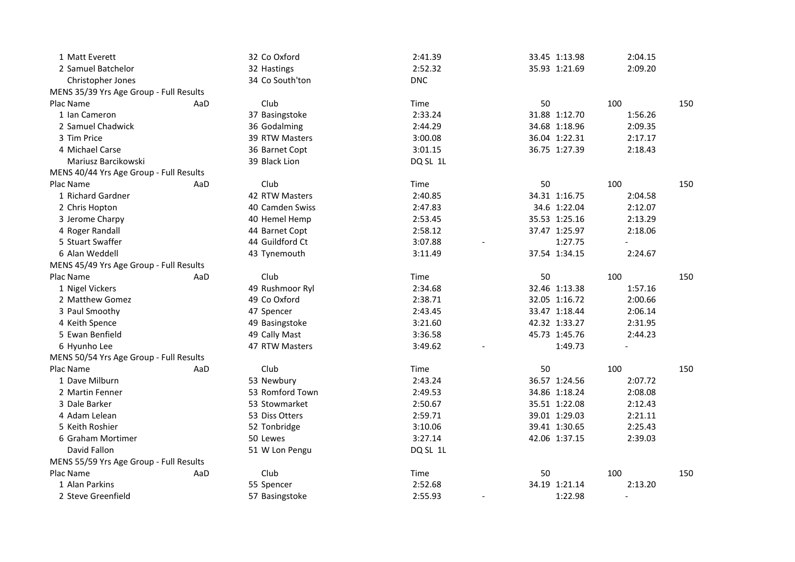| 1 Matt Everett                          |     | 32 Co Oxford    | 2:41.39    | 33.45 1:13.98 | 2:04.15        |     |
|-----------------------------------------|-----|-----------------|------------|---------------|----------------|-----|
| 2 Samuel Batchelor                      |     | 32 Hastings     | 2:52.32    | 35.93 1:21.69 | 2:09.20        |     |
| <b>Christopher Jones</b>                |     | 34 Co South'ton | <b>DNC</b> |               |                |     |
| MENS 35/39 Yrs Age Group - Full Results |     |                 |            |               |                |     |
| Plac Name                               | AaD | Club            | Time       | 50            | 100            | 150 |
| 1 Ian Cameron                           |     | 37 Basingstoke  | 2:33.24    | 31.88 1:12.70 | 1:56.26        |     |
| 2 Samuel Chadwick                       |     | 36 Godalming    | 2:44.29    | 34.68 1:18.96 | 2:09.35        |     |
| 3 Tim Price                             |     | 39 RTW Masters  | 3:00.08    | 36.04 1:22.31 | 2:17.17        |     |
| 4 Michael Carse                         |     | 36 Barnet Copt  | 3:01.15    | 36.75 1:27.39 | 2:18.43        |     |
| Mariusz Barcikowski                     |     | 39 Black Lion   | DQ SL 1L   |               |                |     |
| MENS 40/44 Yrs Age Group - Full Results |     |                 |            |               |                |     |
| Plac Name                               | AaD | Club            | Time       | 50            | 100            | 150 |
| 1 Richard Gardner                       |     | 42 RTW Masters  | 2:40.85    | 34.31 1:16.75 | 2:04.58        |     |
| 2 Chris Hopton                          |     | 40 Camden Swiss | 2:47.83    | 34.6 1:22.04  | 2:12.07        |     |
| 3 Jerome Charpy                         |     | 40 Hemel Hemp   | 2:53.45    | 35.53 1:25.16 | 2:13.29        |     |
| 4 Roger Randall                         |     | 44 Barnet Copt  | 2:58.12    | 37.47 1:25.97 | 2:18.06        |     |
| 5 Stuart Swaffer                        |     | 44 Guildford Ct | 3:07.88    | 1:27.75       | $\overline{a}$ |     |
| 6 Alan Weddell                          |     | 43 Tynemouth    | 3:11.49    | 37.54 1:34.15 | 2:24.67        |     |
| MENS 45/49 Yrs Age Group - Full Results |     |                 |            |               |                |     |
| Plac Name                               | AaD | Club            | Time       | 50            | 100            | 150 |
| 1 Nigel Vickers                         |     | 49 Rushmoor Ryl | 2:34.68    | 32.46 1:13.38 | 1:57.16        |     |
| 2 Matthew Gomez                         |     | 49 Co Oxford    | 2:38.71    | 32.05 1:16.72 | 2:00.66        |     |
| 3 Paul Smoothy                          |     | 47 Spencer      | 2:43.45    | 33.47 1:18.44 | 2:06.14        |     |
| 4 Keith Spence                          |     | 49 Basingstoke  | 3:21.60    | 42.32 1:33.27 | 2:31.95        |     |
| 5 Ewan Benfield                         |     | 49 Cally Mast   | 3:36.58    | 45.73 1:45.76 | 2:44.23        |     |
| 6 Hyunho Lee                            |     | 47 RTW Masters  | 3:49.62    | 1:49.73       |                |     |
| MENS 50/54 Yrs Age Group - Full Results |     |                 |            |               |                |     |
| Plac Name                               | AaD | Club            | Time       | 50            | 100            | 150 |
| 1 Dave Milburn                          |     | 53 Newbury      | 2:43.24    | 36.57 1:24.56 | 2:07.72        |     |
| 2 Martin Fenner                         |     | 53 Romford Town | 2:49.53    | 34.86 1:18.24 | 2:08.08        |     |
| 3 Dale Barker                           |     | 53 Stowmarket   | 2:50.67    | 35.51 1:22.08 | 2:12.43        |     |
| 4 Adam Lelean                           |     | 53 Diss Otters  | 2:59.71    | 39.01 1:29.03 | 2:21.11        |     |
| 5 Keith Roshier                         |     | 52 Tonbridge    | 3:10.06    | 39.41 1:30.65 | 2:25.43        |     |
| 6 Graham Mortimer                       |     | 50 Lewes        | 3:27.14    | 42.06 1:37.15 | 2:39.03        |     |
| David Fallon                            |     | 51 W Lon Pengu  | DQ SL 1L   |               |                |     |
| MENS 55/59 Yrs Age Group - Full Results |     |                 |            |               |                |     |
| Plac Name                               | AaD | Club            | Time       | 50            | 100            | 150 |
| 1 Alan Parkins                          |     | 55 Spencer      | 2:52.68    | 34.19 1:21.14 | 2:13.20        |     |
| 2 Steve Greenfield                      |     | 57 Basingstoke  | 2:55.93    | 1:22.98       |                |     |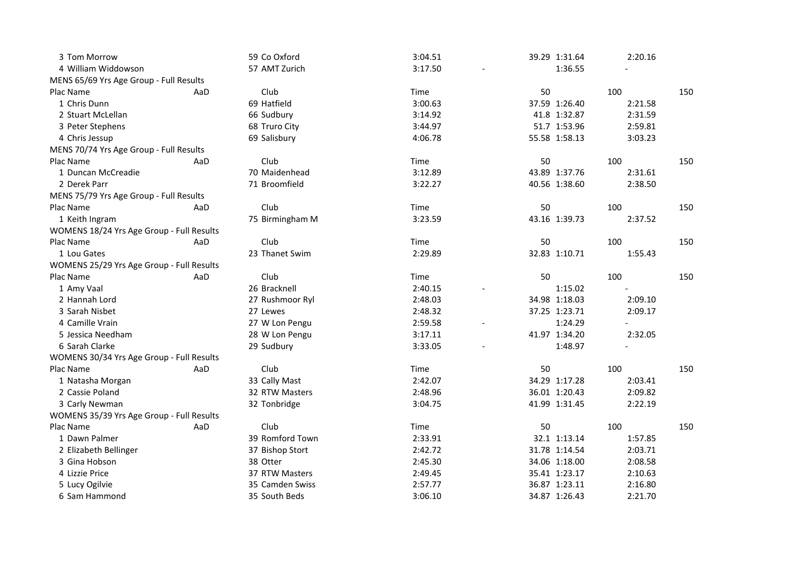| 3 Tom Morrow                              |     | 59 Co Oxford    | 3:04.51 |               | 39.29 1:31.64 | 2:20.16 |     |
|-------------------------------------------|-----|-----------------|---------|---------------|---------------|---------|-----|
| 4 William Widdowson                       |     | 57 AMT Zurich   | 3:17.50 |               | 1:36.55       |         |     |
| MENS 65/69 Yrs Age Group - Full Results   |     |                 |         |               |               |         |     |
| Plac Name                                 | AaD | Club            | Time    | 50            |               | 100     | 150 |
| 1 Chris Dunn                              |     | 69 Hatfield     | 3:00.63 |               | 37.59 1:26.40 | 2:21.58 |     |
| 2 Stuart McLellan                         |     | 66 Sudbury      | 3:14.92 |               | 41.8 1:32.87  | 2:31.59 |     |
| 3 Peter Stephens                          |     | 68 Truro City   | 3:44.97 |               | 51.7 1:53.96  | 2:59.81 |     |
| 4 Chris Jessup                            |     | 69 Salisbury    | 4:06.78 |               | 55.58 1:58.13 | 3:03.23 |     |
| MENS 70/74 Yrs Age Group - Full Results   |     |                 |         |               |               |         |     |
| Plac Name                                 | AaD | Club            | Time    | 50            |               | 100     | 150 |
| 1 Duncan McCreadie                        |     | 70 Maidenhead   | 3:12.89 |               | 43.89 1:37.76 | 2:31.61 |     |
| 2 Derek Parr                              |     | 71 Broomfield   | 3:22.27 |               | 40.56 1:38.60 | 2:38.50 |     |
| MENS 75/79 Yrs Age Group - Full Results   |     |                 |         |               |               |         |     |
| Plac Name                                 | AaD | Club            | Time    | 50            |               | 100     | 150 |
| 1 Keith Ingram                            |     | 75 Birmingham M | 3:23.59 |               | 43.16 1:39.73 | 2:37.52 |     |
| WOMENS 18/24 Yrs Age Group - Full Results |     |                 |         |               |               |         |     |
| Plac Name                                 | AaD | Club            | Time    | 50            |               | 100     | 150 |
| 1 Lou Gates                               |     | 23 Thanet Swim  | 2:29.89 |               | 32.83 1:10.71 | 1:55.43 |     |
| WOMENS 25/29 Yrs Age Group - Full Results |     |                 |         |               |               |         |     |
| Plac Name                                 | AaD | Club            | Time    | 50            |               | 100     | 150 |
| 1 Amy Vaal                                |     | 26 Bracknell    | 2:40.15 |               | 1:15.02       |         |     |
| 2 Hannah Lord                             |     | 27 Rushmoor Ryl | 2:48.03 |               | 34.98 1:18.03 | 2:09.10 |     |
| 3 Sarah Nisbet                            |     | 27 Lewes        | 2:48.32 |               | 37.25 1:23.71 | 2:09.17 |     |
| 4 Camille Vrain                           |     | 27 W Lon Pengu  | 2:59.58 |               | 1:24.29       |         |     |
| 5 Jessica Needham                         |     | 28 W Lon Pengu  | 3:17.11 | 41.97 1:34.20 |               | 2:32.05 |     |
| 6 Sarah Clarke                            |     | 29 Sudbury      | 3:33.05 |               | 1:48.97       |         |     |
| WOMENS 30/34 Yrs Age Group - Full Results |     |                 |         |               |               |         |     |
| Plac Name                                 | AaD | Club            | Time    | 50            |               | 100     | 150 |
| 1 Natasha Morgan                          |     | 33 Cally Mast   | 2:42.07 |               | 34.29 1:17.28 | 2:03.41 |     |
| 2 Cassie Poland                           |     | 32 RTW Masters  | 2:48.96 |               | 36.01 1:20.43 | 2:09.82 |     |
| 3 Carly Newman                            |     | 32 Tonbridge    | 3:04.75 |               | 41.99 1:31.45 | 2:22.19 |     |
| WOMENS 35/39 Yrs Age Group - Full Results |     |                 |         |               |               |         |     |
| Plac Name                                 | AaD | Club            | Time    | 50            |               | 100     | 150 |
| 1 Dawn Palmer                             |     | 39 Romford Town | 2:33.91 |               | 32.1 1:13.14  | 1:57.85 |     |
| 2 Elizabeth Bellinger                     |     | 37 Bishop Stort | 2:42.72 |               | 31.78 1:14.54 | 2:03.71 |     |
| 3 Gina Hobson                             |     | 38 Otter        | 2:45.30 |               | 34.06 1:18.00 | 2:08.58 |     |
| 4 Lizzie Price                            |     | 37 RTW Masters  | 2:49.45 |               | 35.41 1:23.17 | 2:10.63 |     |
| 5 Lucy Ogilvie                            |     | 35 Camden Swiss | 2:57.77 |               | 36.87 1:23.11 | 2:16.80 |     |
| 6 Sam Hammond                             |     | 35 South Beds   | 3:06.10 |               | 34.87 1:26.43 | 2:21.70 |     |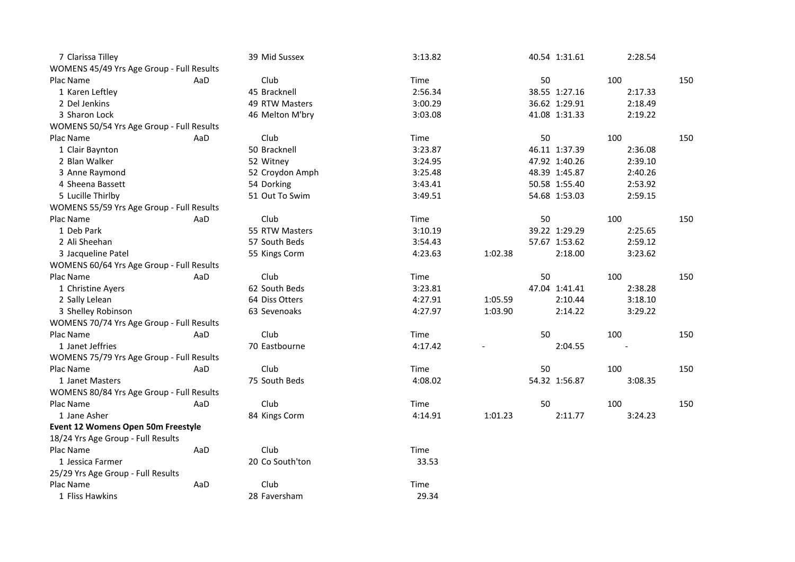| 7 Clarissa Tilley                         |     | 39 Mid Sussex   | 3:13.82 |         |    | 40.54 1:31.61 | 2:28.54 |     |
|-------------------------------------------|-----|-----------------|---------|---------|----|---------------|---------|-----|
| WOMENS 45/49 Yrs Age Group - Full Results |     |                 |         |         |    |               |         |     |
| Plac Name                                 | AaD | Club            | Time    |         | 50 |               | 100     | 150 |
| 1 Karen Leftley                           |     | 45 Bracknell    | 2:56.34 |         |    | 38.55 1:27.16 | 2:17.33 |     |
| 2 Del Jenkins                             |     | 49 RTW Masters  | 3:00.29 |         |    | 36.62 1:29.91 | 2:18.49 |     |
| 3 Sharon Lock                             |     | 46 Melton M'bry | 3:03.08 |         |    | 41.08 1:31.33 | 2:19.22 |     |
| WOMENS 50/54 Yrs Age Group - Full Results |     |                 |         |         |    |               |         |     |
| Plac Name                                 | AaD | Club            | Time    |         | 50 |               | 100     | 150 |
| 1 Clair Baynton                           |     | 50 Bracknell    | 3:23.87 |         |    | 46.11 1:37.39 | 2:36.08 |     |
| 2 Blan Walker                             |     | 52 Witney       | 3:24.95 |         |    | 47.92 1:40.26 | 2:39.10 |     |
| 3 Anne Raymond                            |     | 52 Croydon Amph | 3:25.48 |         |    | 48.39 1:45.87 | 2:40.26 |     |
| 4 Sheena Bassett                          |     | 54 Dorking      | 3:43.41 |         |    | 50.58 1:55.40 | 2:53.92 |     |
| 5 Lucille Thirlby                         |     | 51 Out To Swim  | 3:49.51 |         |    | 54.68 1:53.03 | 2:59.15 |     |
| WOMENS 55/59 Yrs Age Group - Full Results |     |                 |         |         |    |               |         |     |
| Plac Name                                 | AaD | Club            | Time    |         | 50 |               | 100     | 150 |
| 1 Deb Park                                |     | 55 RTW Masters  | 3:10.19 |         |    | 39.22 1:29.29 | 2:25.65 |     |
| 2 Ali Sheehan                             |     | 57 South Beds   | 3:54.43 |         |    | 57.67 1:53.62 | 2:59.12 |     |
| 3 Jacqueline Patel                        |     | 55 Kings Corm   | 4:23.63 | 1:02.38 |    | 2:18.00       | 3:23.62 |     |
| WOMENS 60/64 Yrs Age Group - Full Results |     |                 |         |         |    |               |         |     |
| Plac Name                                 | AaD | Club            | Time    |         | 50 |               | 100     | 150 |
| 1 Christine Ayers                         |     | 62 South Beds   | 3:23.81 |         |    | 47.04 1:41.41 | 2:38.28 |     |
| 2 Sally Lelean                            |     | 64 Diss Otters  | 4:27.91 | 1:05.59 |    | 2:10.44       | 3:18.10 |     |
| 3 Shelley Robinson                        |     | 63 Sevenoaks    | 4:27.97 | 1:03.90 |    | 2:14.22       | 3:29.22 |     |
| WOMENS 70/74 Yrs Age Group - Full Results |     |                 |         |         |    |               |         |     |
| Plac Name                                 | AaD | Club            | Time    |         | 50 |               | 100     | 150 |
| 1 Janet Jeffries                          |     | 70 Eastbourne   | 4:17.42 |         |    | 2:04.55       |         |     |
| WOMENS 75/79 Yrs Age Group - Full Results |     |                 |         |         |    |               |         |     |
| Plac Name                                 | AaD | Club            | Time    |         | 50 |               | 100     | 150 |
| 1 Janet Masters                           |     | 75 South Beds   | 4:08.02 |         |    | 54.32 1:56.87 | 3:08.35 |     |
| WOMENS 80/84 Yrs Age Group - Full Results |     |                 |         |         |    |               |         |     |
| Plac Name                                 | AaD | Club            | Time    |         | 50 |               | 100     | 150 |
| 1 Jane Asher                              |     | 84 Kings Corm   | 4:14.91 | 1:01.23 |    | 2:11.77       | 3:24.23 |     |
| Event 12 Womens Open 50m Freestyle        |     |                 |         |         |    |               |         |     |
| 18/24 Yrs Age Group - Full Results        |     |                 |         |         |    |               |         |     |
| Plac Name                                 | AaD | Club            | Time    |         |    |               |         |     |
| 1 Jessica Farmer                          |     | 20 Co South'ton | 33.53   |         |    |               |         |     |
| 25/29 Yrs Age Group - Full Results        |     |                 |         |         |    |               |         |     |
| Plac Name                                 | AaD | Club            | Time    |         |    |               |         |     |
| 1 Fliss Hawkins                           |     | 28 Faversham    | 29.34   |         |    |               |         |     |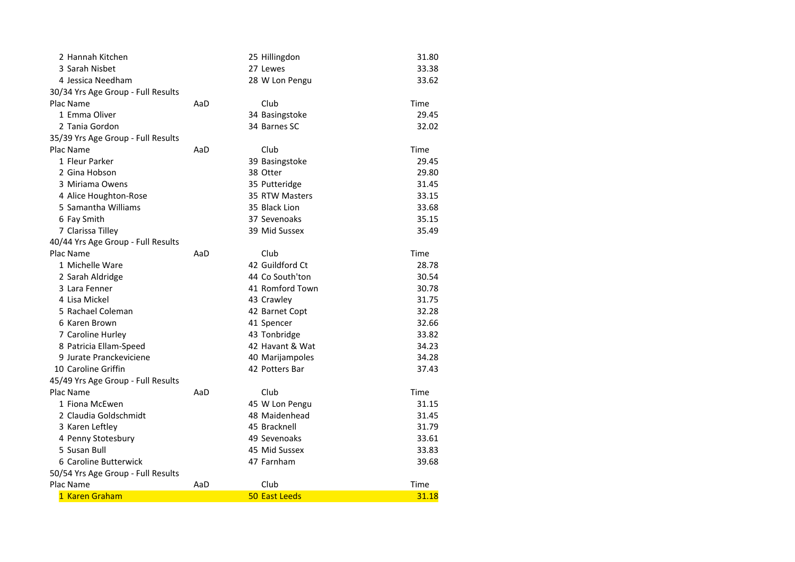| 2 Hannah Kitchen                   |     | 25 Hillingdon   | 31.80 |
|------------------------------------|-----|-----------------|-------|
| 3 Sarah Nisbet                     |     | 27 Lewes        | 33.38 |
| 4 Jessica Needham                  |     | 28 W Lon Pengu  | 33.62 |
| 30/34 Yrs Age Group - Full Results |     |                 |       |
| Plac Name                          | AaD | Club            | Time  |
| 1 Emma Oliver                      |     | 34 Basingstoke  | 29.45 |
| 2 Tania Gordon                     |     | 34 Barnes SC    | 32.02 |
| 35/39 Yrs Age Group - Full Results |     |                 |       |
| Plac Name                          | AaD | Club            | Time  |
| 1 Fleur Parker                     |     | 39 Basingstoke  | 29.45 |
| 2 Gina Hobson                      |     | 38 Otter        | 29.80 |
| 3 Miriama Owens                    |     | 35 Putteridge   | 31.45 |
| 4 Alice Houghton-Rose              |     | 35 RTW Masters  | 33.15 |
| 5 Samantha Williams                |     | 35 Black Lion   | 33.68 |
| 6 Fay Smith                        |     | 37 Sevenoaks    | 35.15 |
| 7 Clarissa Tilley                  |     | 39 Mid Sussex   | 35.49 |
| 40/44 Yrs Age Group - Full Results |     |                 |       |
| Plac Name                          | AaD | Club            | Time  |
| 1 Michelle Ware                    |     | 42 Guildford Ct | 28.78 |
| 2 Sarah Aldridge                   |     | 44 Co South'ton | 30.54 |
| 3 Lara Fenner                      |     | 41 Romford Town | 30.78 |
| 4 Lisa Mickel                      |     | 43 Crawley      | 31.75 |
| 5 Rachael Coleman                  |     | 42 Barnet Copt  | 32.28 |
| 6 Karen Brown                      |     | 41 Spencer      | 32.66 |
| 7 Caroline Hurley                  |     | 43 Tonbridge    | 33.82 |
| 8 Patricia Ellam-Speed             |     | 42 Havant & Wat | 34.23 |
| 9 Jurate Pranckeviciene            |     | 40 Marijampoles | 34.28 |
| 10 Caroline Griffin                |     | 42 Potters Bar  | 37.43 |
| 45/49 Yrs Age Group - Full Results |     |                 |       |
| Plac Name                          | AaD | Club            | Time  |
| 1 Fiona McEwen                     |     | 45 W Lon Pengu  | 31.15 |
| 2 Claudia Goldschmidt              |     | 48 Maidenhead   | 31.45 |
| 3 Karen Leftley                    |     | 45 Bracknell    | 31.79 |
| 4 Penny Stotesbury                 |     | 49 Sevenoaks    | 33.61 |
| 5 Susan Bull                       |     | 45 Mid Sussex   | 33.83 |
| 6 Caroline Butterwick              |     | 47 Farnham      | 39.68 |
| 50/54 Yrs Age Group - Full Results |     |                 |       |
| Plac Name                          | AaD | Club            | Time  |
| 1 Karen Graham                     |     | 50 East Leeds   | 31.18 |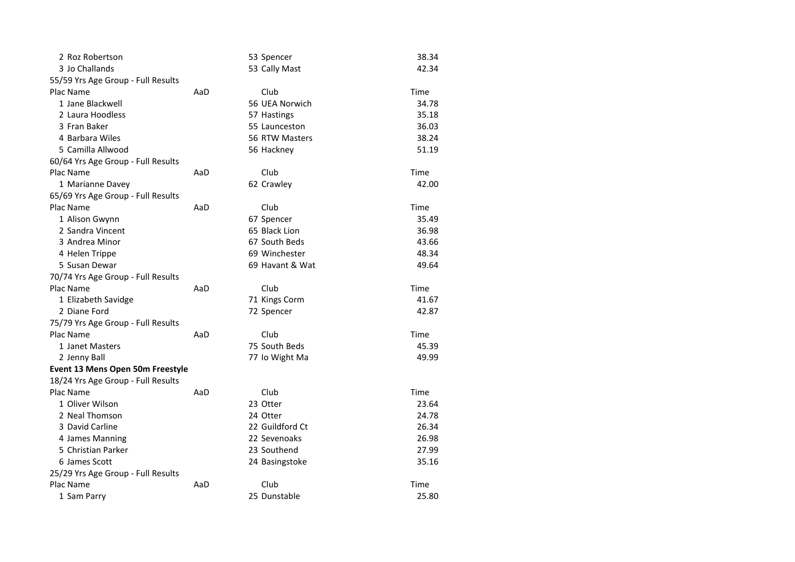| 2 Roz Robertson                    |     | 53 Spencer      | 38.34 |
|------------------------------------|-----|-----------------|-------|
| 3 Jo Challands                     |     | 53 Cally Mast   | 42.34 |
| 55/59 Yrs Age Group - Full Results |     |                 |       |
| Plac Name                          | AaD | Club            | Time  |
| 1 Jane Blackwell                   |     | 56 UEA Norwich  | 34.78 |
| 2 Laura Hoodless                   |     | 57 Hastings     | 35.18 |
| 3 Fran Baker                       |     | 55 Launceston   | 36.03 |
| 4 Barbara Wiles                    |     | 56 RTW Masters  | 38.24 |
| 5 Camilla Allwood                  |     | 56 Hackney      | 51.19 |
| 60/64 Yrs Age Group - Full Results |     |                 |       |
| Plac Name                          | AaD | Club            | Time  |
| 1 Marianne Davey                   |     | 62 Crawley      | 42.00 |
| 65/69 Yrs Age Group - Full Results |     |                 |       |
| Plac Name                          | AaD | Club            | Time  |
| 1 Alison Gwynn                     |     | 67 Spencer      | 35.49 |
| 2 Sandra Vincent                   |     | 65 Black Lion   | 36.98 |
| 3 Andrea Minor                     |     | 67 South Beds   | 43.66 |
| 4 Helen Trippe                     |     | 69 Winchester   | 48.34 |
| 5 Susan Dewar                      |     | 69 Havant & Wat | 49.64 |
| 70/74 Yrs Age Group - Full Results |     |                 |       |
| Plac Name                          | AaD | Club            | Time  |
| 1 Elizabeth Savidge                |     | 71 Kings Corm   | 41.67 |
| 2 Diane Ford                       |     | 72 Spencer      | 42.87 |
| 75/79 Yrs Age Group - Full Results |     |                 |       |
| Plac Name                          | AaD | Club            | Time  |
| 1 Janet Masters                    |     | 75 South Beds   | 45.39 |
| 2 Jenny Ball                       |     | 77 Io Wight Ma  | 49.99 |
| Event 13 Mens Open 50m Freestyle   |     |                 |       |
| 18/24 Yrs Age Group - Full Results |     |                 |       |
| Plac Name                          | AaD | Club            | Time  |
| 1 Oliver Wilson                    |     | 23 Otter        | 23.64 |
| 2 Neal Thomson                     |     | 24 Otter        | 24.78 |
| 3 David Carline                    |     | 22 Guildford Ct | 26.34 |
| 4 James Manning                    |     | 22 Sevenoaks    | 26.98 |
| 5 Christian Parker                 |     | 23 Southend     | 27.99 |
| 6 James Scott                      |     | 24 Basingstoke  | 35.16 |
| 25/29 Yrs Age Group - Full Results |     |                 |       |
| Plac Name                          | AaD | Club            | Time  |
| 1 Sam Parry                        |     | 25 Dunstable    | 25.80 |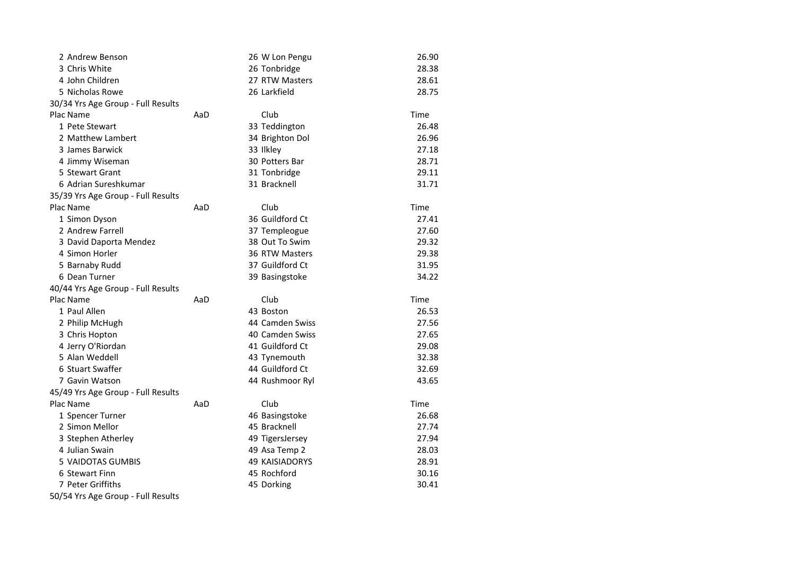| 2 Andrew Benson                    |     | 26 W Lon Pengu        | 26.90 |
|------------------------------------|-----|-----------------------|-------|
| 3 Chris White                      |     | 26 Tonbridge          | 28.38 |
| 4 John Children                    |     | 27 RTW Masters        | 28.61 |
| 5 Nicholas Rowe                    |     | 26 Larkfield          | 28.75 |
| 30/34 Yrs Age Group - Full Results |     |                       |       |
| Plac Name                          | AaD | Club                  | Time  |
| 1 Pete Stewart                     |     | 33 Teddington         | 26.48 |
| 2 Matthew Lambert                  |     | 34 Brighton Dol       | 26.96 |
| 3 James Barwick                    |     | 33 Ilkley             | 27.18 |
| 4 Jimmy Wiseman                    |     | 30 Potters Bar        | 28.71 |
| 5 Stewart Grant                    |     | 31 Tonbridge          | 29.11 |
| 6 Adrian Sureshkumar               |     | 31 Bracknell          | 31.71 |
| 35/39 Yrs Age Group - Full Results |     |                       |       |
| Plac Name                          | AaD | Club                  | Time  |
| 1 Simon Dyson                      |     | 36 Guildford Ct       | 27.41 |
| 2 Andrew Farrell                   |     | 37 Templeogue         | 27.60 |
| 3 David Daporta Mendez             |     | 38 Out To Swim        | 29.32 |
| 4 Simon Horler                     |     | 36 RTW Masters        | 29.38 |
| 5 Barnaby Rudd                     |     | 37 Guildford Ct       | 31.95 |
| 6 Dean Turner                      |     | 39 Basingstoke        | 34.22 |
| 40/44 Yrs Age Group - Full Results |     |                       |       |
| Plac Name                          | AaD | Club                  | Time  |
| 1 Paul Allen                       |     | 43 Boston             | 26.53 |
| 2 Philip McHugh                    |     | 44 Camden Swiss       | 27.56 |
| 3 Chris Hopton                     |     | 40 Camden Swiss       | 27.65 |
| 4 Jerry O'Riordan                  |     | 41 Guildford Ct       | 29.08 |
| 5 Alan Weddell                     |     | 43 Tynemouth          | 32.38 |
| 6 Stuart Swaffer                   |     | 44 Guildford Ct       | 32.69 |
| 7 Gavin Watson                     |     | 44 Rushmoor Ryl       | 43.65 |
| 45/49 Yrs Age Group - Full Results |     |                       |       |
| Plac Name                          | AaD | Club                  | Time  |
| 1 Spencer Turner                   |     | 46 Basingstoke        | 26.68 |
| 2 Simon Mellor                     |     | 45 Bracknell          | 27.74 |
| 3 Stephen Atherley                 |     | 49 TigersJersey       | 27.94 |
| 4 Julian Swain                     |     | 49 Asa Temp 2         | 28.03 |
| 5 VAIDOTAS GUMBIS                  |     | <b>49 KAISIADORYS</b> | 28.91 |
| 6 Stewart Finn                     |     | 45 Rochford           | 30.16 |
| 7 Peter Griffiths                  |     | 45 Dorking            | 30.41 |
| 50/54 Yrs Age Group - Full Results |     |                       |       |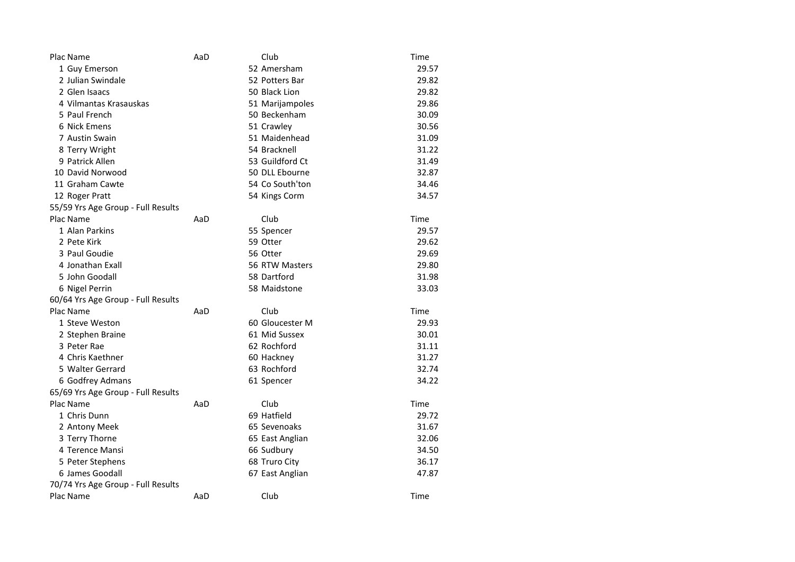| Plac Name                          | AaD | Club            | Time  |
|------------------------------------|-----|-----------------|-------|
| 1 Guy Emerson                      |     | 52 Amersham     | 29.57 |
| 2 Julian Swindale                  |     | 52 Potters Bar  | 29.82 |
| 2 Glen Isaacs                      |     | 50 Black Lion   | 29.82 |
| 4 Vilmantas Krasauskas             |     | 51 Marijampoles | 29.86 |
| 5 Paul French                      |     | 50 Beckenham    | 30.09 |
| 6 Nick Emens                       |     | 51 Crawley      | 30.56 |
| 7 Austin Swain                     |     | 51 Maidenhead   | 31.09 |
| 8 Terry Wright                     |     | 54 Bracknell    | 31.22 |
| 9 Patrick Allen                    |     | 53 Guildford Ct | 31.49 |
| 10 David Norwood                   |     | 50 DLL Ebourne  | 32.87 |
| 11 Graham Cawte                    |     | 54 Co South'ton | 34.46 |
| 12 Roger Pratt                     |     | 54 Kings Corm   | 34.57 |
| 55/59 Yrs Age Group - Full Results |     |                 |       |
| Plac Name                          | AaD | Club            | Time  |
| 1 Alan Parkins                     |     | 55 Spencer      | 29.57 |
| 2 Pete Kirk                        |     | 59 Otter        | 29.62 |
| 3 Paul Goudie                      |     | 56 Otter        | 29.69 |
| 4 Jonathan Exall                   |     | 56 RTW Masters  | 29.80 |
| 5 John Goodall                     |     | 58 Dartford     | 31.98 |
| 6 Nigel Perrin                     |     | 58 Maidstone    | 33.03 |
| 60/64 Yrs Age Group - Full Results |     |                 |       |
| Plac Name                          | AaD | Club            | Time  |
| 1 Steve Weston                     |     | 60 Gloucester M | 29.93 |
| 2 Stephen Braine                   |     | 61 Mid Sussex   | 30.01 |
| 3 Peter Rae                        |     | 62 Rochford     | 31.11 |
| 4 Chris Kaethner                   |     | 60 Hackney      | 31.27 |
| 5 Walter Gerrard                   |     | 63 Rochford     | 32.74 |
| 6 Godfrey Admans                   |     | 61 Spencer      | 34.22 |
| 65/69 Yrs Age Group - Full Results |     |                 |       |
| Plac Name                          | AaD | Club            | Time  |
| 1 Chris Dunn                       |     | 69 Hatfield     | 29.72 |
| 2 Antony Meek                      |     | 65 Sevenoaks    | 31.67 |
| 3 Terry Thorne                     |     | 65 East Anglian | 32.06 |
| 4 Terence Mansi                    |     | 66 Sudbury      | 34.50 |
| 5 Peter Stephens                   |     | 68 Truro City   | 36.17 |
| 6 James Goodall                    |     | 67 East Anglian | 47.87 |
| 70/74 Yrs Age Group - Full Results |     |                 |       |
| Plac Name                          | AaD | Club            | Time  |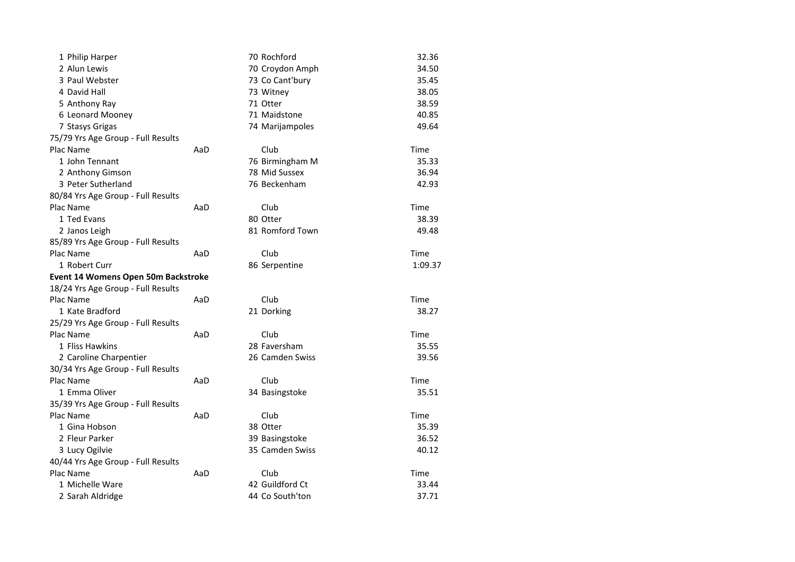| 1 Philip Harper                            |     | 70 Rochford     | 32.36   |
|--------------------------------------------|-----|-----------------|---------|
| 2 Alun Lewis                               |     | 70 Croydon Amph | 34.50   |
| 3 Paul Webster                             |     | 73 Co Cant'bury | 35.45   |
| 4 David Hall                               |     | 73 Witney       | 38.05   |
| 5 Anthony Ray                              |     | 71 Otter        | 38.59   |
| 6 Leonard Mooney                           |     | 71 Maidstone    | 40.85   |
| 7 Stasys Grigas                            |     | 74 Marijampoles | 49.64   |
| 75/79 Yrs Age Group - Full Results         |     |                 |         |
| Plac Name                                  | AaD | Club            | Time    |
| 1 John Tennant                             |     | 76 Birmingham M | 35.33   |
| 2 Anthony Gimson                           |     | 78 Mid Sussex   | 36.94   |
| 3 Peter Sutherland                         |     | 76 Beckenham    | 42.93   |
| 80/84 Yrs Age Group - Full Results         |     |                 |         |
| Plac Name                                  | AaD | Club            | Time    |
| 1 Ted Evans                                |     | 80 Otter        | 38.39   |
| 2 Janos Leigh                              |     | 81 Romford Town | 49.48   |
| 85/89 Yrs Age Group - Full Results         |     |                 |         |
| Plac Name                                  | AaD | Club            | Time    |
| 1 Robert Curr                              |     | 86 Serpentine   | 1:09.37 |
| <b>Event 14 Womens Open 50m Backstroke</b> |     |                 |         |
| 18/24 Yrs Age Group - Full Results         |     |                 |         |
| Plac Name                                  | AaD | Club            | Time    |
| 1 Kate Bradford                            |     | 21 Dorking      | 38.27   |
| 25/29 Yrs Age Group - Full Results         |     |                 |         |
| Plac Name                                  | AaD | Club            | Time    |
| 1 Fliss Hawkins                            |     | 28 Faversham    | 35.55   |
| 2 Caroline Charpentier                     |     | 26 Camden Swiss | 39.56   |
| 30/34 Yrs Age Group - Full Results         |     |                 |         |
| Plac Name                                  | AaD | Club            | Time    |
| 1 Emma Oliver                              |     | 34 Basingstoke  | 35.51   |
| 35/39 Yrs Age Group - Full Results         |     |                 |         |
| Plac Name                                  | AaD | Club            | Time    |
| 1 Gina Hobson                              |     | 38 Otter        | 35.39   |
| 2 Fleur Parker                             |     | 39 Basingstoke  | 36.52   |
| 3 Lucy Ogilvie                             |     | 35 Camden Swiss | 40.12   |
| 40/44 Yrs Age Group - Full Results         |     |                 |         |
| Plac Name                                  | AaD | Club            | Time    |
| 1 Michelle Ware                            |     | 42 Guildford Ct | 33.44   |
| 2 Sarah Aldridge                           |     | 44 Co South'ton | 37.71   |
|                                            |     |                 |         |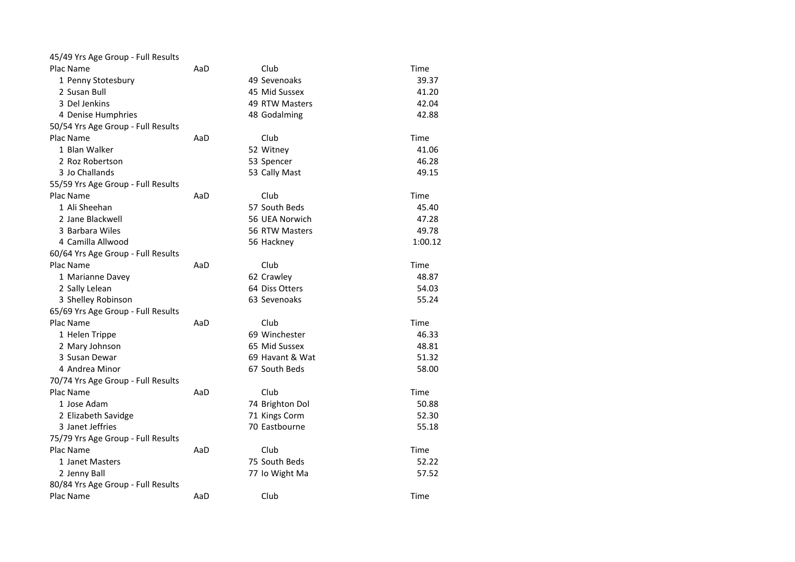| 45/49 Yrs Age Group - Full Results |     |                 |         |
|------------------------------------|-----|-----------------|---------|
| Plac Name                          | AaD | Club            | Time    |
| 1 Penny Stotesbury                 |     | 49 Sevenoaks    | 39.37   |
| 2 Susan Bull                       |     | 45 Mid Sussex   | 41.20   |
| 3 Del Jenkins                      |     | 49 RTW Masters  | 42.04   |
| 4 Denise Humphries                 |     | 48 Godalming    | 42.88   |
| 50/54 Yrs Age Group - Full Results |     |                 |         |
| Plac Name                          | AaD | Club            | Time    |
| 1 Blan Walker                      |     | 52 Witney       | 41.06   |
| 2 Roz Robertson                    |     | 53 Spencer      | 46.28   |
| 3 Jo Challands                     |     | 53 Cally Mast   | 49.15   |
| 55/59 Yrs Age Group - Full Results |     |                 |         |
| Plac Name                          | AaD | Club            | Time    |
| 1 Ali Sheehan                      |     | 57 South Beds   | 45.40   |
| 2 Jane Blackwell                   |     | 56 UEA Norwich  | 47.28   |
| 3 Barbara Wiles                    |     | 56 RTW Masters  | 49.78   |
| 4 Camilla Allwood                  |     | 56 Hackney      | 1:00.12 |
| 60/64 Yrs Age Group - Full Results |     |                 |         |
| Plac Name                          | AaD | Club            | Time    |
| 1 Marianne Davey                   |     | 62 Crawley      | 48.87   |
| 2 Sally Lelean                     |     | 64 Diss Otters  | 54.03   |
| 3 Shelley Robinson                 |     | 63 Sevenoaks    | 55.24   |
| 65/69 Yrs Age Group - Full Results |     |                 |         |
| Plac Name                          | AaD | Club            | Time    |
| 1 Helen Trippe                     |     | 69 Winchester   | 46.33   |
| 2 Mary Johnson                     |     | 65 Mid Sussex   | 48.81   |
| 3 Susan Dewar                      |     | 69 Havant & Wat | 51.32   |
| 4 Andrea Minor                     |     | 67 South Beds   | 58.00   |
| 70/74 Yrs Age Group - Full Results |     |                 |         |
| Plac Name                          | AaD | Club            | Time    |
| 1 Jose Adam                        |     | 74 Brighton Dol | 50.88   |
| 2 Elizabeth Savidge                |     | 71 Kings Corm   | 52.30   |
| 3 Janet Jeffries                   |     | 70 Eastbourne   | 55.18   |
| 75/79 Yrs Age Group - Full Results |     |                 |         |
| Plac Name                          | AaD | Club            | Time    |
| 1 Janet Masters                    |     | 75 South Beds   | 52.22   |
| 2 Jenny Ball                       |     | 77 Io Wight Ma  | 57.52   |
| 80/84 Yrs Age Group - Full Results |     |                 |         |
| Plac Name                          | AaD | Club            | Time    |
|                                    |     |                 |         |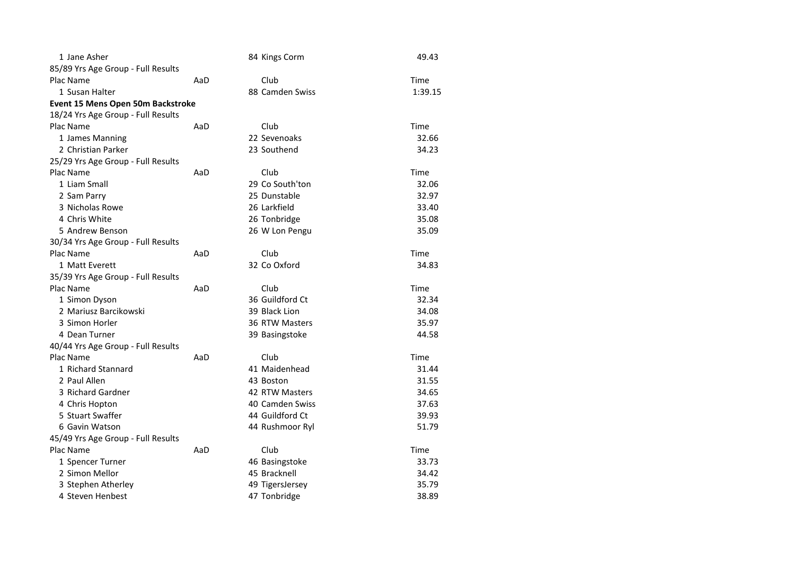| 1 Jane Asher                       |     | 84 Kings Corm   | 49.43   |
|------------------------------------|-----|-----------------|---------|
| 85/89 Yrs Age Group - Full Results |     |                 |         |
| Plac Name                          | AaD | Club            | Time    |
| 1 Susan Halter                     |     | 88 Camden Swiss | 1:39.15 |
| Event 15 Mens Open 50m Backstroke  |     |                 |         |
| 18/24 Yrs Age Group - Full Results |     |                 |         |
| Plac Name                          | AaD | Club            | Time    |
| 1 James Manning                    |     | 22 Sevenoaks    | 32.66   |
| 2 Christian Parker                 |     | 23 Southend     | 34.23   |
| 25/29 Yrs Age Group - Full Results |     |                 |         |
| Plac Name                          | AaD | Club            | Time    |
| 1 Liam Small                       |     | 29 Co South'ton | 32.06   |
| 2 Sam Parry                        |     | 25 Dunstable    | 32.97   |
| 3 Nicholas Rowe                    |     | 26 Larkfield    | 33.40   |
| 4 Chris White                      |     | 26 Tonbridge    | 35.08   |
| 5 Andrew Benson                    |     | 26 W Lon Pengu  | 35.09   |
| 30/34 Yrs Age Group - Full Results |     |                 |         |
| Plac Name                          | AaD | Club            | Time    |
| 1 Matt Everett                     |     | 32 Co Oxford    | 34.83   |
| 35/39 Yrs Age Group - Full Results |     |                 |         |
| Plac Name                          | AaD | Club            | Time    |
| 1 Simon Dyson                      |     | 36 Guildford Ct | 32.34   |
| 2 Mariusz Barcikowski              |     | 39 Black Lion   | 34.08   |
| 3 Simon Horler                     |     | 36 RTW Masters  | 35.97   |
| 4 Dean Turner                      |     | 39 Basingstoke  | 44.58   |
| 40/44 Yrs Age Group - Full Results |     |                 |         |
| Plac Name                          | AaD | Club            | Time    |
| 1 Richard Stannard                 |     | 41 Maidenhead   | 31.44   |
| 2 Paul Allen                       |     | 43 Boston       | 31.55   |
| 3 Richard Gardner                  |     | 42 RTW Masters  | 34.65   |
| 4 Chris Hopton                     |     | 40 Camden Swiss | 37.63   |
| 5 Stuart Swaffer                   |     | 44 Guildford Ct | 39.93   |
| 6 Gavin Watson                     |     | 44 Rushmoor Ryl | 51.79   |
| 45/49 Yrs Age Group - Full Results |     |                 |         |
| Plac Name                          | AaD | Club            | Time    |
| 1 Spencer Turner                   |     | 46 Basingstoke  | 33.73   |
| 2 Simon Mellor                     |     | 45 Bracknell    | 34.42   |
| 3 Stephen Atherley                 |     | 49 TigersJersey | 35.79   |
| 4 Steven Henbest                   |     | 47 Tonbridge    | 38.89   |
|                                    |     |                 |         |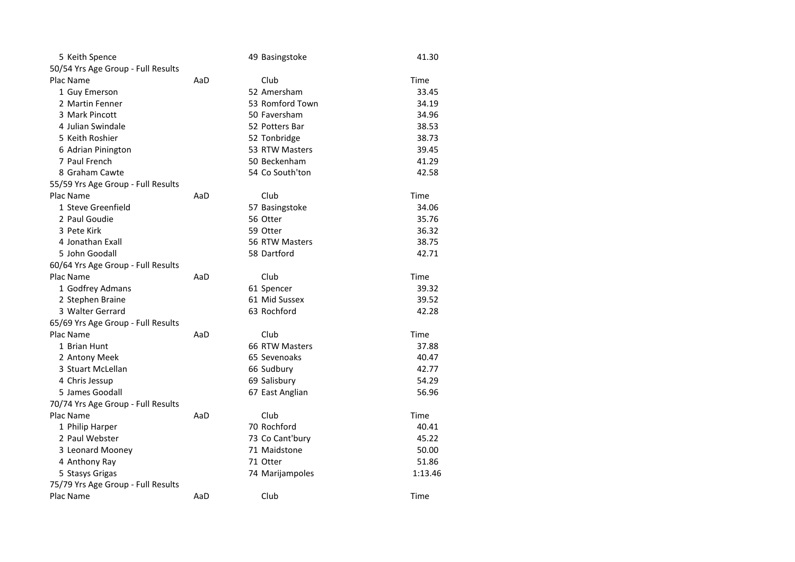| 5 Keith Spence                     |     | 49 Basingstoke  | 41.30   |
|------------------------------------|-----|-----------------|---------|
| 50/54 Yrs Age Group - Full Results |     |                 |         |
| Plac Name                          | AaD | Club            | Time    |
| 1 Guy Emerson                      |     | 52 Amersham     | 33.45   |
| 2 Martin Fenner                    |     | 53 Romford Town | 34.19   |
| 3 Mark Pincott                     |     | 50 Faversham    | 34.96   |
| 4 Julian Swindale                  |     | 52 Potters Bar  | 38.53   |
| 5 Keith Roshier                    |     | 52 Tonbridge    | 38.73   |
| 6 Adrian Pinington                 |     | 53 RTW Masters  | 39.45   |
| 7 Paul French                      |     | 50 Beckenham    | 41.29   |
| 8 Graham Cawte                     |     | 54 Co South'ton | 42.58   |
| 55/59 Yrs Age Group - Full Results |     |                 |         |
| Plac Name                          | AaD | Club            | Time    |
| 1 Steve Greenfield                 |     | 57 Basingstoke  | 34.06   |
| 2 Paul Goudie                      |     | 56 Otter        | 35.76   |
| 3 Pete Kirk                        |     | 59 Otter        | 36.32   |
| 4 Jonathan Exall                   |     | 56 RTW Masters  | 38.75   |
| 5 John Goodall                     |     | 58 Dartford     | 42.71   |
| 60/64 Yrs Age Group - Full Results |     |                 |         |
| Plac Name                          | AaD | Club            | Time    |
| 1 Godfrey Admans                   |     | 61 Spencer      | 39.32   |
| 2 Stephen Braine                   |     | 61 Mid Sussex   | 39.52   |
| 3 Walter Gerrard                   |     | 63 Rochford     | 42.28   |
| 65/69 Yrs Age Group - Full Results |     |                 |         |
| Plac Name                          | AaD | Club            | Time    |
| 1 Brian Hunt                       |     | 66 RTW Masters  | 37.88   |
| 2 Antony Meek                      |     | 65 Sevenoaks    | 40.47   |
| 3 Stuart McLellan                  |     | 66 Sudbury      | 42.77   |
| 4 Chris Jessup                     |     | 69 Salisbury    | 54.29   |
| 5 James Goodall                    |     | 67 East Anglian | 56.96   |
| 70/74 Yrs Age Group - Full Results |     |                 |         |
| Plac Name                          | AaD | Club            | Time    |
| 1 Philip Harper                    |     | 70 Rochford     | 40.41   |
| 2 Paul Webster                     |     | 73 Co Cant'bury | 45.22   |
| 3 Leonard Mooney                   |     | 71 Maidstone    | 50.00   |
| 4 Anthony Ray                      |     | 71 Otter        | 51.86   |
| 5 Stasys Grigas                    |     | 74 Marijampoles | 1:13.46 |
| 75/79 Yrs Age Group - Full Results |     |                 |         |
| Plac Name                          | AaD | Club            | Time    |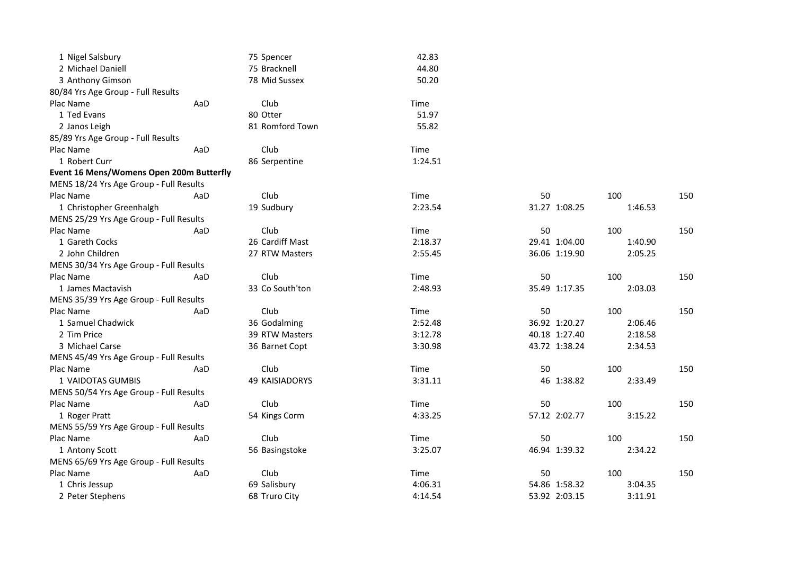| 1 Nigel Salsbury                         |     | 75 Spencer      | 42.83   |               |         |     |
|------------------------------------------|-----|-----------------|---------|---------------|---------|-----|
| 2 Michael Daniell                        |     | 75 Bracknell    | 44.80   |               |         |     |
| 3 Anthony Gimson                         |     | 78 Mid Sussex   | 50.20   |               |         |     |
| 80/84 Yrs Age Group - Full Results       |     |                 |         |               |         |     |
| Plac Name                                | AaD | Club            | Time    |               |         |     |
| 1 Ted Evans                              |     | 80 Otter        | 51.97   |               |         |     |
| 2 Janos Leigh                            |     | 81 Romford Town | 55.82   |               |         |     |
| 85/89 Yrs Age Group - Full Results       |     |                 |         |               |         |     |
| Plac Name                                | AaD | Club            | Time    |               |         |     |
| 1 Robert Curr                            |     | 86 Serpentine   | 1:24.51 |               |         |     |
| Event 16 Mens/Womens Open 200m Butterfly |     |                 |         |               |         |     |
| MENS 18/24 Yrs Age Group - Full Results  |     |                 |         |               |         |     |
| Plac Name                                | AaD | Club            | Time    | 50            | 100     | 150 |
| 1 Christopher Greenhalgh                 |     | 19 Sudbury      | 2:23.54 | 31.27 1:08.25 | 1:46.53 |     |
| MENS 25/29 Yrs Age Group - Full Results  |     |                 |         |               |         |     |
| Plac Name                                | AaD | Club            | Time    | 50            | 100     | 150 |
| 1 Gareth Cocks                           |     | 26 Cardiff Mast | 2:18.37 | 29.41 1:04.00 | 1:40.90 |     |
| 2 John Children                          |     | 27 RTW Masters  | 2:55.45 | 36.06 1:19.90 | 2:05.25 |     |
| MENS 30/34 Yrs Age Group - Full Results  |     |                 |         |               |         |     |
| Plac Name                                | AaD | Club            | Time    | 50            | 100     | 150 |
| 1 James Mactavish                        |     | 33 Co South'ton | 2:48.93 | 35.49 1:17.35 | 2:03.03 |     |
| MENS 35/39 Yrs Age Group - Full Results  |     |                 |         |               |         |     |
| Plac Name                                | AaD | Club            | Time    | 50            | 100     | 150 |
| 1 Samuel Chadwick                        |     | 36 Godalming    | 2:52.48 | 36.92 1:20.27 | 2:06.46 |     |
| 2 Tim Price                              |     | 39 RTW Masters  | 3:12.78 | 40.18 1:27.40 | 2:18.58 |     |
| 3 Michael Carse                          |     | 36 Barnet Copt  | 3:30.98 | 43.72 1:38.24 | 2:34.53 |     |
| MENS 45/49 Yrs Age Group - Full Results  |     |                 |         |               |         |     |
| Plac Name                                | AaD | Club            | Time    | 50            | 100     | 150 |
| 1 VAIDOTAS GUMBIS                        |     | 49 KAISIADORYS  | 3:31.11 | 46 1:38.82    | 2:33.49 |     |
| MENS 50/54 Yrs Age Group - Full Results  |     |                 |         |               |         |     |
| Plac Name                                | AaD | Club            | Time    | 50            | 100     | 150 |
| 1 Roger Pratt                            |     | 54 Kings Corm   | 4:33.25 | 57.12 2:02.77 | 3:15.22 |     |
| MENS 55/59 Yrs Age Group - Full Results  |     |                 |         |               |         |     |
| Plac Name                                | AaD | Club            | Time    | 50            | 100     | 150 |
| 1 Antony Scott                           |     | 56 Basingstoke  | 3:25.07 | 46.94 1:39.32 | 2:34.22 |     |
| MENS 65/69 Yrs Age Group - Full Results  |     |                 |         |               |         |     |
| Plac Name                                | AaD | Club            | Time    | 50            | 100     | 150 |
| 1 Chris Jessup                           |     | 69 Salisbury    | 4:06.31 | 54.86 1:58.32 | 3:04.35 |     |
| 2 Peter Stephens                         |     | 68 Truro City   | 4:14.54 | 53.92 2:03.15 | 3:11.91 |     |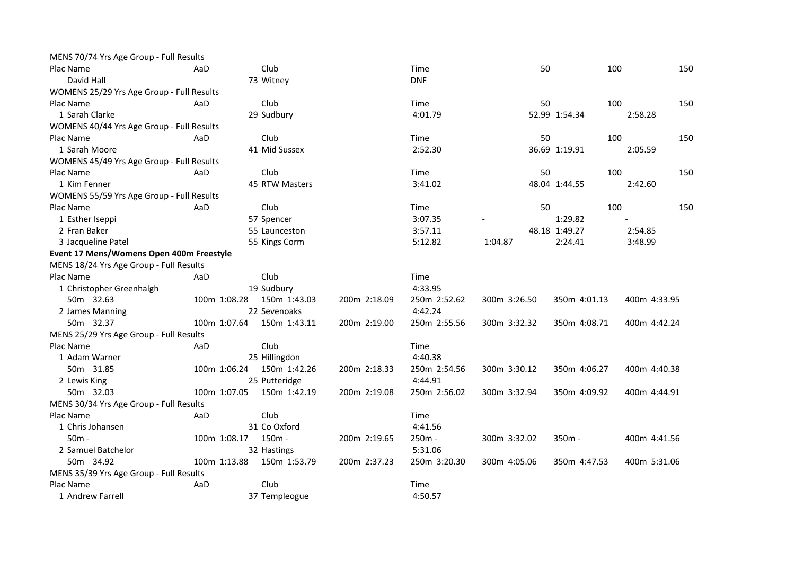| Club<br>Plac Name<br>Time<br>50<br>100<br>150<br>AaD<br>David Hall<br><b>DNF</b><br>73 Witney<br>WOMENS 25/29 Yrs Age Group - Full Results<br>100<br>Plac Name<br>AaD<br>Club<br>50<br>150<br>Time<br>1 Sarah Clarke<br>29 Sudbury<br>4:01.79<br>52.99 1:54.34<br>2:58.28<br>WOMENS 40/44 Yrs Age Group - Full Results<br>Club<br>100<br>150<br>Plac Name<br>AaD<br>Time<br>50 |
|--------------------------------------------------------------------------------------------------------------------------------------------------------------------------------------------------------------------------------------------------------------------------------------------------------------------------------------------------------------------------------|
|                                                                                                                                                                                                                                                                                                                                                                                |
|                                                                                                                                                                                                                                                                                                                                                                                |
|                                                                                                                                                                                                                                                                                                                                                                                |
|                                                                                                                                                                                                                                                                                                                                                                                |
|                                                                                                                                                                                                                                                                                                                                                                                |
|                                                                                                                                                                                                                                                                                                                                                                                |
|                                                                                                                                                                                                                                                                                                                                                                                |
| 1 Sarah Moore<br>41 Mid Sussex<br>2:52.30<br>36.69 1:19.91<br>2:05.59                                                                                                                                                                                                                                                                                                          |
| WOMENS 45/49 Yrs Age Group - Full Results                                                                                                                                                                                                                                                                                                                                      |
| Plac Name<br>AaD<br>Club<br>Time<br>50<br>100<br>150                                                                                                                                                                                                                                                                                                                           |
| 45 RTW Masters<br>1 Kim Fenner<br>3:41.02<br>48.04 1:44.55<br>2:42.60                                                                                                                                                                                                                                                                                                          |
| WOMENS 55/59 Yrs Age Group - Full Results                                                                                                                                                                                                                                                                                                                                      |
| Club<br>50<br>100<br>150<br>Plac Name<br>AaD<br>Time                                                                                                                                                                                                                                                                                                                           |
| 1:29.82<br>1 Esther Iseppi<br>57 Spencer<br>3:07.35                                                                                                                                                                                                                                                                                                                            |
| 2 Fran Baker<br>55 Launceston<br>3:57.11<br>48.18 1:49.27<br>2:54.85                                                                                                                                                                                                                                                                                                           |
| 2:24.41<br>3 Jacqueline Patel<br>55 Kings Corm<br>5:12.82<br>1:04.87<br>3:48.99                                                                                                                                                                                                                                                                                                |
| Event 17 Mens/Womens Open 400m Freestyle                                                                                                                                                                                                                                                                                                                                       |
| MENS 18/24 Yrs Age Group - Full Results                                                                                                                                                                                                                                                                                                                                        |
| Plac Name<br>Club<br>Time<br>AaD                                                                                                                                                                                                                                                                                                                                               |
| 19 Sudbury<br>4:33.95<br>1 Christopher Greenhalgh                                                                                                                                                                                                                                                                                                                              |
| 150m 1:43.03<br>50m 32.63<br>100m 1:08.28<br>200m 2:18.09<br>250m 2:52.62<br>300m 3:26.50<br>350m 4:01.13<br>400m 4:33.95                                                                                                                                                                                                                                                      |
| 22 Sevenoaks<br>4:42.24<br>2 James Manning                                                                                                                                                                                                                                                                                                                                     |
| 50m 32.37<br>100m 1:07.64<br>150m 1:43.11<br>250m 2:55.56<br>300m 3:32.32<br>200m 2:19.00<br>350m 4:08.71<br>400m 4:42.24                                                                                                                                                                                                                                                      |
| MENS 25/29 Yrs Age Group - Full Results                                                                                                                                                                                                                                                                                                                                        |
| Plac Name<br>Club<br>AaD<br>Time                                                                                                                                                                                                                                                                                                                                               |
| 4:40.38<br>1 Adam Warner<br>25 Hillingdon                                                                                                                                                                                                                                                                                                                                      |
| 150m 1:42.26<br>50m 31.85<br>100m 1:06.24<br>200m 2:18.33<br>250m 2:54.56<br>300m 3:30.12<br>350m 4:06.27<br>400m 4:40.38                                                                                                                                                                                                                                                      |
| 25 Putteridge<br>4:44.91<br>2 Lewis King                                                                                                                                                                                                                                                                                                                                       |
| 100m 1:07.05<br>150m 1:42.19<br>250m 2:56.02<br>50m 32.03<br>200m 2:19.08<br>300m 3:32.94<br>350m 4:09.92<br>400m 4:44.91                                                                                                                                                                                                                                                      |
| MENS 30/34 Yrs Age Group - Full Results                                                                                                                                                                                                                                                                                                                                        |
| Plac Name<br>Club<br>Time<br>AaD                                                                                                                                                                                                                                                                                                                                               |
| 31 Co Oxford<br>4:41.56<br>1 Chris Johansen                                                                                                                                                                                                                                                                                                                                    |
| 150m -<br>$50m -$<br>100m 1:08.17<br>200m 2:19.65<br>250m -<br>300m 3:32.02<br>$350m -$<br>400m 4:41.56                                                                                                                                                                                                                                                                        |
| 5:31.06<br>2 Samuel Batchelor<br>32 Hastings                                                                                                                                                                                                                                                                                                                                   |
| 100m 1:13.88<br>50m 34.92<br>150m 1:53.79<br>200m 2:37.23<br>250m 3:20.30<br>300m 4:05.06<br>400m 5:31.06<br>350m 4:47.53                                                                                                                                                                                                                                                      |
| MENS 35/39 Yrs Age Group - Full Results                                                                                                                                                                                                                                                                                                                                        |
| Plac Name<br>AaD<br>Club<br>Time                                                                                                                                                                                                                                                                                                                                               |
| 1 Andrew Farrell<br>37 Templeogue<br>4:50.57                                                                                                                                                                                                                                                                                                                                   |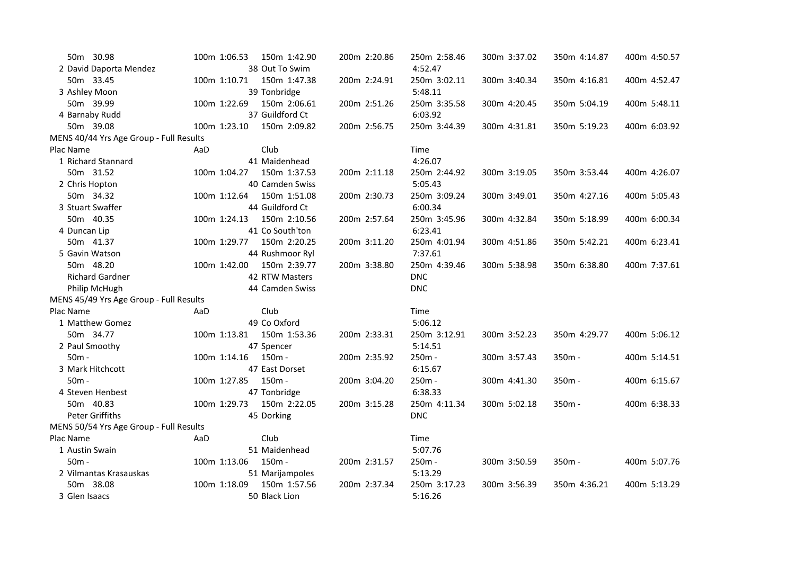| 50m 30.98                               | 100m 1:06.53        | 150m 1:42.90    | 200m 2:20.86 | 250m 2:58.46 | 300m 3:37.02 | 350m 4:14.87 | 400m 4:50.57 |
|-----------------------------------------|---------------------|-----------------|--------------|--------------|--------------|--------------|--------------|
| 2 David Daporta Mendez                  |                     | 38 Out To Swim  |              | 4:52.47      |              |              |              |
| 50m 33.45                               | 100m 1:10.71        | 150m 1:47.38    | 200m 2:24.91 | 250m 3:02.11 | 300m 3:40.34 | 350m 4:16.81 | 400m 4:52.47 |
| 3 Ashley Moon                           |                     | 39 Tonbridge    |              | 5:48.11      |              |              |              |
| 50m 39.99                               | 100m 1:22.69        | 150m 2:06.61    | 200m 2:51.26 | 250m 3:35.58 | 300m 4:20.45 | 350m 5:04.19 | 400m 5:48.11 |
| 4 Barnaby Rudd                          |                     | 37 Guildford Ct |              | 6:03.92      |              |              |              |
| 50m 39.08                               | 100m 1:23.10        | 150m 2:09.82    | 200m 2:56.75 | 250m 3:44.39 | 300m 4:31.81 | 350m 5:19.23 | 400m 6:03.92 |
| MENS 40/44 Yrs Age Group - Full Results |                     |                 |              |              |              |              |              |
| Plac Name                               | AaD                 | Club            |              | Time         |              |              |              |
| 1 Richard Stannard                      |                     | 41 Maidenhead   |              | 4:26.07      |              |              |              |
| 50m 31.52                               | 100m 1:04.27        | 150m 1:37.53    | 200m 2:11.18 | 250m 2:44.92 | 300m 3:19.05 | 350m 3:53.44 | 400m 4:26.07 |
| 2 Chris Hopton                          |                     | 40 Camden Swiss |              | 5:05.43      |              |              |              |
| 50m 34.32                               | 100m 1:12.64        | 150m 1:51.08    | 200m 2:30.73 | 250m 3:09.24 | 300m 3:49.01 | 350m 4:27.16 | 400m 5:05.43 |
| 3 Stuart Swaffer                        |                     | 44 Guildford Ct |              | 6:00.34      |              |              |              |
| 50m 40.35                               | 100m 1:24.13        | 150m 2:10.56    | 200m 2:57.64 | 250m 3:45.96 | 300m 4:32.84 | 350m 5:18.99 | 400m 6:00.34 |
| 4 Duncan Lip                            |                     | 41 Co South'ton |              | 6:23.41      |              |              |              |
| 50m 41.37                               | 100m 1:29.77        | 150m 2:20.25    | 200m 3:11.20 | 250m 4:01.94 | 300m 4:51.86 | 350m 5:42.21 | 400m 6:23.41 |
| 5 Gavin Watson                          |                     | 44 Rushmoor Ryl |              | 7:37.61      |              |              |              |
| 50m 48.20                               | 100m 1:42.00        | 150m 2:39.77    | 200m 3:38.80 | 250m 4:39.46 | 300m 5:38.98 | 350m 6:38.80 | 400m 7:37.61 |
| <b>Richard Gardner</b>                  |                     | 42 RTW Masters  |              | <b>DNC</b>   |              |              |              |
| Philip McHugh                           |                     | 44 Camden Swiss |              | <b>DNC</b>   |              |              |              |
| MENS 45/49 Yrs Age Group - Full Results |                     |                 |              |              |              |              |              |
| Plac Name                               | AaD                 | Club            |              | Time         |              |              |              |
| 1 Matthew Gomez                         |                     | 49 Co Oxford    |              | 5:06.12      |              |              |              |
| 50m 34.77                               | 100m 1:13.81        | 150m 1:53.36    | 200m 2:33.31 | 250m 3:12.91 | 300m 3:52.23 | 350m 4:29.77 | 400m 5:06.12 |
| 2 Paul Smoothy                          |                     | 47 Spencer      |              | 5:14.51      |              |              |              |
| $50m -$                                 | 100m 1:14.16 150m - |                 | 200m 2:35.92 | 250m -       | 300m 3:57.43 | 350m -       | 400m 5:14.51 |
| 3 Mark Hitchcott                        |                     | 47 East Dorset  |              | 6:15.67      |              |              |              |
| 50m -                                   | 100m 1:27.85        | 150m -          | 200m 3:04.20 | 250m -       | 300m 4:41.30 | 350m -       | 400m 6:15.67 |
| 4 Steven Henbest                        |                     | 47 Tonbridge    |              | 6:38.33      |              |              |              |
| 50m 40.83                               | 100m 1:29.73        | 150m 2:22.05    | 200m 3:15.28 | 250m 4:11.34 | 300m 5:02.18 | 350m -       | 400m 6:38.33 |
| <b>Peter Griffiths</b>                  |                     | 45 Dorking      |              | <b>DNC</b>   |              |              |              |
| MENS 50/54 Yrs Age Group - Full Results |                     |                 |              |              |              |              |              |
| Plac Name                               | AaD                 | Club            |              | Time         |              |              |              |
| 1 Austin Swain                          |                     | 51 Maidenhead   |              | 5:07.76      |              |              |              |
| $50m -$                                 | 100m 1:13.06        | 150m -          | 200m 2:31.57 | 250m -       | 300m 3:50.59 | 350m -       | 400m 5:07.76 |
| 2 Vilmantas Krasauskas                  |                     | 51 Marijampoles |              | 5:13.29      |              |              |              |
| 50m 38.08                               | 100m 1:18.09        | 150m 1:57.56    | 200m 2:37.34 | 250m 3:17.23 | 300m 3:56.39 | 350m 4:36.21 | 400m 5:13.29 |
| 3 Glen Isaacs                           |                     | 50 Black Lion   |              | 5:16.26      |              |              |              |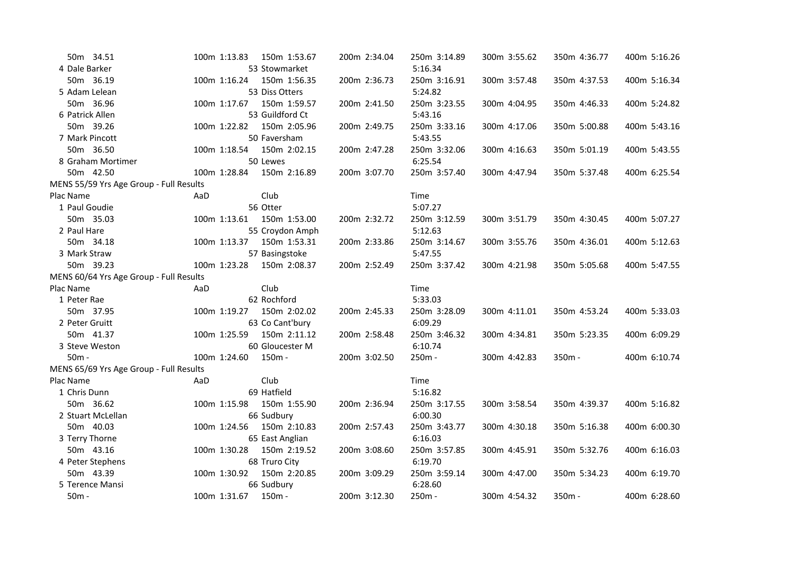|                                         |              | 200m 2:34.04                                                                                                                                                                                                                                                                                                                                                                                                                                                             | 250m 3:14.89 | 300m 3:55.62 | 350m 4:36.77 | 400m 5:16.26 |
|-----------------------------------------|--------------|--------------------------------------------------------------------------------------------------------------------------------------------------------------------------------------------------------------------------------------------------------------------------------------------------------------------------------------------------------------------------------------------------------------------------------------------------------------------------|--------------|--------------|--------------|--------------|
|                                         |              |                                                                                                                                                                                                                                                                                                                                                                                                                                                                          | 5:16.34      |              |              |              |
| 100m 1:16.24                            |              | 200m 2:36.73                                                                                                                                                                                                                                                                                                                                                                                                                                                             | 250m 3:16.91 | 300m 3:57.48 | 350m 4:37.53 | 400m 5:16.34 |
|                                         |              |                                                                                                                                                                                                                                                                                                                                                                                                                                                                          | 5:24.82      |              |              |              |
|                                         | 150m 1:59.57 | 200m 2:41.50                                                                                                                                                                                                                                                                                                                                                                                                                                                             | 250m 3:23.55 | 300m 4:04.95 | 350m 4:46.33 | 400m 5:24.82 |
|                                         |              |                                                                                                                                                                                                                                                                                                                                                                                                                                                                          | 5:43.16      |              |              |              |
|                                         | 150m 2:05.96 | 200m 2:49.75                                                                                                                                                                                                                                                                                                                                                                                                                                                             | 250m 3:33.16 | 300m 4:17.06 | 350m 5:00.88 | 400m 5:43.16 |
|                                         |              |                                                                                                                                                                                                                                                                                                                                                                                                                                                                          | 5:43.55      |              |              |              |
| 100m 1:18.54                            | 150m 2:02.15 | 200m 2:47.28                                                                                                                                                                                                                                                                                                                                                                                                                                                             | 250m 3:32.06 | 300m 4:16.63 | 350m 5:01.19 | 400m 5:43.55 |
|                                         |              |                                                                                                                                                                                                                                                                                                                                                                                                                                                                          | 6:25.54      |              |              |              |
| 100m 1:28.84                            | 150m 2:16.89 | 200m 3:07.70                                                                                                                                                                                                                                                                                                                                                                                                                                                             | 250m 3:57.40 | 300m 4:47.94 | 350m 5:37.48 | 400m 6:25.54 |
| MENS 55/59 Yrs Age Group - Full Results |              |                                                                                                                                                                                                                                                                                                                                                                                                                                                                          |              |              |              |              |
| AaD                                     | Club         |                                                                                                                                                                                                                                                                                                                                                                                                                                                                          | Time         |              |              |              |
|                                         |              |                                                                                                                                                                                                                                                                                                                                                                                                                                                                          | 5:07.27      |              |              |              |
|                                         |              | 200m 2:32.72                                                                                                                                                                                                                                                                                                                                                                                                                                                             | 250m 3:12.59 | 300m 3:51.79 | 350m 4:30.45 | 400m 5:07.27 |
|                                         |              |                                                                                                                                                                                                                                                                                                                                                                                                                                                                          | 5:12.63      |              |              |              |
|                                         | 150m 1:53.31 | 200m 2:33.86                                                                                                                                                                                                                                                                                                                                                                                                                                                             | 250m 3:14.67 | 300m 3:55.76 | 350m 4:36.01 | 400m 5:12.63 |
|                                         |              |                                                                                                                                                                                                                                                                                                                                                                                                                                                                          | 5:47.55      |              |              |              |
| 100m 1:23.28                            |              | 200m 2:52.49                                                                                                                                                                                                                                                                                                                                                                                                                                                             | 250m 3:37.42 | 300m 4:21.98 | 350m 5:05.68 | 400m 5:47.55 |
| MENS 60/64 Yrs Age Group - Full Results |              |                                                                                                                                                                                                                                                                                                                                                                                                                                                                          |              |              |              |              |
| AaD                                     | Club         |                                                                                                                                                                                                                                                                                                                                                                                                                                                                          | Time         |              |              |              |
|                                         |              |                                                                                                                                                                                                                                                                                                                                                                                                                                                                          | 5:33.03      |              |              |              |
| 100m 1:19.27                            | 150m 2:02.02 | 200m 2:45.33                                                                                                                                                                                                                                                                                                                                                                                                                                                             | 250m 3:28.09 | 300m 4:11.01 | 350m 4:53.24 | 400m 5:33.03 |
|                                         |              |                                                                                                                                                                                                                                                                                                                                                                                                                                                                          | 6:09.29      |              |              |              |
| 100m 1:25.59                            |              | 200m 2:58.48                                                                                                                                                                                                                                                                                                                                                                                                                                                             | 250m 3:46.32 | 300m 4:34.81 | 350m 5:23.35 | 400m 6:09.29 |
|                                         |              |                                                                                                                                                                                                                                                                                                                                                                                                                                                                          | 6:10.74      |              |              |              |
| 100m 1:24.60                            |              | 200m 3:02.50                                                                                                                                                                                                                                                                                                                                                                                                                                                             | 250m -       | 300m 4:42.83 | $350m -$     | 400m 6:10.74 |
| MENS 65/69 Yrs Age Group - Full Results |              |                                                                                                                                                                                                                                                                                                                                                                                                                                                                          |              |              |              |              |
| AaD                                     | Club         |                                                                                                                                                                                                                                                                                                                                                                                                                                                                          | Time         |              |              |              |
|                                         |              |                                                                                                                                                                                                                                                                                                                                                                                                                                                                          | 5:16.82      |              |              |              |
| 100m 1:15.98                            |              | 200m 2:36.94                                                                                                                                                                                                                                                                                                                                                                                                                                                             | 250m 3:17.55 | 300m 3:58.54 | 350m 4:39.37 | 400m 5:16.82 |
|                                         |              |                                                                                                                                                                                                                                                                                                                                                                                                                                                                          | 6:00.30      |              |              |              |
| 100m 1:24.56                            | 150m 2:10.83 | 200m 2:57.43                                                                                                                                                                                                                                                                                                                                                                                                                                                             | 250m 3:43.77 | 300m 4:30.18 | 350m 5:16.38 | 400m 6:00.30 |
|                                         |              |                                                                                                                                                                                                                                                                                                                                                                                                                                                                          | 6:16.03      |              |              |              |
| 100m 1:30.28                            | 150m 2:19.52 | 200m 3:08.60                                                                                                                                                                                                                                                                                                                                                                                                                                                             | 250m 3:57.85 | 300m 4:45.91 | 350m 5:32.76 | 400m 6:16.03 |
|                                         |              |                                                                                                                                                                                                                                                                                                                                                                                                                                                                          | 6:19.70      |              |              |              |
| 100m 1:30.92                            |              | 200m 3:09.29                                                                                                                                                                                                                                                                                                                                                                                                                                                             | 250m 3:59.14 | 300m 4:47.00 | 350m 5:34.23 | 400m 6:19.70 |
|                                         |              |                                                                                                                                                                                                                                                                                                                                                                                                                                                                          | 6:28.60      |              |              |              |
| 100m 1:31.67                            | 150m -       | 200m 3:12.30                                                                                                                                                                                                                                                                                                                                                                                                                                                             | 250m -       | 300m 4:54.32 | 350m -       | 400m 6:28.60 |
|                                         |              | 100m 1:13.83 150m 1:53.67<br>53 Stowmarket<br>150m 1:56.35<br>53 Diss Otters<br>100m 1:17.67<br>53 Guildford Ct<br>100m 1:22.82<br>50 Faversham<br>50 Lewes<br>56 Otter<br>100m 1:13.61  150m 1:53.00<br>55 Croydon Amph<br>100m 1:13.37<br>57 Basingstoke<br>150m 2:08.37<br>62 Rochford<br>63 Co Cant'bury<br>150m 2:11.12<br>60 Gloucester M<br>150m -<br>69 Hatfield<br>150m 1:55.90<br>66 Sudbury<br>65 East Anglian<br>68 Truro City<br>150m 2:20.85<br>66 Sudbury |              |              |              |              |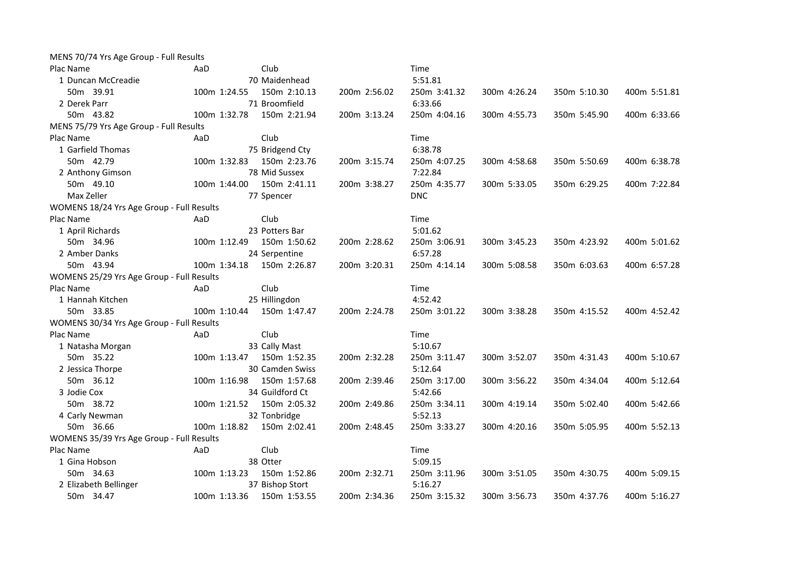| MENS 70/74 Yrs Age Group - Full Results   |              |                 |              |              |              |              |              |
|-------------------------------------------|--------------|-----------------|--------------|--------------|--------------|--------------|--------------|
| Plac Name                                 | AaD          | Club            |              | Time         |              |              |              |
| 1 Duncan McCreadie                        |              | 70 Maidenhead   |              | 5:51.81      |              |              |              |
| 50m 39.91                                 | 100m 1:24.55 | 150m 2:10.13    | 200m 2:56.02 | 250m 3:41.32 | 300m 4:26.24 | 350m 5:10.30 | 400m 5:51.81 |
| 2 Derek Parr                              |              | 71 Broomfield   |              | 6:33.66      |              |              |              |
| 50m 43.82                                 | 100m 1:32.78 | 150m 2:21.94    | 200m 3:13.24 | 250m 4:04.16 | 300m 4:55.73 | 350m 5:45.90 | 400m 6:33.66 |
| MENS 75/79 Yrs Age Group - Full Results   |              |                 |              |              |              |              |              |
| Plac Name                                 | AaD          | Club            |              | Time         |              |              |              |
| 1 Garfield Thomas                         |              | 75 Bridgend Cty |              | 6:38.78      |              |              |              |
| 50m 42.79                                 | 100m 1:32.83 | 150m 2:23.76    | 200m 3:15.74 | 250m 4:07.25 | 300m 4:58.68 | 350m 5:50.69 | 400m 6:38.78 |
| 2 Anthony Gimson                          |              | 78 Mid Sussex   |              | 7:22.84      |              |              |              |
| 50m 49.10                                 | 100m 1:44.00 | 150m 2:41.11    | 200m 3:38.27 | 250m 4:35.77 | 300m 5:33.05 | 350m 6:29.25 | 400m 7:22.84 |
| Max Zeller                                |              | 77 Spencer      |              | <b>DNC</b>   |              |              |              |
| WOMENS 18/24 Yrs Age Group - Full Results |              |                 |              |              |              |              |              |
| Plac Name                                 | AaD          | Club            |              | Time         |              |              |              |
| 1 April Richards                          |              | 23 Potters Bar  |              | 5:01.62      |              |              |              |
| 50m 34.96                                 | 100m 1:12.49 | 150m 1:50.62    | 200m 2:28.62 | 250m 3:06.91 | 300m 3:45.23 | 350m 4:23.92 | 400m 5:01.62 |
| 2 Amber Danks                             |              | 24 Serpentine   |              | 6:57.28      |              |              |              |
| 50m 43.94                                 | 100m 1:34.18 | 150m 2:26.87    | 200m 3:20.31 | 250m 4:14.14 | 300m 5:08.58 | 350m 6:03.63 | 400m 6:57.28 |
| WOMENS 25/29 Yrs Age Group - Full Results |              |                 |              |              |              |              |              |
| Plac Name                                 | AaD          | Club            |              | Time         |              |              |              |
| 1 Hannah Kitchen                          |              | 25 Hillingdon   |              | 4:52.42      |              |              |              |
| 50m 33.85                                 | 100m 1:10.44 | 150m 1:47.47    | 200m 2:24.78 | 250m 3:01.22 | 300m 3:38.28 | 350m 4:15.52 | 400m 4:52.42 |
| WOMENS 30/34 Yrs Age Group - Full Results |              |                 |              |              |              |              |              |
| Plac Name                                 | AaD          | Club            |              | Time         |              |              |              |
| 1 Natasha Morgan                          |              | 33 Cally Mast   |              | 5:10.67      |              |              |              |
| 50m 35.22                                 | 100m 1:13.47 | 150m 1:52.35    | 200m 2:32.28 | 250m 3:11.47 | 300m 3:52.07 | 350m 4:31.43 | 400m 5:10.67 |
| 2 Jessica Thorpe                          |              | 30 Camden Swiss |              | 5:12.64      |              |              |              |
| 50m 36.12                                 | 100m 1:16.98 | 150m 1:57.68    | 200m 2:39.46 | 250m 3:17.00 | 300m 3:56.22 | 350m 4:34.04 | 400m 5:12.64 |
| 3 Jodie Cox                               |              | 34 Guildford Ct |              | 5:42.66      |              |              |              |
| 50m 38.72                                 | 100m 1:21.52 | 150m 2:05.32    | 200m 2:49.86 | 250m 3:34.11 | 300m 4:19.14 | 350m 5:02.40 | 400m 5:42.66 |
| 4 Carly Newman                            |              | 32 Tonbridge    |              | 5:52.13      |              |              |              |
| 50m 36.66                                 | 100m 1:18.82 | 150m 2:02.41    | 200m 2:48.45 | 250m 3:33.27 | 300m 4:20.16 | 350m 5:05.95 | 400m 5:52.13 |
| WOMENS 35/39 Yrs Age Group - Full Results |              |                 |              |              |              |              |              |
| Plac Name                                 | AaD          | Club            |              | Time         |              |              |              |
| 1 Gina Hobson                             |              | 38 Otter        |              | 5:09.15      |              |              |              |
| 50m 34.63                                 | 100m 1:13.23 | 150m 1:52.86    | 200m 2:32.71 | 250m 3:11.96 | 300m 3:51.05 | 350m 4:30.75 | 400m 5:09.15 |
| 2 Elizabeth Bellinger                     |              | 37 Bishop Stort |              | 5:16.27      |              |              |              |
| 50m 34.47                                 | 100m 1:13.36 | 150m 1:53.55    | 200m 2:34.36 | 250m 3:15.32 | 300m 3:56.73 | 350m 4:37.76 | 400m 5:16.27 |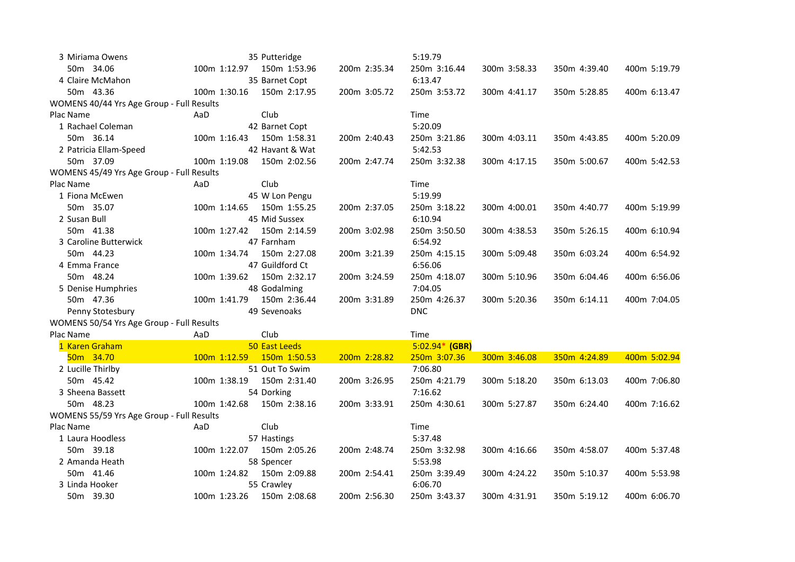| 3 Miriama Owens                           | 35 Putteridge                |              | 5:19.79          |              |              |              |
|-------------------------------------------|------------------------------|--------------|------------------|--------------|--------------|--------------|
| 50m 34.06                                 | 100m 1:12.97<br>150m 1:53.96 | 200m 2:35.34 | 250m 3:16.44     | 300m 3:58.33 | 350m 4:39.40 | 400m 5:19.79 |
| 4 Claire McMahon                          | 35 Barnet Copt               |              | 6:13.47          |              |              |              |
| 50m 43.36                                 | 100m 1:30.16<br>150m 2:17.95 | 200m 3:05.72 | 250m 3:53.72     | 300m 4:41.17 | 350m 5:28.85 | 400m 6:13.47 |
| WOMENS 40/44 Yrs Age Group - Full Results |                              |              |                  |              |              |              |
| Plac Name                                 | Club<br>AaD                  |              | Time             |              |              |              |
| 1 Rachael Coleman                         | 42 Barnet Copt               |              | 5:20.09          |              |              |              |
| 50m 36.14                                 | 100m 1:16.43<br>150m 1:58.31 | 200m 2:40.43 | 250m 3:21.86     | 300m 4:03.11 | 350m 4:43.85 | 400m 5:20.09 |
| 2 Patricia Ellam-Speed                    | 42 Havant & Wat              |              | 5:42.53          |              |              |              |
| 50m 37.09                                 | 100m 1:19.08<br>150m 2:02.56 | 200m 2:47.74 | 250m 3:32.38     | 300m 4:17.15 | 350m 5:00.67 | 400m 5:42.53 |
| WOMENS 45/49 Yrs Age Group - Full Results |                              |              |                  |              |              |              |
| Plac Name                                 | AaD<br>Club                  |              | Time             |              |              |              |
| 1 Fiona McEwen                            | 45 W Lon Pengu               |              | 5:19.99          |              |              |              |
| 50m 35.07                                 | 150m 1:55.25<br>100m 1:14.65 | 200m 2:37.05 | 250m 3:18.22     | 300m 4:00.01 | 350m 4:40.77 | 400m 5:19.99 |
| 2 Susan Bull                              | 45 Mid Sussex                |              | 6:10.94          |              |              |              |
| 50m 41.38                                 | 100m 1:27.42<br>150m 2:14.59 | 200m 3:02.98 | 250m 3:50.50     | 300m 4:38.53 | 350m 5:26.15 | 400m 6:10.94 |
| 3 Caroline Butterwick                     | 47 Farnham                   |              | 6:54.92          |              |              |              |
| 50m 44.23                                 | 150m 2:27.08<br>100m 1:34.74 | 200m 3:21.39 | 250m 4:15.15     | 300m 5:09.48 | 350m 6:03.24 | 400m 6:54.92 |
| 4 Emma France                             | 47 Guildford Ct              |              | 6:56.06          |              |              |              |
| 50m 48.24                                 | 100m 1:39.62<br>150m 2:32.17 | 200m 3:24.59 | 250m 4:18.07     | 300m 5:10.96 | 350m 6:04.46 | 400m 6:56.06 |
| 5 Denise Humphries                        | 48 Godalming                 |              | 7:04.05          |              |              |              |
| 50m 47.36                                 | 150m 2:36.44<br>100m 1:41.79 | 200m 3:31.89 | 250m 4:26.37     | 300m 5:20.36 | 350m 6:14.11 | 400m 7:04.05 |
| Penny Stotesbury                          | 49 Sevenoaks                 |              | <b>DNC</b>       |              |              |              |
| WOMENS 50/54 Yrs Age Group - Full Results |                              |              |                  |              |              |              |
| Plac Name                                 | AaD<br>Club                  |              | Time             |              |              |              |
| 1 Karen Graham                            | 50 East Leeds                |              | $5:02.94*$ (GBR) |              |              |              |
| 50m 34.70                                 | 100m 1:12.59<br>150m 1:50.53 | 200m 2:28.82 | 250m 3:07.36     | 300m 3:46.08 | 350m 4:24.89 | 400m 5:02.94 |
| 2 Lucille Thirlby                         | 51 Out To Swim               |              | 7:06.80          |              |              |              |
| 50m 45.42                                 | 150m 2:31.40<br>100m 1:38.19 | 200m 3:26.95 | 250m 4:21.79     | 300m 5:18.20 | 350m 6:13.03 | 400m 7:06.80 |
| 3 Sheena Bassett                          | 54 Dorking                   |              | 7:16.62          |              |              |              |
| 50m 48.23                                 | 100m 1:42.68<br>150m 2:38.16 | 200m 3:33.91 | 250m 4:30.61     | 300m 5:27.87 | 350m 6:24.40 | 400m 7:16.62 |
| WOMENS 55/59 Yrs Age Group - Full Results |                              |              |                  |              |              |              |
| Plac Name                                 | Club<br>AaD                  |              | Time             |              |              |              |
| 1 Laura Hoodless                          | 57 Hastings                  |              | 5:37.48          |              |              |              |
| 50m 39.18                                 | 100m 1:22.07<br>150m 2:05.26 | 200m 2:48.74 | 250m 3:32.98     | 300m 4:16.66 | 350m 4:58.07 | 400m 5:37.48 |
| 2 Amanda Heath                            | 58 Spencer                   |              | 5:53.98          |              |              |              |
| 50m 41.46                                 | 100m 1:24.82<br>150m 2:09.88 | 200m 2:54.41 | 250m 3:39.49     | 300m 4:24.22 | 350m 5:10.37 | 400m 5:53.98 |
| 3 Linda Hooker                            | 55 Crawley                   |              | 6:06.70          |              |              |              |
| 50m 39.30                                 | 100m 1:23.26<br>150m 2:08.68 | 200m 2:56.30 | 250m 3:43.37     | 300m 4:31.91 | 350m 5:19.12 | 400m 6:06.70 |
|                                           |                              |              |                  |              |              |              |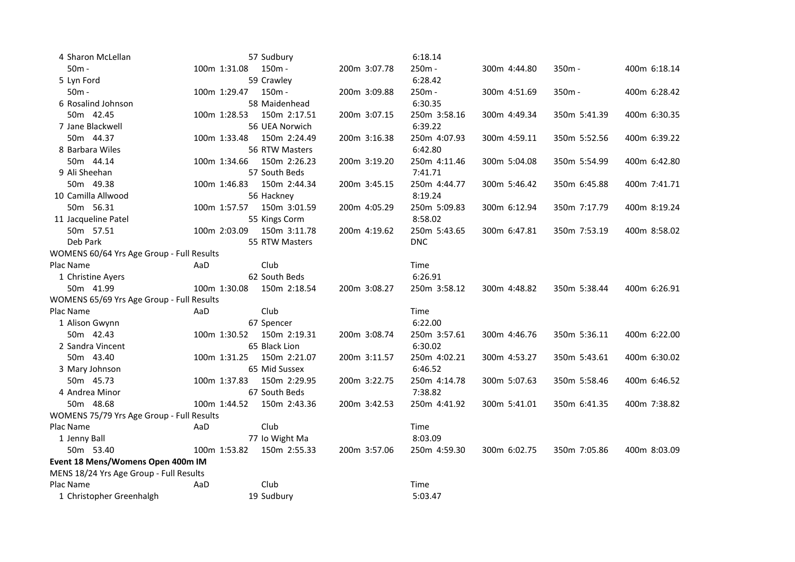| 4 Sharon McLellan                         |              | 57 Sudbury     |              | 6:18.14      |              |              |              |
|-------------------------------------------|--------------|----------------|--------------|--------------|--------------|--------------|--------------|
| $50m -$                                   | 100m 1:31.08 | 150m -         | 200m 3:07.78 | 250m -       | 300m 4:44.80 | 350m -       | 400m 6:18.14 |
| 5 Lyn Ford                                |              | 59 Crawley     |              | 6:28.42      |              |              |              |
| $50m -$                                   | 100m 1:29.47 | 150m -         | 200m 3:09.88 | 250m -       | 300m 4:51.69 | 350m -       | 400m 6:28.42 |
| 6 Rosalind Johnson                        |              | 58 Maidenhead  |              | 6:30.35      |              |              |              |
| 50m 42.45                                 | 100m 1:28.53 | 150m 2:17.51   | 200m 3:07.15 | 250m 3:58.16 | 300m 4:49.34 | 350m 5:41.39 | 400m 6:30.35 |
| 7 Jane Blackwell                          |              | 56 UEA Norwich |              | 6:39.22      |              |              |              |
| 50m 44.37                                 | 100m 1:33.48 | 150m 2:24.49   | 200m 3:16.38 | 250m 4:07.93 | 300m 4:59.11 | 350m 5:52.56 | 400m 6:39.22 |
| 8 Barbara Wiles                           |              | 56 RTW Masters |              | 6:42.80      |              |              |              |
| 50m 44.14                                 | 100m 1:34.66 | 150m 2:26.23   | 200m 3:19.20 | 250m 4:11.46 | 300m 5:04.08 | 350m 5:54.99 | 400m 6:42.80 |
| 9 Ali Sheehan                             |              | 57 South Beds  |              | 7:41.71      |              |              |              |
| 50m 49.38                                 | 100m 1:46.83 | 150m 2:44.34   | 200m 3:45.15 | 250m 4:44.77 | 300m 5:46.42 | 350m 6:45.88 | 400m 7:41.71 |
| 10 Camilla Allwood                        |              | 56 Hackney     |              | 8:19.24      |              |              |              |
| 50m 56.31                                 | 100m 1:57.57 | 150m 3:01.59   | 200m 4:05.29 | 250m 5:09.83 | 300m 6:12.94 | 350m 7:17.79 | 400m 8:19.24 |
| 11 Jacqueline Patel                       |              | 55 Kings Corm  |              | 8:58.02      |              |              |              |
| 50m 57.51                                 | 100m 2:03.09 | 150m 3:11.78   | 200m 4:19.62 | 250m 5:43.65 | 300m 6:47.81 | 350m 7:53.19 | 400m 8:58.02 |
| Deb Park                                  |              | 55 RTW Masters |              | <b>DNC</b>   |              |              |              |
| WOMENS 60/64 Yrs Age Group - Full Results |              |                |              |              |              |              |              |
| Plac Name                                 | AaD          | Club           |              | Time         |              |              |              |
| 1 Christine Ayers                         |              | 62 South Beds  |              | 6:26.91      |              |              |              |
| 50m 41.99                                 | 100m 1:30.08 | 150m 2:18.54   | 200m 3:08.27 | 250m 3:58.12 | 300m 4:48.82 | 350m 5:38.44 | 400m 6:26.91 |
| WOMENS 65/69 Yrs Age Group - Full Results |              |                |              |              |              |              |              |
| Plac Name                                 | AaD          | Club           |              | Time         |              |              |              |
| 1 Alison Gwynn                            |              | 67 Spencer     |              | 6:22.00      |              |              |              |
| 50m 42.43                                 | 100m 1:30.52 | 150m 2:19.31   | 200m 3:08.74 | 250m 3:57.61 | 300m 4:46.76 | 350m 5:36.11 | 400m 6:22.00 |
| 2 Sandra Vincent                          |              | 65 Black Lion  |              | 6:30.02      |              |              |              |
| 50m 43.40                                 | 100m 1:31.25 | 150m 2:21.07   | 200m 3:11.57 | 250m 4:02.21 | 300m 4:53.27 | 350m 5:43.61 | 400m 6:30.02 |
| 3 Mary Johnson                            |              | 65 Mid Sussex  |              | 6:46.52      |              |              |              |
| 50m 45.73                                 | 100m 1:37.83 | 150m 2:29.95   | 200m 3:22.75 | 250m 4:14.78 | 300m 5:07.63 | 350m 5:58.46 | 400m 6:46.52 |
| 4 Andrea Minor                            |              | 67 South Beds  |              | 7:38.82      |              |              |              |
| 50m 48.68                                 | 100m 1:44.52 | 150m 2:43.36   | 200m 3:42.53 | 250m 4:41.92 | 300m 5:41.01 | 350m 6:41.35 | 400m 7:38.82 |
| WOMENS 75/79 Yrs Age Group - Full Results |              |                |              |              |              |              |              |
| Plac Name                                 | AaD          | Club           |              | Time         |              |              |              |
| 1 Jenny Ball                              |              | 77 Io Wight Ma |              | 8:03.09      |              |              |              |
| 50m 53.40                                 | 100m 1:53.82 | 150m 2:55.33   | 200m 3:57.06 | 250m 4:59.30 | 300m 6:02.75 | 350m 7:05.86 | 400m 8:03.09 |
| Event 18 Mens/Womens Open 400m IM         |              |                |              |              |              |              |              |
| MENS 18/24 Yrs Age Group - Full Results   |              |                |              |              |              |              |              |
| Plac Name                                 | AaD          | Club           |              | Time         |              |              |              |
| 1 Christopher Greenhalgh                  |              | 19 Sudbury     |              | 5:03.47      |              |              |              |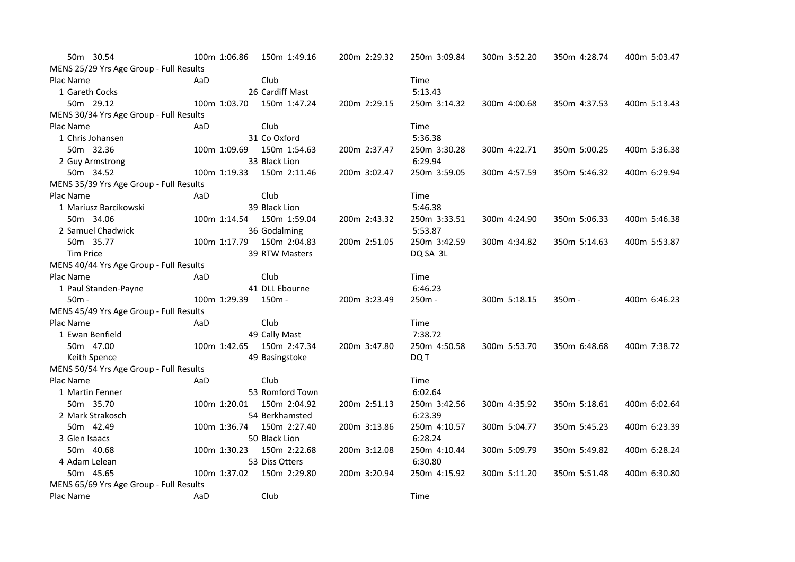| 50m 30.54                               |     | 100m 1:06.86 | 150m 1:49.16    | 200m 2:29.32 | 250m 3:09.84 | 300m 3:52.20 | 350m 4:28.74 | 400m 5:03.47 |
|-----------------------------------------|-----|--------------|-----------------|--------------|--------------|--------------|--------------|--------------|
| MENS 25/29 Yrs Age Group - Full Results |     |              |                 |              |              |              |              |              |
| Plac Name                               | AaD |              | Club            |              | Time         |              |              |              |
| 1 Gareth Cocks                          |     |              | 26 Cardiff Mast |              | 5:13.43      |              |              |              |
| 50m 29.12                               |     | 100m 1:03.70 | 150m 1:47.24    | 200m 2:29.15 | 250m 3:14.32 | 300m 4:00.68 | 350m 4:37.53 | 400m 5:13.43 |
| MENS 30/34 Yrs Age Group - Full Results |     |              |                 |              |              |              |              |              |
| Plac Name                               | AaD |              | Club            |              | Time         |              |              |              |
| 1 Chris Johansen                        |     |              | 31 Co Oxford    |              | 5:36.38      |              |              |              |
| 50m 32.36                               |     | 100m 1:09.69 | 150m 1:54.63    | 200m 2:37.47 | 250m 3:30.28 | 300m 4:22.71 | 350m 5:00.25 | 400m 5:36.38 |
| 2 Guy Armstrong                         |     |              | 33 Black Lion   |              | 6:29.94      |              |              |              |
| 50m 34.52                               |     | 100m 1:19.33 | 150m 2:11.46    | 200m 3:02.47 | 250m 3:59.05 | 300m 4:57.59 | 350m 5:46.32 | 400m 6:29.94 |
| MENS 35/39 Yrs Age Group - Full Results |     |              |                 |              |              |              |              |              |
| Plac Name                               | AaD |              | Club            |              | Time         |              |              |              |
| 1 Mariusz Barcikowski                   |     |              | 39 Black Lion   |              | 5:46.38      |              |              |              |
| 50m 34.06                               |     | 100m 1:14.54 | 150m 1:59.04    | 200m 2:43.32 | 250m 3:33.51 | 300m 4:24.90 | 350m 5:06.33 | 400m 5:46.38 |
| 2 Samuel Chadwick                       |     |              | 36 Godalming    |              | 5:53.87      |              |              |              |
| 50m 35.77                               |     | 100m 1:17.79 | 150m 2:04.83    | 200m 2:51.05 | 250m 3:42.59 | 300m 4:34.82 | 350m 5:14.63 | 400m 5:53.87 |
| <b>Tim Price</b>                        |     |              | 39 RTW Masters  |              | DQ SA 3L     |              |              |              |
| MENS 40/44 Yrs Age Group - Full Results |     |              |                 |              |              |              |              |              |
| Plac Name                               | AaD |              | Club            |              | Time         |              |              |              |
| 1 Paul Standen-Payne                    |     |              | 41 DLL Ebourne  |              | 6:46.23      |              |              |              |
| $50m -$                                 |     | 100m 1:29.39 | 150m -          | 200m 3:23.49 | $250m -$     | 300m 5:18.15 | $350m -$     | 400m 6:46.23 |
| MENS 45/49 Yrs Age Group - Full Results |     |              |                 |              |              |              |              |              |
| Plac Name                               | AaD |              | Club            |              | Time         |              |              |              |
| 1 Ewan Benfield                         |     |              | 49 Cally Mast   |              | 7:38.72      |              |              |              |
| 50m 47.00                               |     | 100m 1:42.65 | 150m 2:47.34    | 200m 3:47.80 | 250m 4:50.58 | 300m 5:53.70 | 350m 6:48.68 | 400m 7:38.72 |
| Keith Spence                            |     |              | 49 Basingstoke  |              | DQ T         |              |              |              |
| MENS 50/54 Yrs Age Group - Full Results |     |              |                 |              |              |              |              |              |
| Plac Name                               | AaD |              | Club            |              | Time         |              |              |              |
| 1 Martin Fenner                         |     |              | 53 Romford Town |              | 6:02.64      |              |              |              |
| 50m 35.70                               |     | 100m 1:20.01 | 150m 2:04.92    | 200m 2:51.13 | 250m 3:42.56 | 300m 4:35.92 | 350m 5:18.61 | 400m 6:02.64 |
| 2 Mark Strakosch                        |     |              | 54 Berkhamsted  |              | 6:23.39      |              |              |              |
| 50m 42.49                               |     | 100m 1:36.74 | 150m 2:27.40    | 200m 3:13.86 | 250m 4:10.57 | 300m 5:04.77 | 350m 5:45.23 | 400m 6:23.39 |
| 3 Glen Isaacs                           |     |              | 50 Black Lion   |              | 6:28.24      |              |              |              |
| 50m 40.68                               |     | 100m 1:30.23 | 150m 2:22.68    | 200m 3:12.08 | 250m 4:10.44 | 300m 5:09.79 | 350m 5:49.82 | 400m 6:28.24 |
| 4 Adam Lelean                           |     |              | 53 Diss Otters  |              | 6:30.80      |              |              |              |
| 50m 45.65                               |     | 100m 1:37.02 | 150m 2:29.80    | 200m 3:20.94 | 250m 4:15.92 | 300m 5:11.20 | 350m 5:51.48 | 400m 6:30.80 |
| MENS 65/69 Yrs Age Group - Full Results |     |              |                 |              |              |              |              |              |
| Plac Name                               | AaD |              | Club            |              | Time         |              |              |              |
|                                         |     |              |                 |              |              |              |              |              |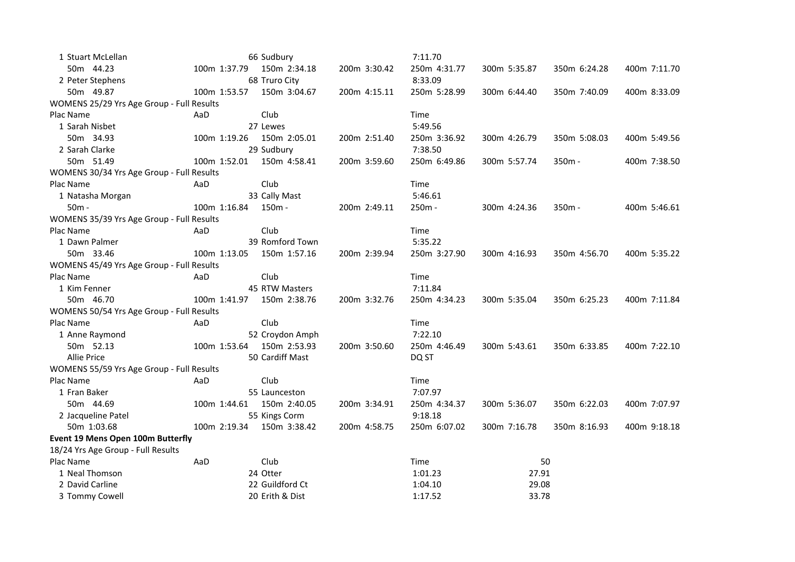| 1 Stuart McLellan                         |              | 66 Sudbury      |              | 7:11.70      |              |              |              |
|-------------------------------------------|--------------|-----------------|--------------|--------------|--------------|--------------|--------------|
| 50m 44.23                                 | 100m 1:37.79 | 150m 2:34.18    | 200m 3:30.42 | 250m 4:31.77 | 300m 5:35.87 | 350m 6:24.28 | 400m 7:11.70 |
| 2 Peter Stephens                          |              | 68 Truro City   |              | 8:33.09      |              |              |              |
| 50m 49.87                                 | 100m 1:53.57 | 150m 3:04.67    | 200m 4:15.11 | 250m 5:28.99 | 300m 6:44.40 | 350m 7:40.09 | 400m 8:33.09 |
| WOMENS 25/29 Yrs Age Group - Full Results |              |                 |              |              |              |              |              |
| Plac Name                                 | AaD          | Club            |              | Time         |              |              |              |
| 1 Sarah Nisbet                            |              | 27 Lewes        |              | 5:49.56      |              |              |              |
| 50m 34.93                                 | 100m 1:19.26 | 150m 2:05.01    | 200m 2:51.40 | 250m 3:36.92 | 300m 4:26.79 | 350m 5:08.03 | 400m 5:49.56 |
| 2 Sarah Clarke                            |              | 29 Sudbury      |              | 7:38.50      |              |              |              |
| 50m 51.49                                 | 100m 1:52.01 | 150m 4:58.41    | 200m 3:59.60 | 250m 6:49.86 | 300m 5:57.74 | $350m -$     | 400m 7:38.50 |
| WOMENS 30/34 Yrs Age Group - Full Results |              |                 |              |              |              |              |              |
| Plac Name                                 | AaD          | Club            |              | Time         |              |              |              |
| 1 Natasha Morgan                          |              | 33 Cally Mast   |              | 5:46.61      |              |              |              |
| 50m -                                     | 100m 1:16.84 | 150m -          | 200m 2:49.11 | $250m -$     | 300m 4:24.36 | $350m -$     | 400m 5:46.61 |
| WOMENS 35/39 Yrs Age Group - Full Results |              |                 |              |              |              |              |              |
| Plac Name                                 | AaD          | Club            |              | Time         |              |              |              |
| 1 Dawn Palmer                             |              | 39 Romford Town |              | 5:35.22      |              |              |              |
| 50m 33.46                                 | 100m 1:13.05 | 150m 1:57.16    | 200m 2:39.94 | 250m 3:27.90 | 300m 4:16.93 | 350m 4:56.70 | 400m 5:35.22 |
| WOMENS 45/49 Yrs Age Group - Full Results |              |                 |              |              |              |              |              |
| Plac Name                                 | AaD          | Club            |              | Time         |              |              |              |
| 1 Kim Fenner                              |              | 45 RTW Masters  |              | 7:11.84      |              |              |              |
| 50m 46.70                                 | 100m 1:41.97 | 150m 2:38.76    | 200m 3:32.76 | 250m 4:34.23 | 300m 5:35.04 | 350m 6:25.23 | 400m 7:11.84 |
| WOMENS 50/54 Yrs Age Group - Full Results |              |                 |              |              |              |              |              |
| Plac Name                                 | AaD          | Club            |              | Time         |              |              |              |
| 1 Anne Raymond                            |              | 52 Croydon Amph |              | 7:22.10      |              |              |              |
| 50m 52.13                                 | 100m 1:53.64 | 150m 2:53.93    | 200m 3:50.60 | 250m 4:46.49 | 300m 5:43.61 | 350m 6:33.85 | 400m 7:22.10 |
| <b>Allie Price</b>                        |              | 50 Cardiff Mast |              | DQ ST        |              |              |              |
| WOMENS 55/59 Yrs Age Group - Full Results |              |                 |              |              |              |              |              |
| Plac Name                                 | AaD          | Club            |              | Time         |              |              |              |
| 1 Fran Baker                              |              | 55 Launceston   |              | 7:07.97      |              |              |              |
| 50m 44.69                                 | 100m 1:44.61 | 150m 2:40.05    | 200m 3:34.91 | 250m 4:34.37 | 300m 5:36.07 | 350m 6:22.03 | 400m 7:07.97 |
| 2 Jacqueline Patel                        |              | 55 Kings Corm   |              | 9:18.18      |              |              |              |
| 50m 1:03.68                               | 100m 2:19.34 | 150m 3:38.42    | 200m 4:58.75 | 250m 6:07.02 | 300m 7:16.78 | 350m 8:16.93 | 400m 9:18.18 |
| Event 19 Mens Open 100m Butterfly         |              |                 |              |              |              |              |              |
| 18/24 Yrs Age Group - Full Results        |              |                 |              |              |              |              |              |
| Plac Name                                 | AaD          | Club            |              | Time         |              | 50           |              |
| 1 Neal Thomson                            |              | 24 Otter        |              | 1:01.23      | 27.91        |              |              |
| 2 David Carline                           |              | 22 Guildford Ct |              | 1:04.10      | 29.08        |              |              |
| 3 Tommy Cowell                            |              | 20 Erith & Dist |              | 1:17.52      | 33.78        |              |              |
|                                           |              |                 |              |              |              |              |              |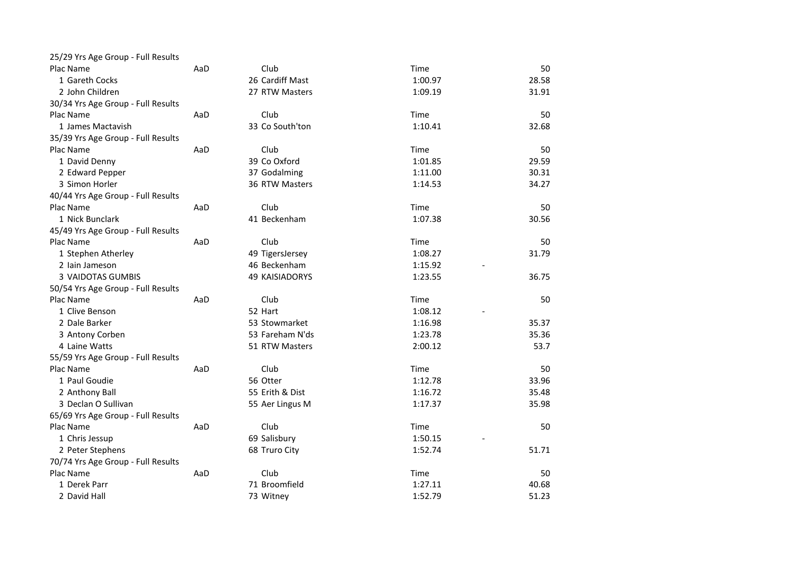| 25/29 Yrs Age Group - Full Results |     |                 |         |       |
|------------------------------------|-----|-----------------|---------|-------|
| Plac Name                          | AaD | Club            | Time    | 50    |
| 1 Gareth Cocks                     |     | 26 Cardiff Mast | 1:00.97 | 28.58 |
| 2 John Children                    |     | 27 RTW Masters  | 1:09.19 | 31.91 |
| 30/34 Yrs Age Group - Full Results |     |                 |         |       |
| Plac Name                          | AaD | Club            | Time    | 50    |
| 1 James Mactavish                  |     | 33 Co South'ton | 1:10.41 | 32.68 |
| 35/39 Yrs Age Group - Full Results |     |                 |         |       |
| Plac Name                          | AaD | Club            | Time    | 50    |
| 1 David Denny                      |     | 39 Co Oxford    | 1:01.85 | 29.59 |
| 2 Edward Pepper                    |     | 37 Godalming    | 1:11.00 | 30.31 |
| 3 Simon Horler                     |     | 36 RTW Masters  | 1:14.53 | 34.27 |
| 40/44 Yrs Age Group - Full Results |     |                 |         |       |
| Plac Name                          | AaD | Club            | Time    | 50    |
| 1 Nick Bunclark                    |     | 41 Beckenham    | 1:07.38 | 30.56 |
| 45/49 Yrs Age Group - Full Results |     |                 |         |       |
| Plac Name                          | AaD | Club            | Time    | 50    |
| 1 Stephen Atherley                 |     | 49 TigersJersey | 1:08.27 | 31.79 |
| 2 Iain Jameson                     |     | 46 Beckenham    | 1:15.92 |       |
| 3 VAIDOTAS GUMBIS                  |     | 49 KAISIADORYS  | 1:23.55 | 36.75 |
| 50/54 Yrs Age Group - Full Results |     |                 |         |       |
| Plac Name                          | AaD | Club            | Time    | 50    |
| 1 Clive Benson                     |     | 52 Hart         | 1:08.12 |       |
| 2 Dale Barker                      |     | 53 Stowmarket   | 1:16.98 | 35.37 |
| 3 Antony Corben                    |     | 53 Fareham N'ds | 1:23.78 | 35.36 |
| 4 Laine Watts                      |     | 51 RTW Masters  | 2:00.12 | 53.7  |
| 55/59 Yrs Age Group - Full Results |     |                 |         |       |
| Plac Name                          | AaD | Club            | Time    | 50    |
| 1 Paul Goudie                      |     | 56 Otter        | 1:12.78 | 33.96 |
| 2 Anthony Ball                     |     | 55 Erith & Dist | 1:16.72 | 35.48 |
| 3 Declan O Sullivan                |     | 55 Aer Lingus M | 1:17.37 | 35.98 |
| 65/69 Yrs Age Group - Full Results |     |                 |         |       |
| Plac Name                          | AaD | Club            | Time    | 50    |
| 1 Chris Jessup                     |     | 69 Salisbury    | 1:50.15 |       |
| 2 Peter Stephens                   |     | 68 Truro City   | 1:52.74 | 51.71 |
| 70/74 Yrs Age Group - Full Results |     |                 |         |       |
| Plac Name                          | AaD | Club            | Time    | 50    |
| 1 Derek Parr                       |     | 71 Broomfield   | 1:27.11 | 40.68 |
| 2 David Hall                       |     | 73 Witney       | 1:52.79 | 51.23 |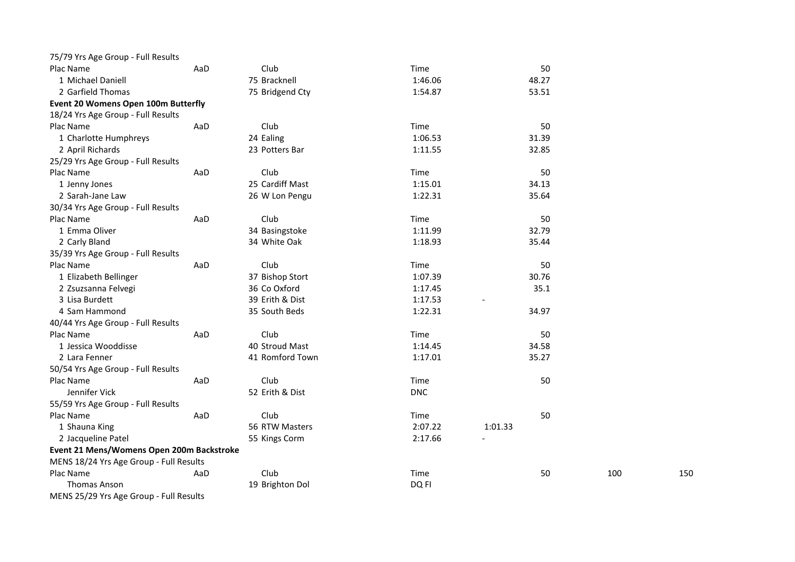| 75/79 Yrs Age Group - Full Results        |     |                 |            |         |     |     |
|-------------------------------------------|-----|-----------------|------------|---------|-----|-----|
| Plac Name                                 | AaD | Club            | Time       | 50      |     |     |
| 1 Michael Daniell                         |     | 75 Bracknell    | 1:46.06    | 48.27   |     |     |
| 2 Garfield Thomas                         |     | 75 Bridgend Cty | 1:54.87    | 53.51   |     |     |
| Event 20 Womens Open 100m Butterfly       |     |                 |            |         |     |     |
| 18/24 Yrs Age Group - Full Results        |     |                 |            |         |     |     |
| Plac Name                                 | AaD | Club            | Time       | 50      |     |     |
| 1 Charlotte Humphreys                     |     | 24 Ealing       | 1:06.53    | 31.39   |     |     |
| 2 April Richards                          |     | 23 Potters Bar  | 1:11.55    | 32.85   |     |     |
| 25/29 Yrs Age Group - Full Results        |     |                 |            |         |     |     |
| Plac Name                                 | AaD | Club            | Time       | 50      |     |     |
| 1 Jenny Jones                             |     | 25 Cardiff Mast | 1:15.01    | 34.13   |     |     |
| 2 Sarah-Jane Law                          |     | 26 W Lon Pengu  | 1:22.31    | 35.64   |     |     |
| 30/34 Yrs Age Group - Full Results        |     |                 |            |         |     |     |
| Plac Name                                 | AaD | Club            | Time       | 50      |     |     |
| 1 Emma Oliver                             |     | 34 Basingstoke  | 1:11.99    | 32.79   |     |     |
| 2 Carly Bland                             |     | 34 White Oak    | 1:18.93    | 35.44   |     |     |
| 35/39 Yrs Age Group - Full Results        |     |                 |            |         |     |     |
| Plac Name                                 | AaD | Club            | Time       | 50      |     |     |
| 1 Elizabeth Bellinger                     |     | 37 Bishop Stort | 1:07.39    | 30.76   |     |     |
| 2 Zsuzsanna Felvegi                       |     | 36 Co Oxford    | 1:17.45    | 35.1    |     |     |
| 3 Lisa Burdett                            |     | 39 Erith & Dist | 1:17.53    |         |     |     |
| 4 Sam Hammond                             |     | 35 South Beds   | 1:22.31    | 34.97   |     |     |
| 40/44 Yrs Age Group - Full Results        |     |                 |            |         |     |     |
| Plac Name                                 | AaD | Club            | Time       | 50      |     |     |
| 1 Jessica Wooddisse                       |     | 40 Stroud Mast  | 1:14.45    | 34.58   |     |     |
| 2 Lara Fenner                             |     | 41 Romford Town | 1:17.01    | 35.27   |     |     |
| 50/54 Yrs Age Group - Full Results        |     |                 |            |         |     |     |
| Plac Name                                 | AaD | Club            | Time       | 50      |     |     |
| Jennifer Vick                             |     | 52 Erith & Dist | <b>DNC</b> |         |     |     |
| 55/59 Yrs Age Group - Full Results        |     |                 |            |         |     |     |
| Plac Name                                 | AaD | Club            | Time       | 50      |     |     |
| 1 Shauna King                             |     | 56 RTW Masters  | 2:07.22    | 1:01.33 |     |     |
| 2 Jacqueline Patel                        |     | 55 Kings Corm   | 2:17.66    |         |     |     |
| Event 21 Mens/Womens Open 200m Backstroke |     |                 |            |         |     |     |
| MENS 18/24 Yrs Age Group - Full Results   |     |                 |            |         |     |     |
| Plac Name                                 | AaD | Club            | Time       | 50      | 100 | 150 |
| <b>Thomas Anson</b>                       |     | 19 Brighton Dol | DQ FI      |         |     |     |
| MENS 25/29 Yrs Age Group - Full Results   |     |                 |            |         |     |     |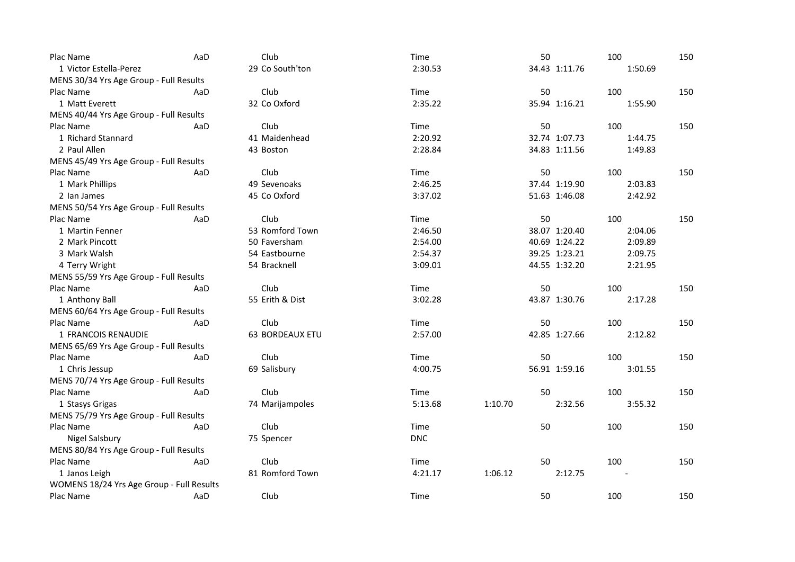| Plac Name                                 | AaD | Club            | Time       |         | 50 |               | 100     | 150 |
|-------------------------------------------|-----|-----------------|------------|---------|----|---------------|---------|-----|
| 1 Victor Estella-Perez                    |     | 29 Co South'ton | 2:30.53    |         |    | 34.43 1:11.76 | 1:50.69 |     |
| MENS 30/34 Yrs Age Group - Full Results   |     |                 |            |         |    |               |         |     |
| Plac Name                                 | AaD | Club            | Time       |         | 50 |               | 100     | 150 |
| 1 Matt Everett                            |     | 32 Co Oxford    | 2:35.22    |         |    | 35.94 1:16.21 | 1:55.90 |     |
| MENS 40/44 Yrs Age Group - Full Results   |     |                 |            |         |    |               |         |     |
| Plac Name                                 | AaD | Club            | Time       |         | 50 |               | 100     | 150 |
| 1 Richard Stannard                        |     | 41 Maidenhead   | 2:20.92    |         |    | 32.74 1:07.73 | 1:44.75 |     |
| 2 Paul Allen                              |     | 43 Boston       | 2:28.84    |         |    | 34.83 1:11.56 | 1:49.83 |     |
| MENS 45/49 Yrs Age Group - Full Results   |     |                 |            |         |    |               |         |     |
| Plac Name                                 | AaD | Club            | Time       |         | 50 |               | 100     | 150 |
| 1 Mark Phillips                           |     | 49 Sevenoaks    | 2:46.25    |         |    | 37.44 1:19.90 | 2:03.83 |     |
| 2 Ian James                               |     | 45 Co Oxford    | 3:37.02    |         |    | 51.63 1:46.08 | 2:42.92 |     |
| MENS 50/54 Yrs Age Group - Full Results   |     |                 |            |         |    |               |         |     |
| Plac Name                                 | AaD | Club            | Time       |         | 50 |               | 100     | 150 |
| 1 Martin Fenner                           |     | 53 Romford Town | 2:46.50    |         |    | 38.07 1:20.40 | 2:04.06 |     |
| 2 Mark Pincott                            |     | 50 Faversham    | 2:54.00    |         |    | 40.69 1:24.22 | 2:09.89 |     |
| 3 Mark Walsh                              |     | 54 Eastbourne   | 2:54.37    |         |    | 39.25 1:23.21 | 2:09.75 |     |
| 4 Terry Wright                            |     | 54 Bracknell    | 3:09.01    |         |    | 44.55 1:32.20 | 2:21.95 |     |
| MENS 55/59 Yrs Age Group - Full Results   |     |                 |            |         |    |               |         |     |
| Plac Name                                 | AaD | Club            | Time       |         | 50 |               | 100     | 150 |
| 1 Anthony Ball                            |     | 55 Erith & Dist | 3:02.28    |         |    | 43.87 1:30.76 | 2:17.28 |     |
| MENS 60/64 Yrs Age Group - Full Results   |     |                 |            |         |    |               |         |     |
| Plac Name                                 | AaD | Club            | Time       |         | 50 |               | 100     | 150 |
| 1 FRANCOIS RENAUDIE                       |     | 63 BORDEAUX ETU | 2:57.00    |         |    | 42.85 1:27.66 | 2:12.82 |     |
| MENS 65/69 Yrs Age Group - Full Results   |     |                 |            |         |    |               |         |     |
| Plac Name                                 | AaD | Club            | Time       |         | 50 |               | 100     | 150 |
| 1 Chris Jessup                            |     | 69 Salisbury    | 4:00.75    |         |    | 56.91 1:59.16 | 3:01.55 |     |
| MENS 70/74 Yrs Age Group - Full Results   |     |                 |            |         |    |               |         |     |
| Plac Name                                 | AaD | Club            | Time       |         | 50 |               | 100     | 150 |
| 1 Stasys Grigas                           |     | 74 Marijampoles | 5:13.68    | 1:10.70 |    | 2:32.56       | 3:55.32 |     |
| MENS 75/79 Yrs Age Group - Full Results   |     |                 |            |         |    |               |         |     |
| Plac Name                                 | AaD | Club            | Time       |         | 50 |               | 100     | 150 |
| Nigel Salsbury                            |     | 75 Spencer      | <b>DNC</b> |         |    |               |         |     |
| MENS 80/84 Yrs Age Group - Full Results   |     |                 |            |         |    |               |         |     |
| Plac Name                                 | AaD | Club            | Time       |         | 50 |               | 100     | 150 |
| 1 Janos Leigh                             |     | 81 Romford Town | 4:21.17    | 1:06.12 |    | 2:12.75       |         |     |
| WOMENS 18/24 Yrs Age Group - Full Results |     |                 |            |         |    |               |         |     |
| Plac Name                                 | AaD | Club            | Time       |         | 50 |               | 100     | 150 |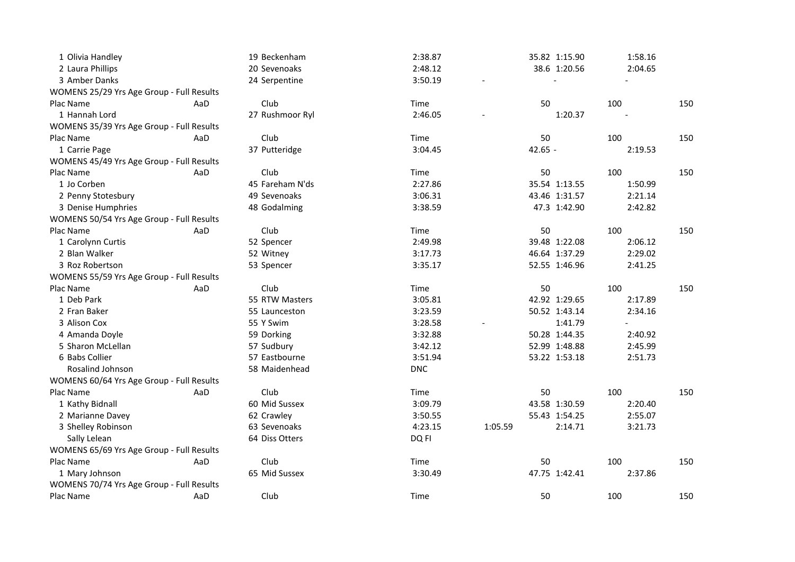| 1 Olivia Handley                          |     | 19 Beckenham    | 2:38.87    |         |           | 35.82 1:15.90 | 1:58.16 |     |
|-------------------------------------------|-----|-----------------|------------|---------|-----------|---------------|---------|-----|
| 2 Laura Phillips                          |     | 20 Sevenoaks    | 2:48.12    |         |           | 38.6 1:20.56  | 2:04.65 |     |
| 3 Amber Danks                             |     | 24 Serpentine   | 3:50.19    |         |           |               |         |     |
| WOMENS 25/29 Yrs Age Group - Full Results |     |                 |            |         |           |               |         |     |
| Plac Name                                 | AaD | Club            | Time       |         | 50        |               | 100     | 150 |
| 1 Hannah Lord                             |     | 27 Rushmoor Ryl | 2:46.05    |         |           | 1:20.37       |         |     |
| WOMENS 35/39 Yrs Age Group - Full Results |     |                 |            |         |           |               |         |     |
| Plac Name                                 | AaD | Club            | Time       |         | 50        |               | 100     | 150 |
| 1 Carrie Page                             |     | 37 Putteridge   | 3:04.45    |         | $42.65 -$ |               | 2:19.53 |     |
| WOMENS 45/49 Yrs Age Group - Full Results |     |                 |            |         |           |               |         |     |
| Plac Name                                 | AaD | Club            | Time       |         | 50        |               | 100     | 150 |
| 1 Jo Corben                               |     | 45 Fareham N'ds | 2:27.86    |         |           | 35.54 1:13.55 | 1:50.99 |     |
| 2 Penny Stotesbury                        |     | 49 Sevenoaks    | 3:06.31    |         |           | 43.46 1:31.57 | 2:21.14 |     |
| 3 Denise Humphries                        |     | 48 Godalming    | 3:38.59    |         |           | 47.3 1:42.90  | 2:42.82 |     |
| WOMENS 50/54 Yrs Age Group - Full Results |     |                 |            |         |           |               |         |     |
| Plac Name                                 | AaD | Club            | Time       |         | 50        |               | 100     | 150 |
| 1 Carolynn Curtis                         |     | 52 Spencer      | 2:49.98    |         |           | 39.48 1:22.08 | 2:06.12 |     |
| 2 Blan Walker                             |     | 52 Witney       | 3:17.73    |         |           | 46.64 1:37.29 | 2:29.02 |     |
| 3 Roz Robertson                           |     | 53 Spencer      | 3:35.17    |         |           | 52.55 1:46.96 | 2:41.25 |     |
| WOMENS 55/59 Yrs Age Group - Full Results |     |                 |            |         |           |               |         |     |
| Plac Name                                 | AaD | Club            | Time       |         | 50        |               | 100     | 150 |
| 1 Deb Park                                |     | 55 RTW Masters  | 3:05.81    |         |           | 42.92 1:29.65 | 2:17.89 |     |
| 2 Fran Baker                              |     | 55 Launceston   | 3:23.59    |         |           | 50.52 1:43.14 | 2:34.16 |     |
| 3 Alison Cox                              |     | 55 Y Swim       | 3:28.58    |         |           | 1:41.79       |         |     |
| 4 Amanda Doyle                            |     | 59 Dorking      | 3:32.88    |         |           | 50.28 1:44.35 | 2:40.92 |     |
| 5 Sharon McLellan                         |     | 57 Sudbury      | 3:42.12    |         |           | 52.99 1:48.88 | 2:45.99 |     |
| 6 Babs Collier                            |     | 57 Eastbourne   | 3:51.94    |         |           | 53.22 1:53.18 | 2:51.73 |     |
| Rosalind Johnson                          |     | 58 Maidenhead   | <b>DNC</b> |         |           |               |         |     |
| WOMENS 60/64 Yrs Age Group - Full Results |     |                 |            |         |           |               |         |     |
| Plac Name                                 | AaD | Club            | Time       |         | 50        |               | 100     | 150 |
| 1 Kathy Bidnall                           |     | 60 Mid Sussex   | 3:09.79    |         |           | 43.58 1:30.59 | 2:20.40 |     |
| 2 Marianne Davey                          |     | 62 Crawley      | 3:50.55    |         |           | 55.43 1:54.25 | 2:55.07 |     |
| 3 Shelley Robinson                        |     | 63 Sevenoaks    | 4:23.15    | 1:05.59 |           | 2:14.71       | 3:21.73 |     |
| Sally Lelean                              |     | 64 Diss Otters  | DQ FI      |         |           |               |         |     |
| WOMENS 65/69 Yrs Age Group - Full Results |     |                 |            |         |           |               |         |     |
| Plac Name                                 | AaD | Club            | Time       |         | 50        |               | 100     | 150 |
| 1 Mary Johnson                            |     | 65 Mid Sussex   | 3:30.49    |         |           | 47.75 1:42.41 | 2:37.86 |     |
| WOMENS 70/74 Yrs Age Group - Full Results |     |                 |            |         |           |               |         |     |
| Plac Name                                 | AaD | Club            | Time       |         | 50        |               | 100     | 150 |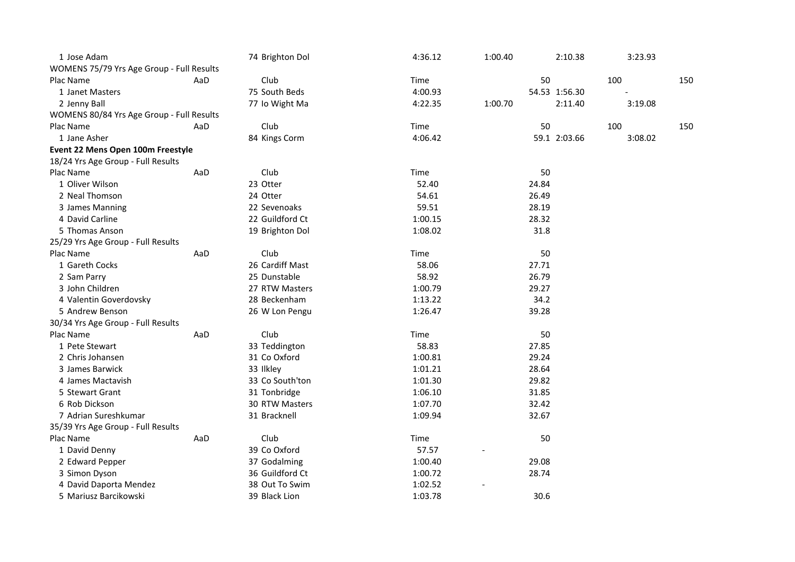| 1 Jose Adam                               |     | 74 Brighton Dol | 4:36.12 | 1:00.40 | 2:10.38       | 3:23.93 |     |
|-------------------------------------------|-----|-----------------|---------|---------|---------------|---------|-----|
| WOMENS 75/79 Yrs Age Group - Full Results |     |                 |         |         |               |         |     |
| Plac Name                                 | AaD | Club            | Time    |         | 50            | 100     | 150 |
| 1 Janet Masters                           |     | 75 South Beds   | 4:00.93 |         | 54.53 1:56.30 |         |     |
| 2 Jenny Ball                              |     | 77 Io Wight Ma  | 4:22.35 | 1:00.70 | 2:11.40       | 3:19.08 |     |
| WOMENS 80/84 Yrs Age Group - Full Results |     |                 |         |         |               |         |     |
| Plac Name                                 | AaD | Club            | Time    |         | 50            | 100     | 150 |
| 1 Jane Asher                              |     | 84 Kings Corm   | 4:06.42 |         | 59.1 2:03.66  | 3:08.02 |     |
| Event 22 Mens Open 100m Freestyle         |     |                 |         |         |               |         |     |
| 18/24 Yrs Age Group - Full Results        |     |                 |         |         |               |         |     |
| Plac Name                                 | AaD | Club            | Time    |         | 50            |         |     |
| 1 Oliver Wilson                           |     | 23 Otter        | 52.40   |         | 24.84         |         |     |
| 2 Neal Thomson                            |     | 24 Otter        | 54.61   |         | 26.49         |         |     |
| 3 James Manning                           |     | 22 Sevenoaks    | 59.51   |         | 28.19         |         |     |
| 4 David Carline                           |     | 22 Guildford Ct | 1:00.15 |         | 28.32         |         |     |
| 5 Thomas Anson                            |     | 19 Brighton Dol | 1:08.02 |         | 31.8          |         |     |
| 25/29 Yrs Age Group - Full Results        |     |                 |         |         |               |         |     |
| Plac Name                                 | AaD | Club            | Time    |         | 50            |         |     |
| 1 Gareth Cocks                            |     | 26 Cardiff Mast | 58.06   |         | 27.71         |         |     |
| 2 Sam Parry                               |     | 25 Dunstable    | 58.92   |         | 26.79         |         |     |
| 3 John Children                           |     | 27 RTW Masters  | 1:00.79 |         | 29.27         |         |     |
| 4 Valentin Goverdovsky                    |     | 28 Beckenham    | 1:13.22 |         | 34.2          |         |     |
| 5 Andrew Benson                           |     | 26 W Lon Pengu  | 1:26.47 |         | 39.28         |         |     |
| 30/34 Yrs Age Group - Full Results        |     |                 |         |         |               |         |     |
| Plac Name                                 | AaD | Club            | Time    |         | 50            |         |     |
| 1 Pete Stewart                            |     | 33 Teddington   | 58.83   |         | 27.85         |         |     |
| 2 Chris Johansen                          |     | 31 Co Oxford    | 1:00.81 |         | 29.24         |         |     |
| 3 James Barwick                           |     | 33 Ilkley       | 1:01.21 |         | 28.64         |         |     |
| 4 James Mactavish                         |     | 33 Co South'ton | 1:01.30 |         | 29.82         |         |     |
| 5 Stewart Grant                           |     | 31 Tonbridge    | 1:06.10 |         | 31.85         |         |     |
| 6 Rob Dickson                             |     | 30 RTW Masters  | 1:07.70 |         | 32.42         |         |     |
| 7 Adrian Sureshkumar                      |     | 31 Bracknell    | 1:09.94 |         | 32.67         |         |     |
| 35/39 Yrs Age Group - Full Results        |     |                 |         |         |               |         |     |
| Plac Name                                 | AaD | Club            | Time    |         | 50            |         |     |
| 1 David Denny                             |     | 39 Co Oxford    | 57.57   |         |               |         |     |
| 2 Edward Pepper                           |     | 37 Godalming    | 1:00.40 |         | 29.08         |         |     |
| 3 Simon Dyson                             |     | 36 Guildford Ct | 1:00.72 |         | 28.74         |         |     |
| 4 David Daporta Mendez                    |     | 38 Out To Swim  | 1:02.52 |         |               |         |     |
| 5 Mariusz Barcikowski                     |     | 39 Black Lion   | 1:03.78 |         | 30.6          |         |     |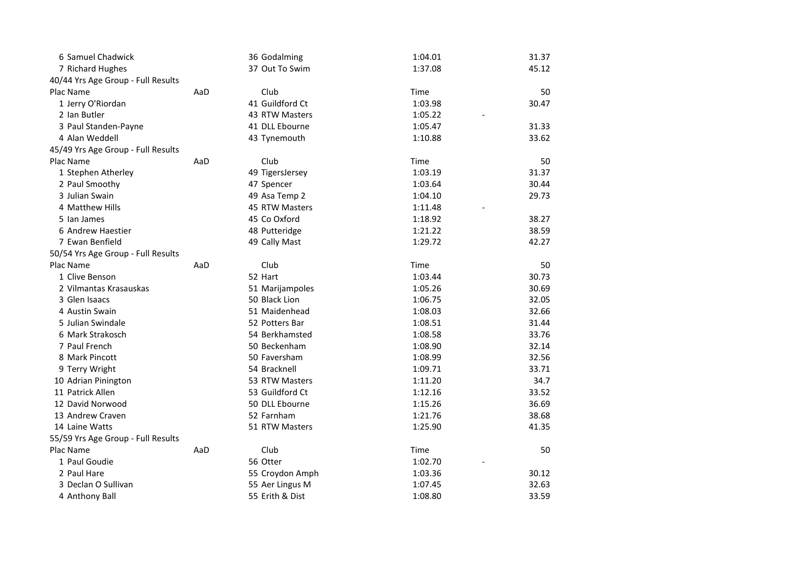| 6 Samuel Chadwick                  |     | 36 Godalming    | 1:04.01 | 31.37 |
|------------------------------------|-----|-----------------|---------|-------|
| 7 Richard Hughes                   |     | 37 Out To Swim  | 1:37.08 | 45.12 |
| 40/44 Yrs Age Group - Full Results |     |                 |         |       |
| Plac Name                          | AaD | Club            | Time    | 50    |
| 1 Jerry O'Riordan                  |     | 41 Guildford Ct | 1:03.98 | 30.47 |
| 2 Ian Butler                       |     | 43 RTW Masters  | 1:05.22 |       |
| 3 Paul Standen-Payne               |     | 41 DLL Ebourne  | 1:05.47 | 31.33 |
| 4 Alan Weddell                     |     | 43 Tynemouth    | 1:10.88 | 33.62 |
| 45/49 Yrs Age Group - Full Results |     |                 |         |       |
| Plac Name                          | AaD | Club            | Time    | 50    |
| 1 Stephen Atherley                 |     | 49 TigersJersey | 1:03.19 | 31.37 |
| 2 Paul Smoothy                     |     | 47 Spencer      | 1:03.64 | 30.44 |
| 3 Julian Swain                     |     | 49 Asa Temp 2   | 1:04.10 | 29.73 |
| 4 Matthew Hills                    |     | 45 RTW Masters  | 1:11.48 |       |
| 5 Ian James                        |     | 45 Co Oxford    | 1:18.92 | 38.27 |
| 6 Andrew Haestier                  |     | 48 Putteridge   | 1:21.22 | 38.59 |
| 7 Ewan Benfield                    |     | 49 Cally Mast   | 1:29.72 | 42.27 |
| 50/54 Yrs Age Group - Full Results |     |                 |         |       |
| Plac Name                          | AaD | Club            | Time    | 50    |
| 1 Clive Benson                     |     | 52 Hart         | 1:03.44 | 30.73 |
| 2 Vilmantas Krasauskas             |     | 51 Marijampoles | 1:05.26 | 30.69 |
| 3 Glen Isaacs                      |     | 50 Black Lion   | 1:06.75 | 32.05 |
| 4 Austin Swain                     |     | 51 Maidenhead   | 1:08.03 | 32.66 |
| 5 Julian Swindale                  |     | 52 Potters Bar  | 1:08.51 | 31.44 |
| 6 Mark Strakosch                   |     | 54 Berkhamsted  | 1:08.58 | 33.76 |
| 7 Paul French                      |     | 50 Beckenham    | 1:08.90 | 32.14 |
| 8 Mark Pincott                     |     | 50 Faversham    | 1:08.99 | 32.56 |
| 9 Terry Wright                     |     | 54 Bracknell    | 1:09.71 | 33.71 |
| 10 Adrian Pinington                |     | 53 RTW Masters  | 1:11.20 | 34.7  |
| 11 Patrick Allen                   |     | 53 Guildford Ct | 1:12.16 | 33.52 |
| 12 David Norwood                   |     | 50 DLL Ebourne  | 1:15.26 | 36.69 |
| 13 Andrew Craven                   |     | 52 Farnham      | 1:21.76 | 38.68 |
| 14 Laine Watts                     |     | 51 RTW Masters  | 1:25.90 | 41.35 |
| 55/59 Yrs Age Group - Full Results |     |                 |         |       |
| Plac Name                          | AaD | Club            | Time    | 50    |
| 1 Paul Goudie                      |     | 56 Otter        | 1:02.70 |       |
| 2 Paul Hare                        |     | 55 Croydon Amph | 1:03.36 | 30.12 |
| 3 Declan O Sullivan                |     | 55 Aer Lingus M | 1:07.45 | 32.63 |
| 4 Anthony Ball                     |     | 55 Erith & Dist | 1:08.80 | 33.59 |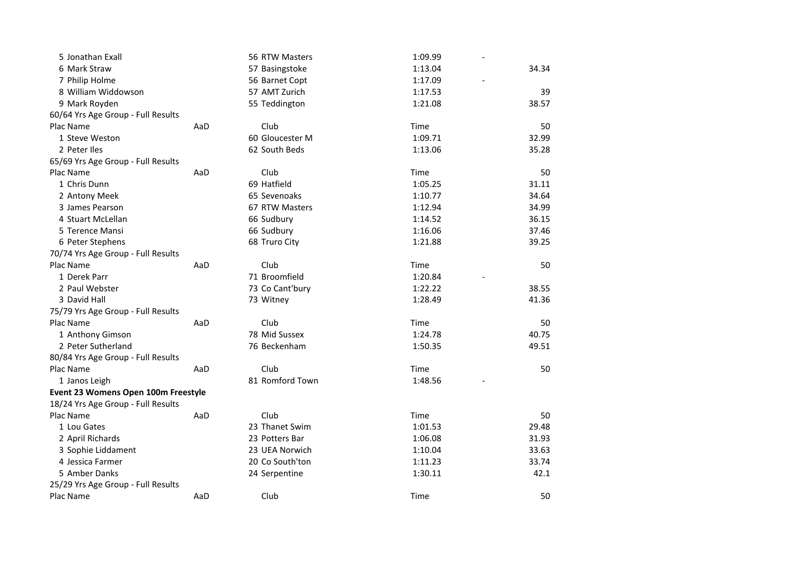| 5 Jonathan Exall                    |     | 56 RTW Masters  | 1:09.99 |       |
|-------------------------------------|-----|-----------------|---------|-------|
| 6 Mark Straw                        |     | 57 Basingstoke  | 1:13.04 | 34.34 |
| 7 Philip Holme                      |     | 56 Barnet Copt  | 1:17.09 |       |
| 8 William Widdowson                 |     | 57 AMT Zurich   | 1:17.53 | 39    |
| 9 Mark Royden                       |     | 55 Teddington   | 1:21.08 | 38.57 |
| 60/64 Yrs Age Group - Full Results  |     |                 |         |       |
| Plac Name                           | AaD | Club            | Time    | 50    |
| 1 Steve Weston                      |     | 60 Gloucester M | 1:09.71 | 32.99 |
| 2 Peter Iles                        |     | 62 South Beds   | 1:13.06 | 35.28 |
| 65/69 Yrs Age Group - Full Results  |     |                 |         |       |
| Plac Name                           | AaD | Club            | Time    | 50    |
| 1 Chris Dunn                        |     | 69 Hatfield     | 1:05.25 | 31.11 |
| 2 Antony Meek                       |     | 65 Sevenoaks    | 1:10.77 | 34.64 |
| 3 James Pearson                     |     | 67 RTW Masters  | 1:12.94 | 34.99 |
| 4 Stuart McLellan                   |     | 66 Sudbury      | 1:14.52 | 36.15 |
| 5 Terence Mansi                     |     | 66 Sudbury      | 1:16.06 | 37.46 |
| 6 Peter Stephens                    |     | 68 Truro City   | 1:21.88 | 39.25 |
| 70/74 Yrs Age Group - Full Results  |     |                 |         |       |
| Plac Name                           | AaD | Club            | Time    | 50    |
| 1 Derek Parr                        |     | 71 Broomfield   | 1:20.84 |       |
| 2 Paul Webster                      |     | 73 Co Cant'bury | 1:22.22 | 38.55 |
| 3 David Hall                        |     | 73 Witney       | 1:28.49 | 41.36 |
| 75/79 Yrs Age Group - Full Results  |     |                 |         |       |
| Plac Name                           | AaD | Club            | Time    | 50    |
| 1 Anthony Gimson                    |     | 78 Mid Sussex   | 1:24.78 | 40.75 |
| 2 Peter Sutherland                  |     | 76 Beckenham    | 1:50.35 | 49.51 |
| 80/84 Yrs Age Group - Full Results  |     |                 |         |       |
| Plac Name                           | AaD | Club            | Time    | 50    |
| 1 Janos Leigh                       |     | 81 Romford Town | 1:48.56 |       |
| Event 23 Womens Open 100m Freestyle |     |                 |         |       |
| 18/24 Yrs Age Group - Full Results  |     |                 |         |       |
| Plac Name                           | AaD | Club            | Time    | 50    |
| 1 Lou Gates                         |     | 23 Thanet Swim  | 1:01.53 | 29.48 |
| 2 April Richards                    |     | 23 Potters Bar  | 1:06.08 | 31.93 |
| 3 Sophie Liddament                  |     | 23 UEA Norwich  | 1:10.04 | 33.63 |
| 4 Jessica Farmer                    |     | 20 Co South'ton | 1:11.23 | 33.74 |
| 5 Amber Danks                       |     | 24 Serpentine   | 1:30.11 | 42.1  |
| 25/29 Yrs Age Group - Full Results  |     |                 |         |       |
| Plac Name                           | AaD | Club            | Time    | 50    |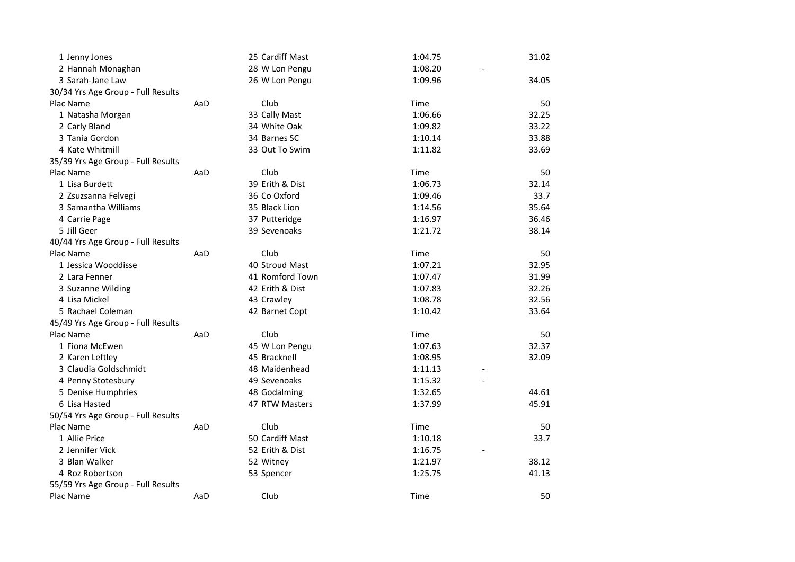| 1 Jenny Jones                      |     | 25 Cardiff Mast | 1:04.75 | 31.02 |
|------------------------------------|-----|-----------------|---------|-------|
| 2 Hannah Monaghan                  |     | 28 W Lon Pengu  | 1:08.20 |       |
| 3 Sarah-Jane Law                   |     | 26 W Lon Pengu  | 1:09.96 | 34.05 |
| 30/34 Yrs Age Group - Full Results |     |                 |         |       |
| Plac Name                          | AaD | Club            | Time    | 50    |
| 1 Natasha Morgan                   |     | 33 Cally Mast   | 1:06.66 | 32.25 |
| 2 Carly Bland                      |     | 34 White Oak    | 1:09.82 | 33.22 |
| 3 Tania Gordon                     |     | 34 Barnes SC    | 1:10.14 | 33.88 |
| 4 Kate Whitmill                    |     | 33 Out To Swim  | 1:11.82 | 33.69 |
| 35/39 Yrs Age Group - Full Results |     |                 |         |       |
| Plac Name                          | AaD | Club            | Time    | 50    |
| 1 Lisa Burdett                     |     | 39 Erith & Dist | 1:06.73 | 32.14 |
| 2 Zsuzsanna Felvegi                |     | 36 Co Oxford    | 1:09.46 | 33.7  |
| 3 Samantha Williams                |     | 35 Black Lion   | 1:14.56 | 35.64 |
| 4 Carrie Page                      |     | 37 Putteridge   | 1:16.97 | 36.46 |
| 5 Jill Geer                        |     | 39 Sevenoaks    | 1:21.72 | 38.14 |
| 40/44 Yrs Age Group - Full Results |     |                 |         |       |
| Plac Name                          | AaD | Club            | Time    | 50    |
| 1 Jessica Wooddisse                |     | 40 Stroud Mast  | 1:07.21 | 32.95 |
| 2 Lara Fenner                      |     | 41 Romford Town | 1:07.47 | 31.99 |
| 3 Suzanne Wilding                  |     | 42 Erith & Dist | 1:07.83 | 32.26 |
| 4 Lisa Mickel                      |     | 43 Crawley      | 1:08.78 | 32.56 |
| 5 Rachael Coleman                  |     | 42 Barnet Copt  | 1:10.42 | 33.64 |
| 45/49 Yrs Age Group - Full Results |     |                 |         |       |
| Plac Name                          | AaD | Club            | Time    | 50    |
| 1 Fiona McEwen                     |     | 45 W Lon Pengu  | 1:07.63 | 32.37 |
| 2 Karen Leftley                    |     | 45 Bracknell    | 1:08.95 | 32.09 |
| 3 Claudia Goldschmidt              |     | 48 Maidenhead   | 1:11.13 |       |
| 4 Penny Stotesbury                 |     | 49 Sevenoaks    | 1:15.32 |       |
| 5 Denise Humphries                 |     | 48 Godalming    | 1:32.65 | 44.61 |
| 6 Lisa Hasted                      |     | 47 RTW Masters  | 1:37.99 | 45.91 |
| 50/54 Yrs Age Group - Full Results |     |                 |         |       |
| Plac Name                          | AaD | Club            | Time    | 50    |
| 1 Allie Price                      |     | 50 Cardiff Mast | 1:10.18 | 33.7  |
| 2 Jennifer Vick                    |     | 52 Erith & Dist | 1:16.75 |       |
| 3 Blan Walker                      |     | 52 Witney       | 1:21.97 | 38.12 |
| 4 Roz Robertson                    |     | 53 Spencer      | 1:25.75 | 41.13 |
| 55/59 Yrs Age Group - Full Results |     |                 |         |       |
| Plac Name                          | AaD | Club            | Time    | 50    |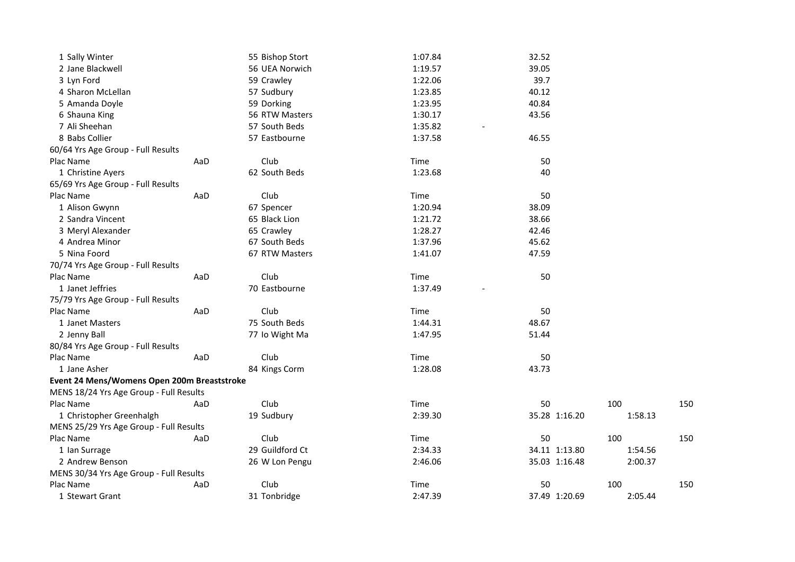| 1 Sally Winter                              |     | 55 Bishop Stort | 1:07.84 | 32.52         |         |     |
|---------------------------------------------|-----|-----------------|---------|---------------|---------|-----|
| 2 Jane Blackwell                            |     | 56 UEA Norwich  | 1:19.57 | 39.05         |         |     |
| 3 Lyn Ford                                  |     | 59 Crawley      | 1:22.06 | 39.7          |         |     |
| 4 Sharon McLellan                           |     | 57 Sudbury      | 1:23.85 | 40.12         |         |     |
| 5 Amanda Doyle                              |     | 59 Dorking      | 1:23.95 | 40.84         |         |     |
| 6 Shauna King                               |     | 56 RTW Masters  | 1:30.17 | 43.56         |         |     |
| 7 Ali Sheehan                               |     | 57 South Beds   | 1:35.82 |               |         |     |
| 8 Babs Collier                              |     | 57 Eastbourne   | 1:37.58 | 46.55         |         |     |
| 60/64 Yrs Age Group - Full Results          |     |                 |         |               |         |     |
| Plac Name                                   | AaD | Club            | Time    | 50            |         |     |
| 1 Christine Ayers                           |     | 62 South Beds   | 1:23.68 | 40            |         |     |
| 65/69 Yrs Age Group - Full Results          |     |                 |         |               |         |     |
| Plac Name                                   | AaD | Club            | Time    | 50            |         |     |
| 1 Alison Gwynn                              |     | 67 Spencer      | 1:20.94 | 38.09         |         |     |
| 2 Sandra Vincent                            |     | 65 Black Lion   | 1:21.72 | 38.66         |         |     |
| 3 Meryl Alexander                           |     | 65 Crawley      | 1:28.27 | 42.46         |         |     |
| 4 Andrea Minor                              |     | 67 South Beds   | 1:37.96 | 45.62         |         |     |
| 5 Nina Foord                                |     | 67 RTW Masters  | 1:41.07 | 47.59         |         |     |
| 70/74 Yrs Age Group - Full Results          |     |                 |         |               |         |     |
| Plac Name                                   | AaD | Club            | Time    | 50            |         |     |
| 1 Janet Jeffries                            |     | 70 Eastbourne   | 1:37.49 |               |         |     |
| 75/79 Yrs Age Group - Full Results          |     |                 |         |               |         |     |
| Plac Name                                   | AaD | Club            | Time    | 50            |         |     |
| 1 Janet Masters                             |     | 75 South Beds   | 1:44.31 | 48.67         |         |     |
| 2 Jenny Ball                                |     | 77 Io Wight Ma  | 1:47.95 | 51.44         |         |     |
| 80/84 Yrs Age Group - Full Results          |     |                 |         |               |         |     |
| Plac Name                                   | AaD | Club            | Time    | 50            |         |     |
| 1 Jane Asher                                |     | 84 Kings Corm   | 1:28.08 | 43.73         |         |     |
| Event 24 Mens/Womens Open 200m Breaststroke |     |                 |         |               |         |     |
| MENS 18/24 Yrs Age Group - Full Results     |     |                 |         |               |         |     |
| Plac Name                                   | AaD | Club            | Time    | 50            | 100     | 150 |
| 1 Christopher Greenhalgh                    |     | 19 Sudbury      | 2:39.30 | 35.28 1:16.20 | 1:58.13 |     |
| MENS 25/29 Yrs Age Group - Full Results     |     |                 |         |               |         |     |
| Plac Name                                   | AaD | Club            | Time    | 50            | 100     | 150 |
| 1 Ian Surrage                               |     | 29 Guildford Ct | 2:34.33 | 34.11 1:13.80 | 1:54.56 |     |
| 2 Andrew Benson                             |     | 26 W Lon Pengu  | 2:46.06 | 35.03 1:16.48 | 2:00.37 |     |
| MENS 30/34 Yrs Age Group - Full Results     |     |                 |         |               |         |     |
| Plac Name                                   | AaD | Club            | Time    | 50            | 100     | 150 |
| 1 Stewart Grant                             |     | 31 Tonbridge    | 2:47.39 | 37.49 1:20.69 | 2:05.44 |     |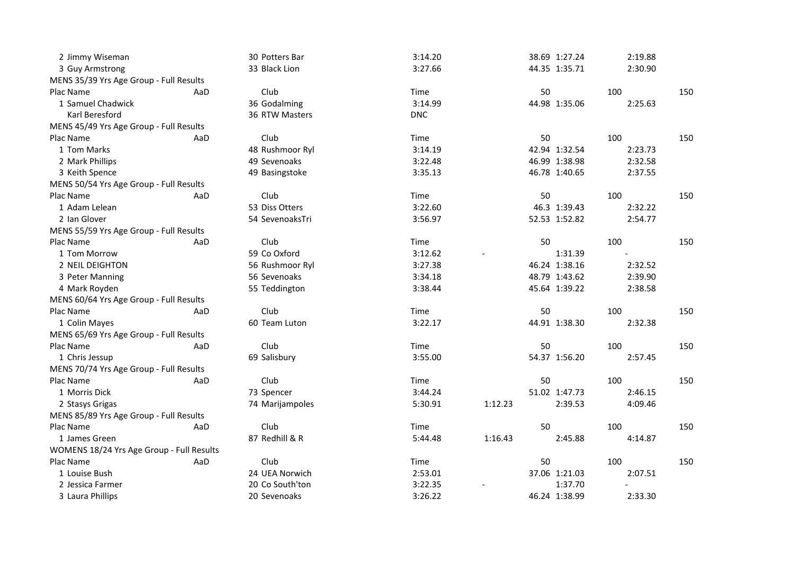| 2 Jimmy Wiseman                           |     | 30 Potters Bar  | 3:14.20    |         | 38.69 1:27.24 | 2:19.88 |     |
|-------------------------------------------|-----|-----------------|------------|---------|---------------|---------|-----|
| 3 Guy Armstrong                           |     | 33 Black Lion   | 3:27.66    |         | 44.35 1:35.71 | 2:30.90 |     |
| MENS 35/39 Yrs Age Group - Full Results   |     |                 |            |         |               |         |     |
| Plac Name                                 | AaD | Club            | Time       |         | 50            | 100     | 150 |
| 1 Samuel Chadwick                         |     | 36 Godalming    | 3:14.99    |         | 44.98 1:35.06 | 2:25.63 |     |
| Karl Beresford                            |     | 36 RTW Masters  | <b>DNC</b> |         |               |         |     |
| MENS 45/49 Yrs Age Group - Full Results   |     |                 |            |         |               |         |     |
| Plac Name                                 | AaD | Club            | Time       |         | 50            | 100     | 150 |
| 1 Tom Marks                               |     | 48 Rushmoor Ryl | 3:14.19    |         | 42.94 1:32.54 | 2:23.73 |     |
| 2 Mark Phillips                           |     | 49 Sevenoaks    | 3:22.48    |         | 46.99 1:38.98 | 2:32.58 |     |
| 3 Keith Spence                            |     | 49 Basingstoke  | 3:35.13    |         | 46.78 1:40.65 | 2:37.55 |     |
| MENS 50/54 Yrs Age Group - Full Results   |     |                 |            |         |               |         |     |
| Plac Name                                 | AaD | Club            | Time       |         | 50            | 100     | 150 |
| 1 Adam Lelean                             |     | 53 Diss Otters  | 3:22.60    |         | 46.3 1:39.43  | 2:32.22 |     |
| 2 Ian Glover                              |     | 54 SevenoaksTri | 3:56.97    |         | 52.53 1:52.82 | 2:54.77 |     |
| MENS 55/59 Yrs Age Group - Full Results   |     |                 |            |         |               |         |     |
| Plac Name                                 | AaD | Club            | Time       |         | 50            | 100     | 150 |
| 1 Tom Morrow                              |     | 59 Co Oxford    | 3:12.62    |         | 1:31.39       |         |     |
| 2 NEIL DEIGHTON                           |     | 56 Rushmoor Ryl | 3:27.38    |         | 46.24 1:38.16 | 2:32.52 |     |
| 3 Peter Manning                           |     | 56 Sevenoaks    | 3:34.18    |         | 48.79 1:43.62 | 2:39.90 |     |
| 4 Mark Royden                             |     | 55 Teddington   | 3:38.44    |         | 45.64 1:39.22 | 2:38.58 |     |
| MENS 60/64 Yrs Age Group - Full Results   |     |                 |            |         |               |         |     |
| Plac Name                                 | AaD | Club            | Time       |         | 50            | 100     | 150 |
| 1 Colin Mayes                             |     | 60 Team Luton   | 3:22.17    |         | 44.91 1:38.30 | 2:32.38 |     |
| MENS 65/69 Yrs Age Group - Full Results   |     |                 |            |         |               |         |     |
| Plac Name                                 | AaD | Club            | Time       |         | 50            | 100     | 150 |
| 1 Chris Jessup                            |     | 69 Salisbury    | 3:55.00    |         | 54.37 1:56.20 | 2:57.45 |     |
| MENS 70/74 Yrs Age Group - Full Results   |     |                 |            |         |               |         |     |
| Plac Name                                 | AaD | Club            | Time       |         | 50            | 100     | 150 |
| 1 Morris Dick                             |     | 73 Spencer      | 3:44.24    |         | 51.02 1:47.73 | 2:46.15 |     |
| 2 Stasys Grigas                           |     | 74 Marijampoles | 5:30.91    | 1:12.23 | 2:39.53       | 4:09.46 |     |
| MENS 85/89 Yrs Age Group - Full Results   |     |                 |            |         |               |         |     |
| Plac Name                                 | AaD | Club            | Time       |         | 50            | 100     | 150 |
| 1 James Green                             |     | 87 Redhill & R  | 5:44.48    | 1:16.43 | 2:45.88       | 4:14.87 |     |
| WOMENS 18/24 Yrs Age Group - Full Results |     |                 |            |         |               |         |     |
| Plac Name                                 | AaD | Club            | Time       |         | 50            | 100     | 150 |
| 1 Louise Bush                             |     | 24 UEA Norwich  | 2:53.01    |         | 37.06 1:21.03 | 2:07.51 |     |
| 2 Jessica Farmer                          |     | 20 Co South'ton | 3:22.35    |         | 1:37.70       |         |     |
| 3 Laura Phillips                          |     | 20 Sevenoaks    | 3:26.22    |         | 46.24 1:38.99 | 2:33.30 |     |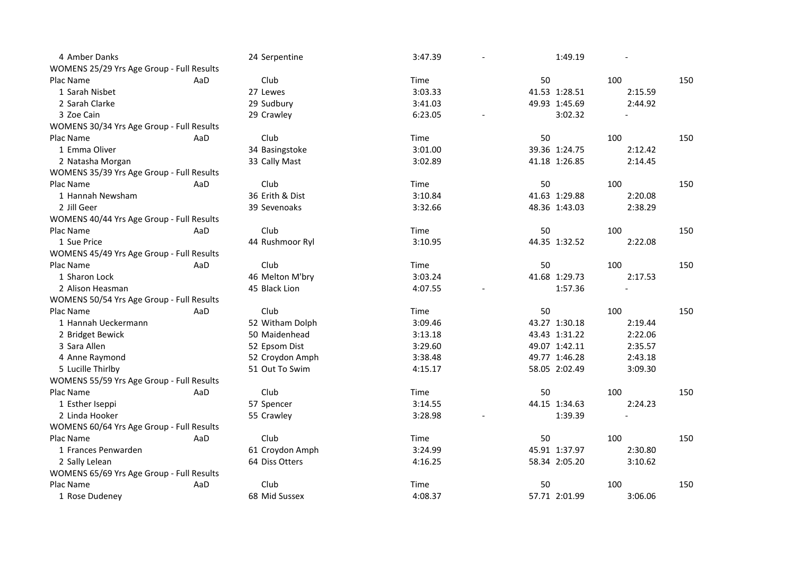| 4 Amber Danks                             |     | 24 Serpentine   | 3:47.39 | 1:49.19       |         |     |
|-------------------------------------------|-----|-----------------|---------|---------------|---------|-----|
| WOMENS 25/29 Yrs Age Group - Full Results |     |                 |         |               |         |     |
| Plac Name                                 | AaD | Club            | Time    | 50            | 100     | 150 |
| 1 Sarah Nisbet                            |     | 27 Lewes        | 3:03.33 | 41.53 1:28.51 | 2:15.59 |     |
| 2 Sarah Clarke                            |     | 29 Sudbury      | 3:41.03 | 49.93 1:45.69 | 2:44.92 |     |
| 3 Zoe Cain                                |     | 29 Crawley      | 6:23.05 | 3:02.32       |         |     |
| WOMENS 30/34 Yrs Age Group - Full Results |     |                 |         |               |         |     |
| Plac Name                                 | AaD | Club            | Time    | 50            | 100     | 150 |
| 1 Emma Oliver                             |     | 34 Basingstoke  | 3:01.00 | 39.36 1:24.75 | 2:12.42 |     |
| 2 Natasha Morgan                          |     | 33 Cally Mast   | 3:02.89 | 41.18 1:26.85 | 2:14.45 |     |
| WOMENS 35/39 Yrs Age Group - Full Results |     |                 |         |               |         |     |
| Plac Name                                 | AaD | Club            | Time    | 50            | 100     | 150 |
| 1 Hannah Newsham                          |     | 36 Erith & Dist | 3:10.84 | 41.63 1:29.88 | 2:20.08 |     |
| 2 Jill Geer                               |     | 39 Sevenoaks    | 3:32.66 | 48.36 1:43.03 | 2:38.29 |     |
| WOMENS 40/44 Yrs Age Group - Full Results |     |                 |         |               |         |     |
| Plac Name                                 | AaD | Club            | Time    | 50            | 100     | 150 |
| 1 Sue Price                               |     | 44 Rushmoor Ryl | 3:10.95 | 44.35 1:32.52 | 2:22.08 |     |
| WOMENS 45/49 Yrs Age Group - Full Results |     |                 |         |               |         |     |
| Plac Name                                 | AaD | Club            | Time    | 50            | 100     | 150 |
| 1 Sharon Lock                             |     | 46 Melton M'bry | 3:03.24 | 41.68 1:29.73 | 2:17.53 |     |
| 2 Alison Heasman                          |     | 45 Black Lion   | 4:07.55 | 1:57.36       |         |     |
| WOMENS 50/54 Yrs Age Group - Full Results |     |                 |         |               |         |     |
| Plac Name                                 | AaD | Club            | Time    | 50            | 100     | 150 |
| 1 Hannah Ueckermann                       |     | 52 Witham Dolph | 3:09.46 | 43.27 1:30.18 | 2:19.44 |     |
| 2 Bridget Bewick                          |     | 50 Maidenhead   | 3:13.18 | 43.43 1:31.22 | 2:22.06 |     |
| 3 Sara Allen                              |     | 52 Epsom Dist   | 3:29.60 | 49.07 1:42.11 | 2:35.57 |     |
| 4 Anne Raymond                            |     | 52 Croydon Amph | 3:38.48 | 49.77 1:46.28 | 2:43.18 |     |
| 5 Lucille Thirlby                         |     | 51 Out To Swim  | 4:15.17 | 58.05 2:02.49 | 3:09.30 |     |
| WOMENS 55/59 Yrs Age Group - Full Results |     |                 |         |               |         |     |
| Plac Name                                 | AaD | Club            | Time    | 50            | 100     | 150 |
| 1 Esther Iseppi                           |     | 57 Spencer      | 3:14.55 | 44.15 1:34.63 | 2:24.23 |     |
| 2 Linda Hooker                            |     | 55 Crawley      | 3:28.98 | 1:39.39       |         |     |
| WOMENS 60/64 Yrs Age Group - Full Results |     |                 |         |               |         |     |
| Plac Name                                 | AaD | Club            | Time    | 50            | 100     | 150 |
| 1 Frances Penwarden                       |     | 61 Croydon Amph | 3:24.99 | 45.91 1:37.97 | 2:30.80 |     |
| 2 Sally Lelean                            |     | 64 Diss Otters  | 4:16.25 | 58.34 2:05.20 | 3:10.62 |     |
| WOMENS 65/69 Yrs Age Group - Full Results |     |                 |         |               |         |     |
| Plac Name                                 | AaD | Club            | Time    | 50            | 100     | 150 |
| 1 Rose Dudeney                            |     | 68 Mid Sussex   | 4:08.37 | 57.71 2:01.99 | 3:06.06 |     |
|                                           |     |                 |         |               |         |     |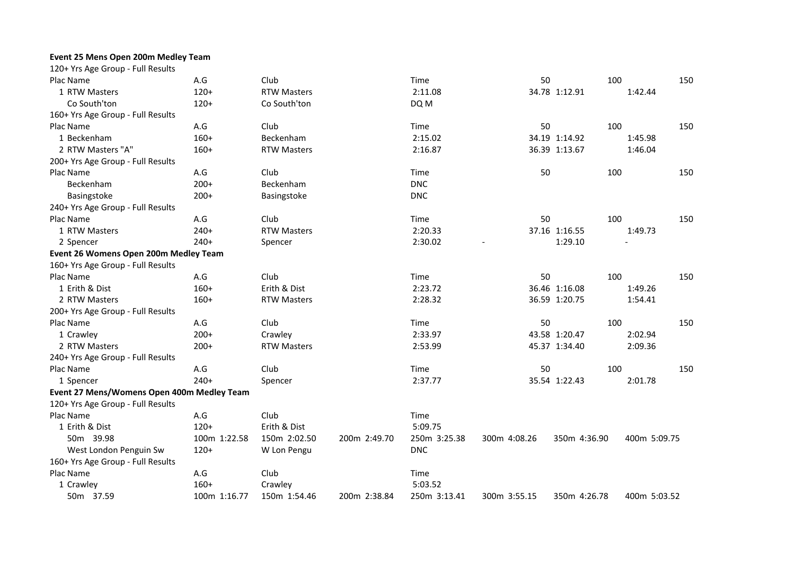## **Event 25 Mens Open 200m Medley Team**

| 120+ Yrs Age Group - Full Results          |              |                    |              |              |              |               |              |     |
|--------------------------------------------|--------------|--------------------|--------------|--------------|--------------|---------------|--------------|-----|
| Plac Name                                  | A.G          | Club               |              | Time         | 50           | 100           |              | 150 |
| 1 RTW Masters                              | $120+$       | <b>RTW Masters</b> |              | 2:11.08      |              | 34.78 1:12.91 | 1:42.44      |     |
| Co South'ton                               | $120+$       | Co South'ton       |              | DQ M         |              |               |              |     |
| 160+ Yrs Age Group - Full Results          |              |                    |              |              |              |               |              |     |
| Plac Name                                  | A.G          | Club               |              | Time         | 50           | 100           |              | 150 |
| 1 Beckenham                                | $160+$       | Beckenham          |              | 2:15.02      |              | 34.19 1:14.92 | 1:45.98      |     |
| 2 RTW Masters "A"                          | $160+$       | <b>RTW Masters</b> |              | 2:16.87      |              | 36.39 1:13.67 | 1:46.04      |     |
| 200+ Yrs Age Group - Full Results          |              |                    |              |              |              |               |              |     |
| Plac Name                                  | A.G          | Club               |              | Time         | 50           | 100           |              | 150 |
| Beckenham                                  | $200+$       | Beckenham          |              | <b>DNC</b>   |              |               |              |     |
| Basingstoke                                | $200+$       | Basingstoke        |              | <b>DNC</b>   |              |               |              |     |
| 240+ Yrs Age Group - Full Results          |              |                    |              |              |              |               |              |     |
| Plac Name                                  | A.G          | Club               |              | Time         | 50           | 100           |              | 150 |
| 1 RTW Masters                              | $240+$       | <b>RTW Masters</b> |              | 2:20.33      |              | 37.16 1:16.55 | 1:49.73      |     |
| 2 Spencer                                  | $240+$       | Spencer            |              | 2:30.02      |              | 1:29.10       |              |     |
| Event 26 Womens Open 200m Medley Team      |              |                    |              |              |              |               |              |     |
| 160+ Yrs Age Group - Full Results          |              |                    |              |              |              |               |              |     |
| Plac Name                                  | A.G          | Club               |              | Time         | 50           | 100           |              | 150 |
| 1 Erith & Dist                             | $160+$       | Erith & Dist       |              | 2:23.72      |              | 36.46 1:16.08 | 1:49.26      |     |
| 2 RTW Masters                              | $160+$       | <b>RTW Masters</b> |              | 2:28.32      |              | 36.59 1:20.75 | 1:54.41      |     |
| 200+ Yrs Age Group - Full Results          |              |                    |              |              |              |               |              |     |
| Plac Name                                  | A.G          | Club               |              | Time         | 50           | 100           |              | 150 |
| 1 Crawley                                  | $200+$       | Crawley            |              | 2:33.97      |              | 43.58 1:20.47 | 2:02.94      |     |
| 2 RTW Masters                              | $200+$       | <b>RTW Masters</b> |              | 2:53.99      |              | 45.37 1:34.40 | 2:09.36      |     |
| 240+ Yrs Age Group - Full Results          |              |                    |              |              |              |               |              |     |
| Plac Name                                  | A.G          | Club               |              | Time         | 50           | 100           |              | 150 |
| 1 Spencer                                  | $240+$       | Spencer            |              | 2:37.77      |              | 35.54 1:22.43 | 2:01.78      |     |
| Event 27 Mens/Womens Open 400m Medley Team |              |                    |              |              |              |               |              |     |
| 120+ Yrs Age Group - Full Results          |              |                    |              |              |              |               |              |     |
| Plac Name                                  | A.G          | Club               |              | Time         |              |               |              |     |
| 1 Erith & Dist                             | $120+$       | Erith & Dist       |              | 5:09.75      |              |               |              |     |
| 50m 39.98                                  | 100m 1:22.58 | 150m 2:02.50       | 200m 2:49.70 | 250m 3:25.38 | 300m 4:08.26 | 350m 4:36.90  | 400m 5:09.75 |     |
| West London Penguin Sw                     | $120+$       | W Lon Pengu        |              | <b>DNC</b>   |              |               |              |     |
| 160+ Yrs Age Group - Full Results          |              |                    |              |              |              |               |              |     |
| Plac Name                                  | A.G          | Club               |              | Time         |              |               |              |     |
| 1 Crawley                                  | $160+$       | Crawley            |              | 5:03.52      |              |               |              |     |
| 50m 37.59                                  | 100m 1:16.77 | 150m 1:54.46       | 200m 2:38.84 | 250m 3:13.41 | 300m 3:55.15 |               | 400m 5:03.52 |     |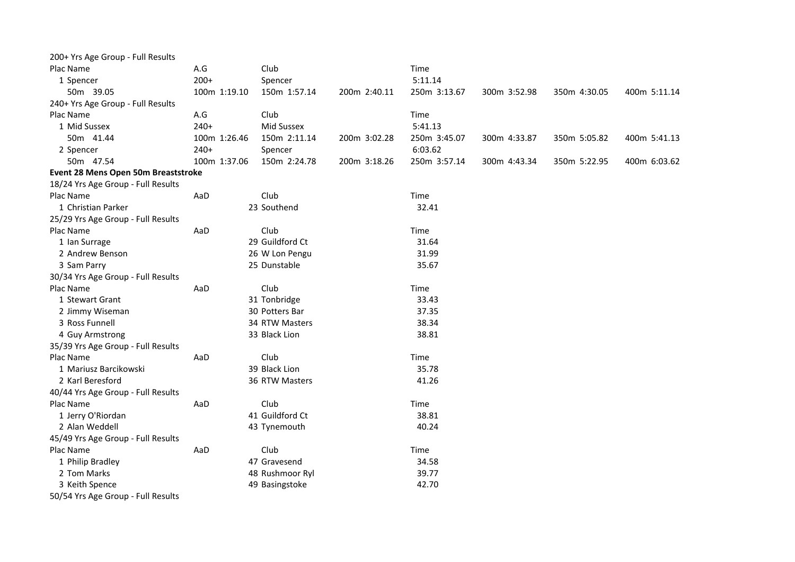| 200+ Yrs Age Group - Full Results   |              |                 |              |              |              |              |              |
|-------------------------------------|--------------|-----------------|--------------|--------------|--------------|--------------|--------------|
| Plac Name                           | A.G          | Club            |              | Time         |              |              |              |
| 1 Spencer                           | $200+$       | Spencer         |              | 5:11.14      |              |              |              |
| 50m 39.05                           | 100m 1:19.10 | 150m 1:57.14    | 200m 2:40.11 | 250m 3:13.67 | 300m 3:52.98 | 350m 4:30.05 | 400m 5:11.14 |
| 240+ Yrs Age Group - Full Results   |              |                 |              |              |              |              |              |
| Plac Name                           | A.G          | Club            |              | Time         |              |              |              |
| 1 Mid Sussex                        | $240+$       | Mid Sussex      |              | 5:41.13      |              |              |              |
| 50m 41.44                           | 100m 1:26.46 | 150m 2:11.14    | 200m 3:02.28 | 250m 3:45.07 | 300m 4:33.87 | 350m 5:05.82 | 400m 5:41.13 |
| 2 Spencer                           | $240+$       | Spencer         |              | 6:03.62      |              |              |              |
| 50m 47.54                           | 100m 1:37.06 | 150m 2:24.78    | 200m 3:18.26 | 250m 3:57.14 | 300m 4:43.34 | 350m 5:22.95 | 400m 6:03.62 |
| Event 28 Mens Open 50m Breaststroke |              |                 |              |              |              |              |              |
| 18/24 Yrs Age Group - Full Results  |              |                 |              |              |              |              |              |
| Plac Name                           | AaD          | Club            |              | Time         |              |              |              |
| 1 Christian Parker                  |              | 23 Southend     |              | 32.41        |              |              |              |
| 25/29 Yrs Age Group - Full Results  |              |                 |              |              |              |              |              |
| Plac Name                           | AaD          | Club            |              | Time         |              |              |              |
| 1 Ian Surrage                       |              | 29 Guildford Ct |              | 31.64        |              |              |              |
| 2 Andrew Benson                     |              | 26 W Lon Pengu  |              | 31.99        |              |              |              |
| 3 Sam Parry                         |              | 25 Dunstable    |              | 35.67        |              |              |              |
| 30/34 Yrs Age Group - Full Results  |              |                 |              |              |              |              |              |
| Plac Name                           | AaD          | Club            |              | Time         |              |              |              |
| 1 Stewart Grant                     |              | 31 Tonbridge    |              | 33.43        |              |              |              |
| 2 Jimmy Wiseman                     |              | 30 Potters Bar  |              | 37.35        |              |              |              |
| 3 Ross Funnell                      |              | 34 RTW Masters  |              | 38.34        |              |              |              |
| 4 Guy Armstrong                     |              | 33 Black Lion   |              | 38.81        |              |              |              |
| 35/39 Yrs Age Group - Full Results  |              |                 |              |              |              |              |              |
| Plac Name                           | AaD          | Club            |              | Time         |              |              |              |
| 1 Mariusz Barcikowski               |              | 39 Black Lion   |              | 35.78        |              |              |              |
| 2 Karl Beresford                    |              | 36 RTW Masters  |              | 41.26        |              |              |              |
| 40/44 Yrs Age Group - Full Results  |              |                 |              |              |              |              |              |
| Plac Name                           | AaD          | Club            |              | Time         |              |              |              |
| 1 Jerry O'Riordan                   |              | 41 Guildford Ct |              | 38.81        |              |              |              |
| 2 Alan Weddell                      |              | 43 Tynemouth    |              | 40.24        |              |              |              |
| 45/49 Yrs Age Group - Full Results  |              |                 |              |              |              |              |              |
| Plac Name                           | AaD          | Club            |              | Time         |              |              |              |
| 1 Philip Bradley                    |              | 47 Gravesend    |              | 34.58        |              |              |              |
| 2 Tom Marks                         |              | 48 Rushmoor Ryl |              | 39.77        |              |              |              |
| 3 Keith Spence                      |              | 49 Basingstoke  |              | 42.70        |              |              |              |
| 50/54 Yrs Age Group - Full Results  |              |                 |              |              |              |              |              |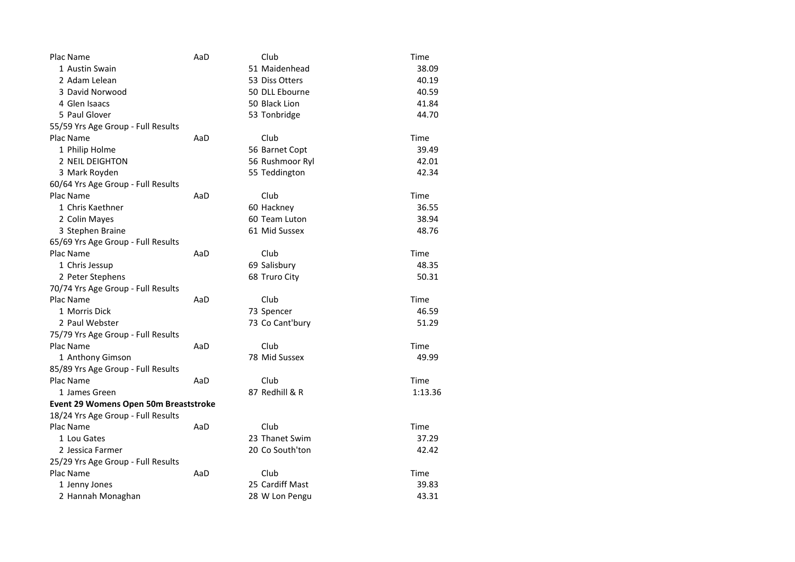| Plac Name                             | AaD | Club            | Time    |
|---------------------------------------|-----|-----------------|---------|
| 1 Austin Swain                        |     | 51 Maidenhead   | 38.09   |
| 2 Adam Lelean                         |     | 53 Diss Otters  | 40.19   |
| 3 David Norwood                       |     | 50 DLL Ebourne  | 40.59   |
| 4 Glen Isaacs                         |     | 50 Black Lion   | 41.84   |
| 5 Paul Glover                         |     | 53 Tonbridge    | 44.70   |
| 55/59 Yrs Age Group - Full Results    |     |                 |         |
| Plac Name                             | AaD | Club            | Time    |
| 1 Philip Holme                        |     | 56 Barnet Copt  | 39.49   |
| 2 NEIL DEIGHTON                       |     | 56 Rushmoor Ryl | 42.01   |
| 3 Mark Royden                         |     | 55 Teddington   | 42.34   |
| 60/64 Yrs Age Group - Full Results    |     |                 |         |
| Plac Name                             | AaD | Club            | Time    |
| 1 Chris Kaethner                      |     | 60 Hackney      | 36.55   |
| 2 Colin Mayes                         |     | 60 Team Luton   | 38.94   |
| 3 Stephen Braine                      |     | 61 Mid Sussex   | 48.76   |
| 65/69 Yrs Age Group - Full Results    |     |                 |         |
| Plac Name                             | AaD | Club            | Time    |
| 1 Chris Jessup                        |     | 69 Salisbury    | 48.35   |
| 2 Peter Stephens                      |     | 68 Truro City   | 50.31   |
| 70/74 Yrs Age Group - Full Results    |     |                 |         |
| Plac Name                             | AaD | Club            | Time    |
| 1 Morris Dick                         |     | 73 Spencer      | 46.59   |
| 2 Paul Webster                        |     | 73 Co Cant'bury | 51.29   |
| 75/79 Yrs Age Group - Full Results    |     |                 |         |
| Plac Name                             | AaD | Club            | Time    |
| 1 Anthony Gimson                      |     | 78 Mid Sussex   | 49.99   |
| 85/89 Yrs Age Group - Full Results    |     |                 |         |
| Plac Name                             | AaD | Club            | Time    |
| 1 James Green                         |     | 87 Redhill & R  | 1:13.36 |
| Event 29 Womens Open 50m Breaststroke |     |                 |         |
| 18/24 Yrs Age Group - Full Results    |     |                 |         |
| Plac Name                             | AaD | Club            | Time    |
| 1 Lou Gates                           |     | 23 Thanet Swim  | 37.29   |
| 2 Jessica Farmer                      |     | 20 Co South'ton | 42.42   |
| 25/29 Yrs Age Group - Full Results    |     |                 |         |
| Plac Name                             | AaD | Club            | Time    |
| 1 Jenny Jones                         |     | 25 Cardiff Mast | 39.83   |
| 2 Hannah Monaghan                     |     | 28 W Lon Pengu  | 43.31   |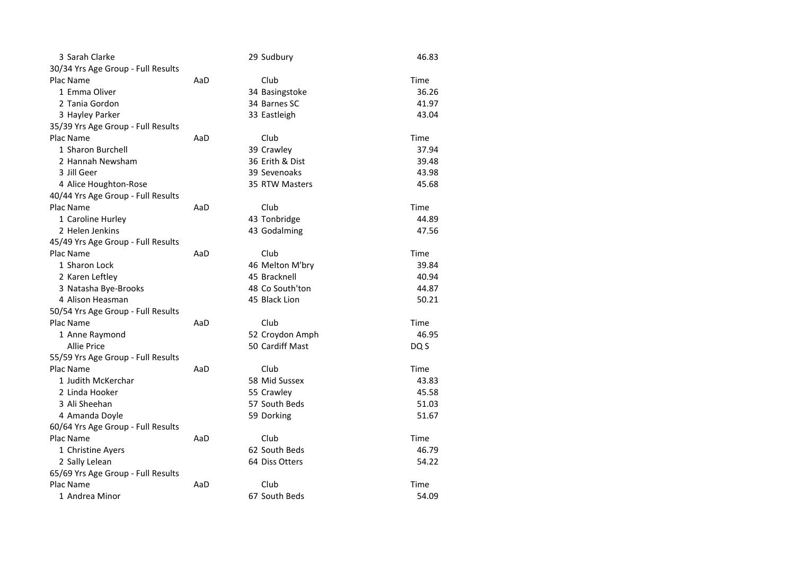| 3 Sarah Clarke                     |     | 29 Sudbury      | 46.83 |
|------------------------------------|-----|-----------------|-------|
| 30/34 Yrs Age Group - Full Results |     |                 |       |
| Plac Name                          | AaD | Club            | Time  |
| 1 Emma Oliver                      |     | 34 Basingstoke  | 36.26 |
| 2 Tania Gordon                     |     | 34 Barnes SC    | 41.97 |
| 3 Hayley Parker                    |     | 33 Eastleigh    | 43.04 |
| 35/39 Yrs Age Group - Full Results |     |                 |       |
| Plac Name                          | AaD | Club            | Time  |
| 1 Sharon Burchell                  |     | 39 Crawley      | 37.94 |
| 2 Hannah Newsham                   |     | 36 Erith & Dist | 39.48 |
| 3 Jill Geer                        |     | 39 Sevenoaks    | 43.98 |
| 4 Alice Houghton-Rose              |     | 35 RTW Masters  | 45.68 |
| 40/44 Yrs Age Group - Full Results |     |                 |       |
| Plac Name                          | AaD | Club            | Time  |
| 1 Caroline Hurley                  |     | 43 Tonbridge    | 44.89 |
| 2 Helen Jenkins                    |     | 43 Godalming    | 47.56 |
| 45/49 Yrs Age Group - Full Results |     |                 |       |
| Plac Name                          | AaD | Club            | Time  |
| 1 Sharon Lock                      |     | 46 Melton M'bry | 39.84 |
| 2 Karen Leftley                    |     | 45 Bracknell    | 40.94 |
| 3 Natasha Bye-Brooks               |     | 48 Co South'ton | 44.87 |
| 4 Alison Heasman                   |     | 45 Black Lion   | 50.21 |
| 50/54 Yrs Age Group - Full Results |     |                 |       |
| Plac Name                          | AaD | Club            | Time  |
| 1 Anne Raymond                     |     | 52 Croydon Amph | 46.95 |
| <b>Allie Price</b>                 |     | 50 Cardiff Mast | DQ S  |
| 55/59 Yrs Age Group - Full Results |     |                 |       |
| Plac Name                          | AaD | Club            | Time  |
| 1 Judith McKerchar                 |     | 58 Mid Sussex   | 43.83 |
| 2 Linda Hooker                     |     | 55 Crawley      | 45.58 |
| 3 Ali Sheehan                      |     | 57 South Beds   | 51.03 |
| 4 Amanda Doyle                     |     | 59 Dorking      | 51.67 |
| 60/64 Yrs Age Group - Full Results |     |                 |       |
| Plac Name                          | AaD | Club            | Time  |
| 1 Christine Ayers                  |     | 62 South Beds   | 46.79 |
| 2 Sally Lelean                     |     | 64 Diss Otters  | 54.22 |
| 65/69 Yrs Age Group - Full Results |     |                 |       |
| Plac Name                          | AaD | Club            | Time  |
| 1 Andrea Minor                     |     | 67 South Beds   | 54.09 |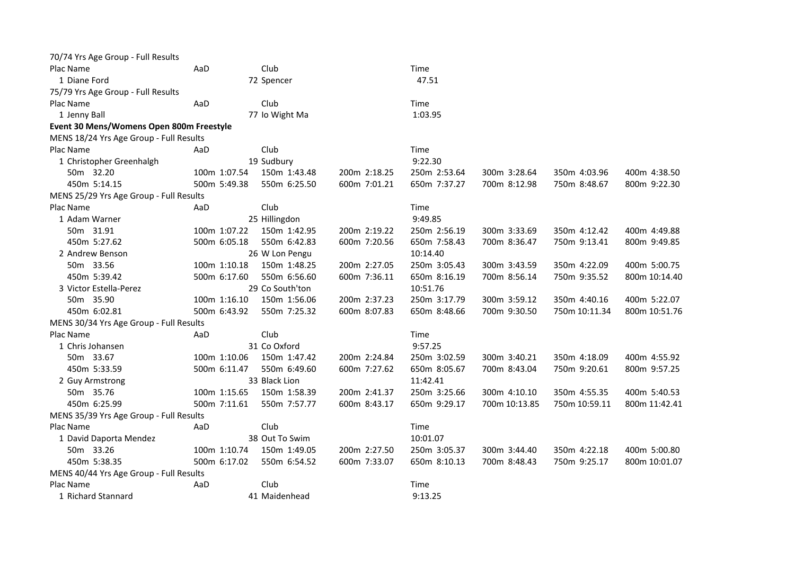| 70/74 Yrs Age Group - Full Results       |     |              |                 |              |              |               |               |               |
|------------------------------------------|-----|--------------|-----------------|--------------|--------------|---------------|---------------|---------------|
| Plac Name                                | AaD |              | Club            |              | Time         |               |               |               |
| 1 Diane Ford                             |     |              | 72 Spencer      |              | 47.51        |               |               |               |
| 75/79 Yrs Age Group - Full Results       |     |              |                 |              |              |               |               |               |
| Plac Name                                | AaD |              | Club            |              | Time         |               |               |               |
| 1 Jenny Ball                             |     |              | 77 Io Wight Ma  |              | 1:03.95      |               |               |               |
| Event 30 Mens/Womens Open 800m Freestyle |     |              |                 |              |              |               |               |               |
| MENS 18/24 Yrs Age Group - Full Results  |     |              |                 |              |              |               |               |               |
| Plac Name                                | AaD |              | Club            |              | Time         |               |               |               |
| 1 Christopher Greenhalgh                 |     |              | 19 Sudbury      |              | 9:22.30      |               |               |               |
| 50m 32.20                                |     | 100m 1:07.54 | 150m 1:43.48    | 200m 2:18.25 | 250m 2:53.64 | 300m 3:28.64  | 350m 4:03.96  | 400m 4:38.50  |
| 450m 5:14.15                             |     | 500m 5:49.38 | 550m 6:25.50    | 600m 7:01.21 | 650m 7:37.27 | 700m 8:12.98  | 750m 8:48.67  | 800m 9:22.30  |
| MENS 25/29 Yrs Age Group - Full Results  |     |              |                 |              |              |               |               |               |
| Plac Name                                | AaD |              | Club            |              | Time         |               |               |               |
| 1 Adam Warner                            |     |              | 25 Hillingdon   |              | 9:49.85      |               |               |               |
| 50m 31.91                                |     | 100m 1:07.22 | 150m 1:42.95    | 200m 2:19.22 | 250m 2:56.19 | 300m 3:33.69  | 350m 4:12.42  | 400m 4:49.88  |
| 450m 5:27.62                             |     | 500m 6:05.18 | 550m 6:42.83    | 600m 7:20.56 | 650m 7:58.43 | 700m 8:36.47  | 750m 9:13.41  | 800m 9:49.85  |
| 2 Andrew Benson                          |     |              | 26 W Lon Pengu  |              | 10:14.40     |               |               |               |
| 50m 33.56                                |     | 100m 1:10.18 | 150m 1:48.25    | 200m 2:27.05 | 250m 3:05.43 | 300m 3:43.59  | 350m 4:22.09  | 400m 5:00.75  |
| 450m 5:39.42                             |     | 500m 6:17.60 | 550m 6:56.60    | 600m 7:36.11 | 650m 8:16.19 | 700m 8:56.14  | 750m 9:35.52  | 800m 10:14.40 |
| 3 Victor Estella-Perez                   |     |              | 29 Co South'ton |              | 10:51.76     |               |               |               |
| 50m 35.90                                |     | 100m 1:16.10 | 150m 1:56.06    | 200m 2:37.23 | 250m 3:17.79 | 300m 3:59.12  | 350m 4:40.16  | 400m 5:22.07  |
| 450m 6:02.81                             |     | 500m 6:43.92 | 550m 7:25.32    | 600m 8:07.83 | 650m 8:48.66 | 700m 9:30.50  | 750m 10:11.34 | 800m 10:51.76 |
| MENS 30/34 Yrs Age Group - Full Results  |     |              |                 |              |              |               |               |               |
| Plac Name                                | AaD |              | Club            |              | Time         |               |               |               |
| 1 Chris Johansen                         |     |              | 31 Co Oxford    |              | 9:57.25      |               |               |               |
| 50m 33.67                                |     | 100m 1:10.06 | 150m 1:47.42    | 200m 2:24.84 | 250m 3:02.59 | 300m 3:40.21  | 350m 4:18.09  | 400m 4:55.92  |
| 450m 5:33.59                             |     | 500m 6:11.47 | 550m 6:49.60    | 600m 7:27.62 | 650m 8:05.67 | 700m 8:43.04  | 750m 9:20.61  | 800m 9:57.25  |
| 2 Guy Armstrong                          |     |              | 33 Black Lion   |              | 11:42.41     |               |               |               |
| 50m 35.76                                |     | 100m 1:15.65 | 150m 1:58.39    | 200m 2:41.37 | 250m 3:25.66 | 300m 4:10.10  | 350m 4:55.35  | 400m 5:40.53  |
| 450m 6:25.99                             |     | 500m 7:11.61 | 550m 7:57.77    | 600m 8:43.17 | 650m 9:29.17 | 700m 10:13.85 | 750m 10:59.11 | 800m 11:42.41 |
| MENS 35/39 Yrs Age Group - Full Results  |     |              |                 |              |              |               |               |               |
| Plac Name                                | AaD |              | Club            |              | Time         |               |               |               |
| 1 David Daporta Mendez                   |     |              | 38 Out To Swim  |              | 10:01.07     |               |               |               |
| 50m 33.26                                |     | 100m 1:10.74 | 150m 1:49.05    | 200m 2:27.50 | 250m 3:05.37 | 300m 3:44.40  | 350m 4:22.18  | 400m 5:00.80  |
| 450m 5:38.35                             |     | 500m 6:17.02 | 550m 6:54.52    | 600m 7:33.07 | 650m 8:10.13 | 700m 8:48.43  | 750m 9:25.17  | 800m 10:01.07 |
| MENS 40/44 Yrs Age Group - Full Results  |     |              |                 |              |              |               |               |               |
| Plac Name                                | AaD |              | Club            |              | Time         |               |               |               |
| 1 Richard Stannard                       |     |              | 41 Maidenhead   |              | 9:13.25      |               |               |               |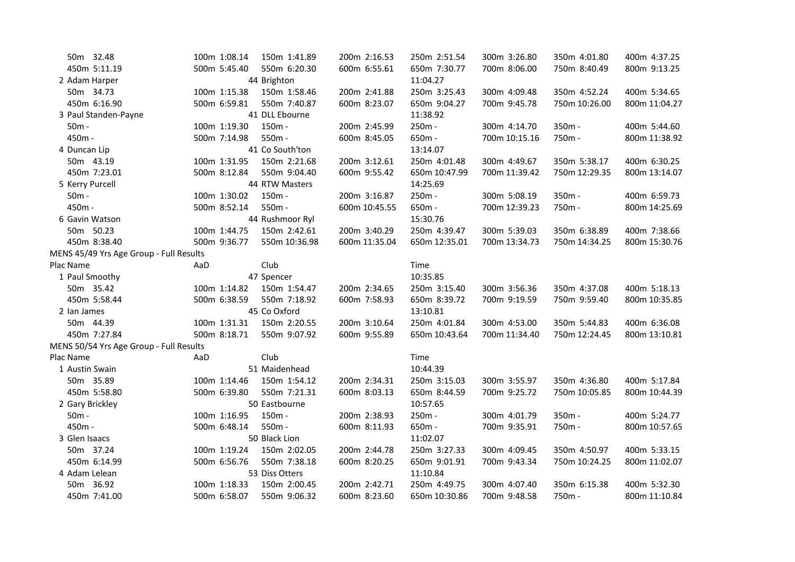| 50m 32.48                               | 100m 1:08.14 | 150m 1:41.89    | 200m 2:16.53  | 250m 2:51.54  | 300m 3:26.80  | 350m 4:01.80  | 400m 4:37.25  |
|-----------------------------------------|--------------|-----------------|---------------|---------------|---------------|---------------|---------------|
| 450m 5:11.19                            | 500m 5:45.40 | 550m 6:20.30    | 600m 6:55.61  | 650m 7:30.77  | 700m 8:06.00  | 750m 8:40.49  | 800m 9:13.25  |
| 2 Adam Harper                           |              | 44 Brighton     |               | 11:04.27      |               |               |               |
| 50m 34.73                               | 100m 1:15.38 | 150m 1:58.46    | 200m 2:41.88  | 250m 3:25.43  | 300m 4:09.48  | 350m 4:52.24  | 400m 5:34.65  |
| 450m 6:16.90                            | 500m 6:59.81 | 550m 7:40.87    | 600m 8:23.07  | 650m 9:04.27  | 700m 9:45.78  | 750m 10:26.00 | 800m 11:04.27 |
| 3 Paul Standen-Payne                    |              | 41 DLL Ebourne  |               | 11:38.92      |               |               |               |
| $50m -$                                 | 100m 1:19.30 | 150m -          | 200m 2:45.99  | 250m -        | 300m 4:14.70  | 350m -        | 400m 5:44.60  |
| 450m -                                  | 500m 7:14.98 | 550m -          | 600m 8:45.05  | 650m -        | 700m 10:15.16 | 750m-         | 800m 11:38.92 |
| 4 Duncan Lip                            |              | 41 Co South'ton |               | 13:14.07      |               |               |               |
| 50m 43.19                               | 100m 1:31.95 | 150m 2:21.68    | 200m 3:12.61  | 250m 4:01.48  | 300m 4:49.67  | 350m 5:38.17  | 400m 6:30.25  |
| 450m 7:23.01                            | 500m 8:12.84 | 550m 9:04.40    | 600m 9:55.42  | 650m 10:47.99 | 700m 11:39.42 | 750m 12:29.35 | 800m 13:14.07 |
| 5 Kerry Purcell                         |              | 44 RTW Masters  |               | 14:25.69      |               |               |               |
| $50m -$                                 | 100m 1:30.02 | 150m -          | 200m 3:16.87  | 250m -        | 300m 5:08.19  | 350m -        | 400m 6:59.73  |
| 450m -                                  | 500m 8:52.14 | 550m -          | 600m 10:45.55 | 650m -        | 700m 12:39.23 | 750m -        | 800m 14:25.69 |
| 6 Gavin Watson                          |              | 44 Rushmoor Ryl |               | 15:30.76      |               |               |               |
| 50m 50.23                               | 100m 1:44.75 | 150m 2:42.61    | 200m 3:40.29  | 250m 4:39.47  | 300m 5:39.03  | 350m 6:38.89  | 400m 7:38.66  |
| 450m 8:38.40                            | 500m 9:36.77 | 550m 10:36.98   | 600m 11:35.04 | 650m 12:35.01 | 700m 13:34.73 | 750m 14:34.25 | 800m 15:30.76 |
| MENS 45/49 Yrs Age Group - Full Results |              |                 |               |               |               |               |               |
| Plac Name                               | AaD          | Club            |               | Time          |               |               |               |
| 1 Paul Smoothy                          |              | 47 Spencer      |               | 10:35.85      |               |               |               |
| 50m 35.42                               | 100m 1:14.82 | 150m 1:54.47    | 200m 2:34.65  | 250m 3:15.40  | 300m 3:56.36  | 350m 4:37.08  | 400m 5:18.13  |
| 450m 5:58.44                            | 500m 6:38.59 | 550m 7:18.92    | 600m 7:58.93  | 650m 8:39.72  | 700m 9:19.59  | 750m 9:59.40  | 800m 10:35.85 |
| 2 Ian James                             |              | 45 Co Oxford    |               | 13:10.81      |               |               |               |
| 50m 44.39                               | 100m 1:31.31 | 150m 2:20.55    | 200m 3:10.64  | 250m 4:01.84  | 300m 4:53.00  | 350m 5:44.83  | 400m 6:36.08  |
| 450m 7:27.84                            | 500m 8:18.71 | 550m 9:07.92    | 600m 9:55.89  | 650m 10:43.64 | 700m 11:34.40 | 750m 12:24.45 | 800m 13:10.81 |
| MENS 50/54 Yrs Age Group - Full Results |              |                 |               |               |               |               |               |
| Plac Name                               | AaD          | Club            |               | Time          |               |               |               |
| 1 Austin Swain                          |              | 51 Maidenhead   |               | 10:44.39      |               |               |               |
| 50m 35.89                               | 100m 1:14.46 | 150m 1:54.12    | 200m 2:34.31  | 250m 3:15.03  | 300m 3:55.97  | 350m 4:36.80  | 400m 5:17.84  |
| 450m 5:58.80                            | 500m 6:39.80 | 550m 7:21.31    | 600m 8:03.13  | 650m 8:44.59  | 700m 9:25.72  | 750m 10:05.85 | 800m 10:44.39 |
| 2 Gary Brickley                         |              | 50 Eastbourne   |               | 10:57.65      |               |               |               |
| $50m -$                                 | 100m 1:16.95 | 150m -          | 200m 2:38.93  | 250m -        | 300m 4:01.79  | 350m -        | 400m 5:24.77  |
| 450m -                                  | 500m 6:48.14 | 550m -          | 600m 8:11.93  | 650m -        | 700m 9:35.91  | 750m -        | 800m 10:57.65 |
| 3 Glen Isaacs                           |              | 50 Black Lion   |               | 11:02.07      |               |               |               |
| 50m 37.24                               | 100m 1:19.24 | 150m 2:02.05    | 200m 2:44.78  | 250m 3:27.33  | 300m 4:09.45  | 350m 4:50.97  | 400m 5:33.15  |
| 450m 6:14.99                            | 500m 6:56.76 | 550m 7:38.18    | 600m 8:20.25  | 650m 9:01.91  | 700m 9:43.34  | 750m 10:24.25 | 800m 11:02.07 |
| 4 Adam Lelean                           |              | 53 Diss Otters  |               | 11:10.84      |               |               |               |
| 50m 36.92                               | 100m 1:18.33 | 150m 2:00.45    | 200m 2:42.71  | 250m 4:49.75  | 300m 4:07.40  | 350m 6:15.38  | 400m 5:32.30  |
| 450m 7:41.00                            | 500m 6:58.07 | 550m 9:06.32    | 600m 8:23.60  | 650m 10:30.86 | 700m 9:48.58  | 750m -        | 800m 11:10.84 |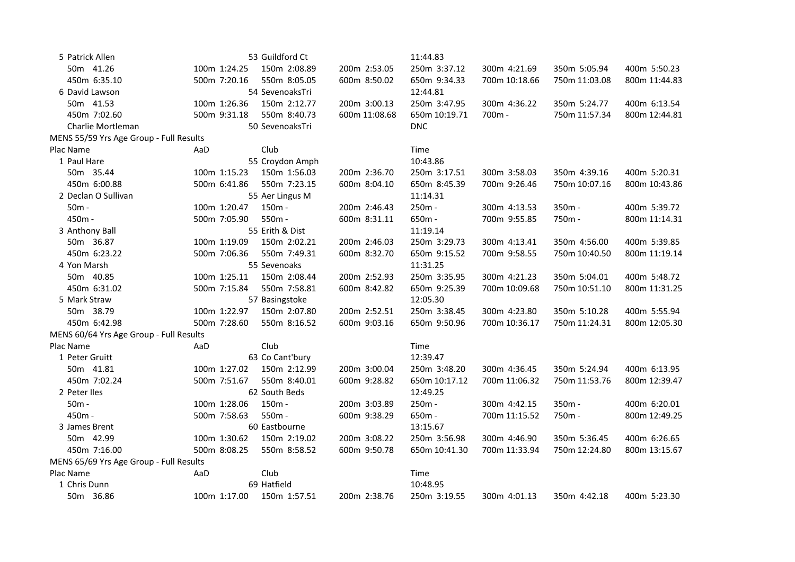| 5 Patrick Allen                         |              | 53 Guildford Ct |               | 11:44.83      |               |               |               |
|-----------------------------------------|--------------|-----------------|---------------|---------------|---------------|---------------|---------------|
| 50m 41.26                               | 100m 1:24.25 | 150m 2:08.89    | 200m 2:53.05  | 250m 3:37.12  | 300m 4:21.69  | 350m 5:05.94  | 400m 5:50.23  |
| 450m 6:35.10                            | 500m 7:20.16 | 550m 8:05.05    | 600m 8:50.02  | 650m 9:34.33  | 700m 10:18.66 | 750m 11:03.08 | 800m 11:44.83 |
| 6 David Lawson                          |              | 54 SevenoaksTri |               | 12:44.81      |               |               |               |
| 50m 41.53                               | 100m 1:26.36 | 150m 2:12.77    | 200m 3:00.13  | 250m 3:47.95  | 300m 4:36.22  | 350m 5:24.77  | 400m 6:13.54  |
| 450m 7:02.60                            | 500m 9:31.18 | 550m 8:40.73    | 600m 11:08.68 | 650m 10:19.71 | 700m -        | 750m 11:57.34 | 800m 12:44.81 |
| Charlie Mortleman                       |              | 50 SevenoaksTri |               | <b>DNC</b>    |               |               |               |
| MENS 55/59 Yrs Age Group - Full Results |              |                 |               |               |               |               |               |
| Plac Name                               | AaD          | Club            |               | Time          |               |               |               |
| 1 Paul Hare                             |              | 55 Croydon Amph |               | 10:43.86      |               |               |               |
| 50m 35.44                               | 100m 1:15.23 | 150m 1:56.03    | 200m 2:36.70  | 250m 3:17.51  | 300m 3:58.03  | 350m 4:39.16  | 400m 5:20.31  |
| 450m 6:00.88                            | 500m 6:41.86 | 550m 7:23.15    | 600m 8:04.10  | 650m 8:45.39  | 700m 9:26.46  | 750m 10:07.16 | 800m 10:43.86 |
| 2 Declan O Sullivan                     |              | 55 Aer Lingus M |               | 11:14.31      |               |               |               |
| $50m -$                                 | 100m 1:20.47 | 150m -          | 200m 2:46.43  | 250m -        | 300m 4:13.53  | 350m -        | 400m 5:39.72  |
| 450m -                                  | 500m 7:05.90 | 550m -          | 600m 8:31.11  | 650m -        | 700m 9:55.85  | 750m -        | 800m 11:14.31 |
| 3 Anthony Ball                          |              | 55 Erith & Dist |               | 11:19.14      |               |               |               |
| 50m 36.87                               | 100m 1:19.09 | 150m 2:02.21    | 200m 2:46.03  | 250m 3:29.73  | 300m 4:13.41  | 350m 4:56.00  | 400m 5:39.85  |
| 450m 6:23.22                            | 500m 7:06.36 | 550m 7:49.31    | 600m 8:32.70  | 650m 9:15.52  | 700m 9:58.55  | 750m 10:40.50 | 800m 11:19.14 |
| 4 Yon Marsh                             |              | 55 Sevenoaks    |               | 11:31.25      |               |               |               |
| 50m 40.85                               | 100m 1:25.11 | 150m 2:08.44    | 200m 2:52.93  | 250m 3:35.95  | 300m 4:21.23  | 350m 5:04.01  | 400m 5:48.72  |
| 450m 6:31.02                            | 500m 7:15.84 | 550m 7:58.81    | 600m 8:42.82  | 650m 9:25.39  | 700m 10:09.68 | 750m 10:51.10 | 800m 11:31.25 |
| 5 Mark Straw                            |              | 57 Basingstoke  |               | 12:05.30      |               |               |               |
| 50m 38.79                               | 100m 1:22.97 | 150m 2:07.80    | 200m 2:52.51  | 250m 3:38.45  | 300m 4:23.80  | 350m 5:10.28  | 400m 5:55.94  |
| 450m 6:42.98                            | 500m 7:28.60 | 550m 8:16.52    | 600m 9:03.16  | 650m 9:50.96  | 700m 10:36.17 | 750m 11:24.31 | 800m 12:05.30 |
| MENS 60/64 Yrs Age Group - Full Results |              |                 |               |               |               |               |               |
| Plac Name                               | AaD          | Club            |               | Time          |               |               |               |
| 1 Peter Gruitt                          |              | 63 Co Cant'bury |               | 12:39.47      |               |               |               |
| 50m 41.81                               | 100m 1:27.02 | 150m 2:12.99    | 200m 3:00.04  | 250m 3:48.20  | 300m 4:36.45  | 350m 5:24.94  | 400m 6:13.95  |
| 450m 7:02.24                            | 500m 7:51.67 | 550m 8:40.01    | 600m 9:28.82  | 650m 10:17.12 | 700m 11:06.32 | 750m 11:53.76 | 800m 12:39.47 |
| 2 Peter Iles                            |              | 62 South Beds   |               | 12:49.25      |               |               |               |
| $50m -$                                 | 100m 1:28.06 | 150m -          | 200m 3:03.89  | 250m -        | 300m 4:42.15  | 350m -        | 400m 6:20.01  |
| 450m -                                  | 500m 7:58.63 | 550m -          | 600m 9:38.29  | 650m -        | 700m 11:15.52 | 750m -        | 800m 12:49.25 |
| 3 James Brent                           |              | 60 Eastbourne   |               | 13:15.67      |               |               |               |
| 50m 42.99                               | 100m 1:30.62 | 150m 2:19.02    | 200m 3:08.22  | 250m 3:56.98  | 300m 4:46.90  | 350m 5:36.45  | 400m 6:26.65  |
| 450m 7:16.00                            | 500m 8:08.25 | 550m 8:58.52    | 600m 9:50.78  | 650m 10:41.30 | 700m 11:33.94 | 750m 12:24.80 | 800m 13:15.67 |
| MENS 65/69 Yrs Age Group - Full Results |              |                 |               |               |               |               |               |
| Plac Name                               | AaD          | Club            |               | Time          |               |               |               |
| 1 Chris Dunn                            |              | 69 Hatfield     |               | 10:48.95      |               |               |               |
| 50m 36.86                               | 100m 1:17.00 | 150m 1:57.51    | 200m 2:38.76  | 250m 3:19.55  | 300m 4:01.13  | 350m 4:42.18  | 400m 5:23.30  |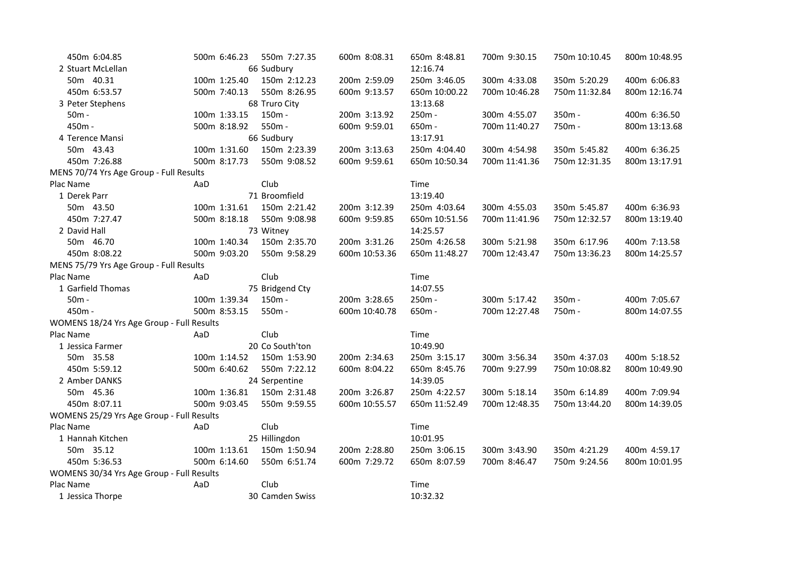| 450m 6:04.85                              | 500m 6:46.23 | 550m 7:27.35    | 600m 8:08.31  | 650m 8:48.81  | 700m 9:30.15  | 750m 10:10.45 | 800m 10:48.95 |
|-------------------------------------------|--------------|-----------------|---------------|---------------|---------------|---------------|---------------|
| 2 Stuart McLellan                         |              | 66 Sudbury      |               | 12:16.74      |               |               |               |
| 50m 40.31                                 | 100m 1:25.40 | 150m 2:12.23    | 200m 2:59.09  | 250m 3:46.05  | 300m 4:33.08  | 350m 5:20.29  | 400m 6:06.83  |
| 450m 6:53.57                              | 500m 7:40.13 | 550m 8:26.95    | 600m 9:13.57  | 650m 10:00.22 | 700m 10:46.28 | 750m 11:32.84 | 800m 12:16.74 |
| 3 Peter Stephens                          |              | 68 Truro City   |               | 13:13.68      |               |               |               |
| $50m -$                                   | 100m 1:33.15 | 150m -          | 200m 3:13.92  | 250m -        | 300m 4:55.07  | 350m -        | 400m 6:36.50  |
| 450m -                                    | 500m 8:18.92 | 550m -          | 600m 9:59.01  | 650m -        | 700m 11:40.27 | 750m -        | 800m 13:13.68 |
| 4 Terence Mansi                           |              | 66 Sudbury      |               | 13:17.91      |               |               |               |
| 50m 43.43                                 | 100m 1:31.60 | 150m 2:23.39    | 200m 3:13.63  | 250m 4:04.40  | 300m 4:54.98  | 350m 5:45.82  | 400m 6:36.25  |
| 450m 7:26.88                              | 500m 8:17.73 | 550m 9:08.52    | 600m 9:59.61  | 650m 10:50.34 | 700m 11:41.36 | 750m 12:31.35 | 800m 13:17.91 |
| MENS 70/74 Yrs Age Group - Full Results   |              |                 |               |               |               |               |               |
| Plac Name                                 | AaD          | Club            |               | Time          |               |               |               |
| 1 Derek Parr                              |              | 71 Broomfield   |               | 13:19.40      |               |               |               |
| 50m 43.50                                 | 100m 1:31.61 | 150m 2:21.42    | 200m 3:12.39  | 250m 4:03.64  | 300m 4:55.03  | 350m 5:45.87  | 400m 6:36.93  |
| 450m 7:27.47                              | 500m 8:18.18 | 550m 9:08.98    | 600m 9:59.85  | 650m 10:51.56 | 700m 11:41.96 | 750m 12:32.57 | 800m 13:19.40 |
| 2 David Hall                              |              | 73 Witney       |               | 14:25.57      |               |               |               |
| 50m 46.70                                 | 100m 1:40.34 | 150m 2:35.70    | 200m 3:31.26  | 250m 4:26.58  | 300m 5:21.98  | 350m 6:17.96  | 400m 7:13.58  |
| 450m 8:08.22                              | 500m 9:03.20 | 550m 9:58.29    | 600m 10:53.36 | 650m 11:48.27 | 700m 12:43.47 | 750m 13:36.23 | 800m 14:25.57 |
| MENS 75/79 Yrs Age Group - Full Results   |              |                 |               |               |               |               |               |
| Plac Name                                 | AaD          | Club            |               | Time          |               |               |               |
| 1 Garfield Thomas                         |              | 75 Bridgend Cty |               | 14:07.55      |               |               |               |
| $50m -$                                   | 100m 1:39.34 | $150m -$        | 200m 3:28.65  | 250m -        | 300m 5:17.42  | 350m -        | 400m 7:05.67  |
| 450m -                                    | 500m 8:53.15 | 550m -          | 600m 10:40.78 | 650m -        | 700m 12:27.48 | 750m -        | 800m 14:07.55 |
| WOMENS 18/24 Yrs Age Group - Full Results |              |                 |               |               |               |               |               |
| Plac Name                                 | AaD          | Club            |               | Time          |               |               |               |
| 1 Jessica Farmer                          |              | 20 Co South'ton |               | 10:49.90      |               |               |               |
| 50m 35.58                                 | 100m 1:14.52 | 150m 1:53.90    | 200m 2:34.63  | 250m 3:15.17  | 300m 3:56.34  | 350m 4:37.03  | 400m 5:18.52  |
| 450m 5:59.12                              | 500m 6:40.62 | 550m 7:22.12    | 600m 8:04.22  | 650m 8:45.76  | 700m 9:27.99  | 750m 10:08.82 | 800m 10:49.90 |
| 2 Amber DANKS                             |              | 24 Serpentine   |               | 14:39.05      |               |               |               |
| 50m 45.36                                 | 100m 1:36.81 | 150m 2:31.48    | 200m 3:26.87  | 250m 4:22.57  | 300m 5:18.14  | 350m 6:14.89  | 400m 7:09.94  |
| 450m 8:07.11                              | 500m 9:03.45 | 550m 9:59.55    | 600m 10:55.57 | 650m 11:52.49 | 700m 12:48.35 | 750m 13:44.20 | 800m 14:39.05 |
| WOMENS 25/29 Yrs Age Group - Full Results |              |                 |               |               |               |               |               |
| Plac Name                                 | AaD          | Club            |               | Time          |               |               |               |
| 1 Hannah Kitchen                          |              | 25 Hillingdon   |               | 10:01.95      |               |               |               |
| 50m 35.12                                 | 100m 1:13.61 | 150m 1:50.94    | 200m 2:28.80  | 250m 3:06.15  | 300m 3:43.90  | 350m 4:21.29  | 400m 4:59.17  |
| 450m 5:36.53                              | 500m 6:14.60 | 550m 6:51.74    | 600m 7:29.72  | 650m 8:07.59  | 700m 8:46.47  | 750m 9:24.56  | 800m 10:01.95 |
| WOMENS 30/34 Yrs Age Group - Full Results |              |                 |               |               |               |               |               |
| Plac Name                                 | AaD          | Club            |               | Time          |               |               |               |
| 1 Jessica Thorpe                          |              | 30 Camden Swiss |               | 10:32.32      |               |               |               |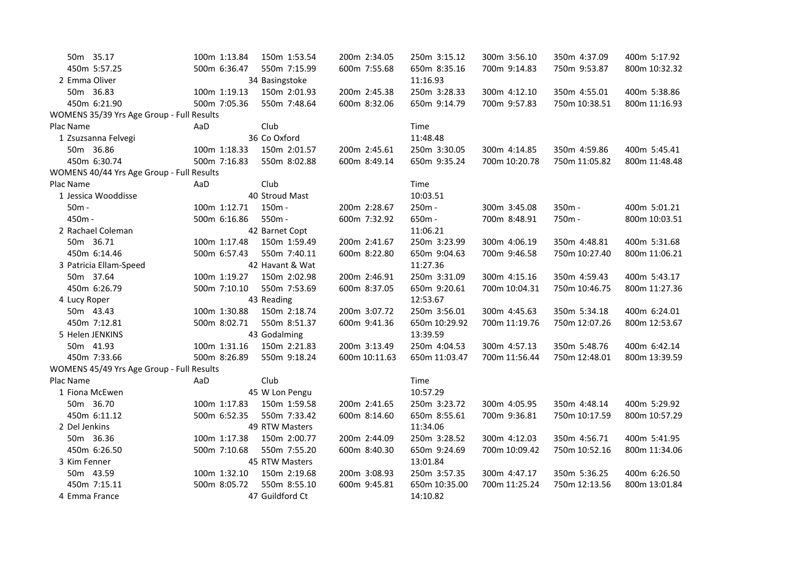| 50m 35.17                                 | 100m 1:13.84<br>150m 1:53.54 | 200m 2:34.05  | 250m 3:15.12  | 300m 3:56.10  | 350m 4:37.09  | 400m 5:17.92  |
|-------------------------------------------|------------------------------|---------------|---------------|---------------|---------------|---------------|
| 450m 5:57.25                              | 500m 6:36.47<br>550m 7:15.99 | 600m 7:55.68  | 650m 8:35.16  | 700m 9:14.83  | 750m 9:53.87  | 800m 10:32.32 |
| 2 Emma Oliver                             | 34 Basingstoke               |               | 11:16.93      |               |               |               |
| 50m 36.83                                 | 100m 1:19.13<br>150m 2:01.93 | 200m 2:45.38  | 250m 3:28.33  | 300m 4:12.10  | 350m 4:55.01  | 400m 5:38.86  |
| 450m 6:21.90                              | 500m 7:05.36<br>550m 7:48.64 | 600m 8:32.06  | 650m 9:14.79  | 700m 9:57.83  | 750m 10:38.51 | 800m 11:16.93 |
| WOMENS 35/39 Yrs Age Group - Full Results |                              |               |               |               |               |               |
| Plac Name                                 | Club<br>AaD                  |               | Time          |               |               |               |
| 1 Zsuzsanna Felvegi                       | 36 Co Oxford                 |               | 11:48.48      |               |               |               |
| 50m 36.86                                 | 150m 2:01.57<br>100m 1:18.33 | 200m 2:45.61  | 250m 3:30.05  | 300m 4:14.85  | 350m 4:59.86  | 400m 5:45.41  |
| 450m 6:30.74                              | 500m 7:16.83<br>550m 8:02.88 | 600m 8:49.14  | 650m 9:35.24  | 700m 10:20.78 | 750m 11:05.82 | 800m 11:48.48 |
| WOMENS 40/44 Yrs Age Group - Full Results |                              |               |               |               |               |               |
| Plac Name                                 | Club<br>AaD                  |               | Time          |               |               |               |
| 1 Jessica Wooddisse                       | 40 Stroud Mast               |               | 10:03.51      |               |               |               |
| $50m -$                                   | 100m 1:12.71<br>150m -       | 200m 2:28.67  | 250m -        | 300m 3:45.08  | 350m -        | 400m 5:01.21  |
| 450m -                                    | 500m 6:16.86<br>550m -       | 600m 7:32.92  | 650m -        | 700m 8:48.91  | 750m-         | 800m 10:03.51 |
| 2 Rachael Coleman                         | 42 Barnet Copt               |               | 11:06.21      |               |               |               |
| 50m 36.71                                 | 100m 1:17.48<br>150m 1:59.49 | 200m 2:41.67  | 250m 3:23.99  | 300m 4:06.19  | 350m 4:48.81  | 400m 5:31.68  |
| 450m 6:14.46                              | 500m 6:57.43<br>550m 7:40.11 | 600m 8:22.80  | 650m 9:04.63  | 700m 9:46.58  | 750m 10:27.40 | 800m 11:06.21 |
| 3 Patricia Ellam-Speed                    | 42 Havant & Wat              |               | 11:27.36      |               |               |               |
| 50m 37.64                                 | 100m 1:19.27<br>150m 2:02.98 | 200m 2:46.91  | 250m 3:31.09  | 300m 4:15.16  | 350m 4:59.43  | 400m 5:43.17  |
| 450m 6:26.79                              | 500m 7:10.10<br>550m 7:53.69 | 600m 8:37.05  | 650m 9:20.61  | 700m 10:04.31 | 750m 10:46.75 | 800m 11:27.36 |
| 4 Lucy Roper                              | 43 Reading                   |               | 12:53.67      |               |               |               |
| 50m 43.43                                 | 100m 1:30.88<br>150m 2:18.74 | 200m 3:07.72  | 250m 3:56.01  | 300m 4:45.63  | 350m 5:34.18  | 400m 6:24.01  |
| 450m 7:12.81                              | 550m 8:51.37<br>500m 8:02.71 | 600m 9:41.36  | 650m 10:29.92 | 700m 11:19.76 | 750m 12:07.26 | 800m 12:53.67 |
| 5 Helen JENKINS                           | 43 Godalming                 |               | 13:39.59      |               |               |               |
| 50m 41.93                                 | 100m 1:31.16<br>150m 2:21.83 | 200m 3:13.49  | 250m 4:04.53  | 300m 4:57.13  | 350m 5:48.76  | 400m 6:42.14  |
| 450m 7:33.66                              | 500m 8:26.89<br>550m 9:18.24 | 600m 10:11.63 | 650m 11:03.47 | 700m 11:56.44 | 750m 12:48.01 | 800m 13:39.59 |
| WOMENS 45/49 Yrs Age Group - Full Results |                              |               |               |               |               |               |
| Plac Name                                 | AaD<br>Club                  |               | Time          |               |               |               |
| 1 Fiona McEwen                            | 45 W Lon Pengu               |               | 10:57.29      |               |               |               |
| 50m 36.70                                 | 100m 1:17.83<br>150m 1:59.58 | 200m 2:41.65  | 250m 3:23.72  | 300m 4:05.95  | 350m 4:48.14  | 400m 5:29.92  |
| 450m 6:11.12                              | 500m 6:52.35<br>550m 7:33.42 | 600m 8:14.60  | 650m 8:55.61  | 700m 9:36.81  | 750m 10:17.59 | 800m 10:57.29 |
| 2 Del Jenkins                             | 49 RTW Masters               |               | 11:34.06      |               |               |               |
| 50m 36.36                                 | 100m 1:17.38<br>150m 2:00.77 | 200m 2:44.09  | 250m 3:28.52  | 300m 4:12.03  | 350m 4:56.71  | 400m 5:41.95  |
| 450m 6:26.50                              | 500m 7:10.68<br>550m 7:55.20 | 600m 8:40.30  | 650m 9:24.69  | 700m 10:09.42 | 750m 10:52.16 | 800m 11:34.06 |
| 3 Kim Fenner                              | 45 RTW Masters               |               | 13:01.84      |               |               |               |
| 50m 43.59                                 | 100m 1:32.10<br>150m 2:19.68 | 200m 3:08.93  | 250m 3:57.35  | 300m 4:47.17  | 350m 5:36.25  | 400m 6:26.50  |
| 450m 7:15.11                              | 500m 8:05.72<br>550m 8:55.10 | 600m 9:45.81  | 650m 10:35.00 | 700m 11:25.24 | 750m 12:13.56 | 800m 13:01.84 |
| 4 Emma France                             | 47 Guildford Ct              |               | 14:10.82      |               |               |               |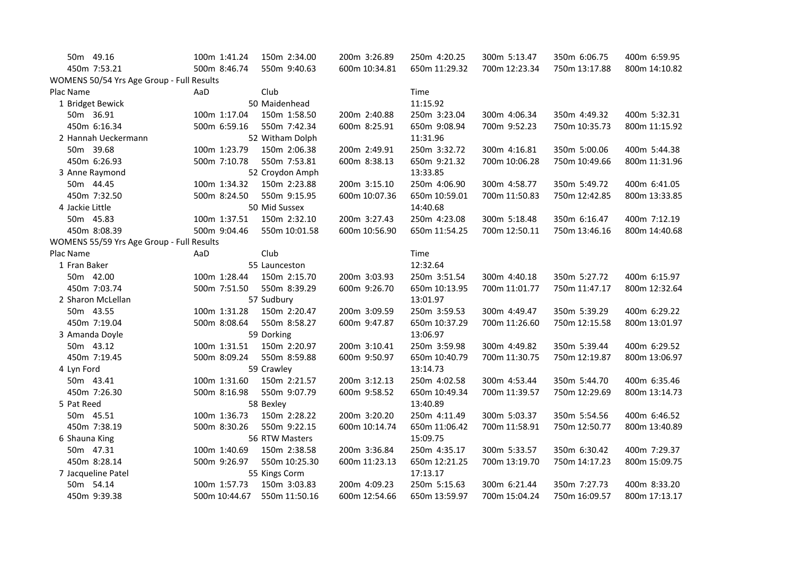| 50m 49.16                                 | 100m 1:41.24  | 150m 2:34.00    | 200m 3:26.89  | 250m 4:20.25  | 300m 5:13.47  | 350m 6:06.75  | 400m 6:59.95  |
|-------------------------------------------|---------------|-----------------|---------------|---------------|---------------|---------------|---------------|
| 450m 7:53.21                              | 500m 8:46.74  | 550m 9:40.63    | 600m 10:34.81 | 650m 11:29.32 | 700m 12:23.34 | 750m 13:17.88 | 800m 14:10.82 |
| WOMENS 50/54 Yrs Age Group - Full Results |               |                 |               |               |               |               |               |
| Plac Name                                 | AaD           | Club            |               | Time          |               |               |               |
| 1 Bridget Bewick                          |               | 50 Maidenhead   |               | 11:15.92      |               |               |               |
| 50m 36.91                                 | 100m 1:17.04  | 150m 1:58.50    | 200m 2:40.88  | 250m 3:23.04  | 300m 4:06.34  | 350m 4:49.32  | 400m 5:32.31  |
| 450m 6:16.34                              | 500m 6:59.16  | 550m 7:42.34    | 600m 8:25.91  | 650m 9:08.94  | 700m 9:52.23  | 750m 10:35.73 | 800m 11:15.92 |
| 2 Hannah Ueckermann                       |               | 52 Witham Dolph |               | 11:31.96      |               |               |               |
| 50m 39.68                                 | 100m 1:23.79  | 150m 2:06.38    | 200m 2:49.91  | 250m 3:32.72  | 300m 4:16.81  | 350m 5:00.06  | 400m 5:44.38  |
| 450m 6:26.93                              | 500m 7:10.78  | 550m 7:53.81    | 600m 8:38.13  | 650m 9:21.32  | 700m 10:06.28 | 750m 10:49.66 | 800m 11:31.96 |
| 3 Anne Raymond                            |               | 52 Croydon Amph |               | 13:33.85      |               |               |               |
| 50m 44.45                                 | 100m 1:34.32  | 150m 2:23.88    | 200m 3:15.10  | 250m 4:06.90  | 300m 4:58.77  | 350m 5:49.72  | 400m 6:41.05  |
| 450m 7:32.50                              | 500m 8:24.50  | 550m 9:15.95    | 600m 10:07.36 | 650m 10:59.01 | 700m 11:50.83 | 750m 12:42.85 | 800m 13:33.85 |
| 4 Jackie Little                           |               | 50 Mid Sussex   |               | 14:40.68      |               |               |               |
| 50m 45.83                                 | 100m 1:37.51  | 150m 2:32.10    | 200m 3:27.43  | 250m 4:23.08  | 300m 5:18.48  | 350m 6:16.47  | 400m 7:12.19  |
| 450m 8:08.39                              | 500m 9:04.46  | 550m 10:01.58   | 600m 10:56.90 | 650m 11:54.25 | 700m 12:50.11 | 750m 13:46.16 | 800m 14:40.68 |
| WOMENS 55/59 Yrs Age Group - Full Results |               |                 |               |               |               |               |               |
| Plac Name                                 | AaD           | Club            |               | Time          |               |               |               |
| 1 Fran Baker                              |               | 55 Launceston   |               | 12:32.64      |               |               |               |
| 50m 42.00                                 | 100m 1:28.44  | 150m 2:15.70    | 200m 3:03.93  | 250m 3:51.54  | 300m 4:40.18  | 350m 5:27.72  | 400m 6:15.97  |
| 450m 7:03.74                              | 500m 7:51.50  | 550m 8:39.29    | 600m 9:26.70  | 650m 10:13.95 | 700m 11:01.77 | 750m 11:47.17 | 800m 12:32.64 |
| 2 Sharon McLellan                         |               | 57 Sudbury      |               | 13:01.97      |               |               |               |
| 50m 43.55                                 | 100m 1:31.28  | 150m 2:20.47    | 200m 3:09.59  | 250m 3:59.53  | 300m 4:49.47  | 350m 5:39.29  | 400m 6:29.22  |
| 450m 7:19.04                              | 500m 8:08.64  | 550m 8:58.27    | 600m 9:47.87  | 650m 10:37.29 | 700m 11:26.60 | 750m 12:15.58 | 800m 13:01.97 |
| 3 Amanda Doyle                            |               | 59 Dorking      |               | 13:06.97      |               |               |               |
| 50m 43.12                                 | 100m 1:31.51  | 150m 2:20.97    | 200m 3:10.41  | 250m 3:59.98  | 300m 4:49.82  | 350m 5:39.44  | 400m 6:29.52  |
| 450m 7:19.45                              | 500m 8:09.24  | 550m 8:59.88    | 600m 9:50.97  | 650m 10:40.79 | 700m 11:30.75 | 750m 12:19.87 | 800m 13:06.97 |
| 4 Lyn Ford                                |               | 59 Crawley      |               | 13:14.73      |               |               |               |
| 50m 43.41                                 | 100m 1:31.60  | 150m 2:21.57    | 200m 3:12.13  | 250m 4:02.58  | 300m 4:53.44  | 350m 5:44.70  | 400m 6:35.46  |
| 450m 7:26.30                              | 500m 8:16.98  | 550m 9:07.79    | 600m 9:58.52  | 650m 10:49.34 | 700m 11:39.57 | 750m 12:29.69 | 800m 13:14.73 |
| 5 Pat Reed                                |               | 58 Bexley       |               | 13:40.89      |               |               |               |
| 50m 45.51                                 | 100m 1:36.73  | 150m 2:28.22    | 200m 3:20.20  | 250m 4:11.49  | 300m 5:03.37  | 350m 5:54.56  | 400m 6:46.52  |
| 450m 7:38.19                              | 500m 8:30.26  | 550m 9:22.15    | 600m 10:14.74 | 650m 11:06.42 | 700m 11:58.91 | 750m 12:50.77 | 800m 13:40.89 |
| 6 Shauna King                             |               | 56 RTW Masters  |               | 15:09.75      |               |               |               |
| 50m 47.31                                 | 100m 1:40.69  | 150m 2:38.58    | 200m 3:36.84  | 250m 4:35.17  | 300m 5:33.57  | 350m 6:30.42  | 400m 7:29.37  |
| 450m 8:28.14                              | 500m 9:26.97  | 550m 10:25.30   | 600m 11:23.13 | 650m 12:21.25 | 700m 13:19.70 | 750m 14:17.23 | 800m 15:09.75 |
| 7 Jacqueline Patel                        |               | 55 Kings Corm   |               | 17:13.17      |               |               |               |
| 50m 54.14                                 | 100m 1:57.73  | 150m 3:03.83    | 200m 4:09.23  | 250m 5:15.63  | 300m 6:21.44  | 350m 7:27.73  | 400m 8:33.20  |
| 450m 9:39.38                              | 500m 10:44.67 | 550m 11:50.16   | 600m 12:54.66 | 650m 13:59.97 | 700m 15:04.24 | 750m 16:09.57 | 800m 17:13.17 |